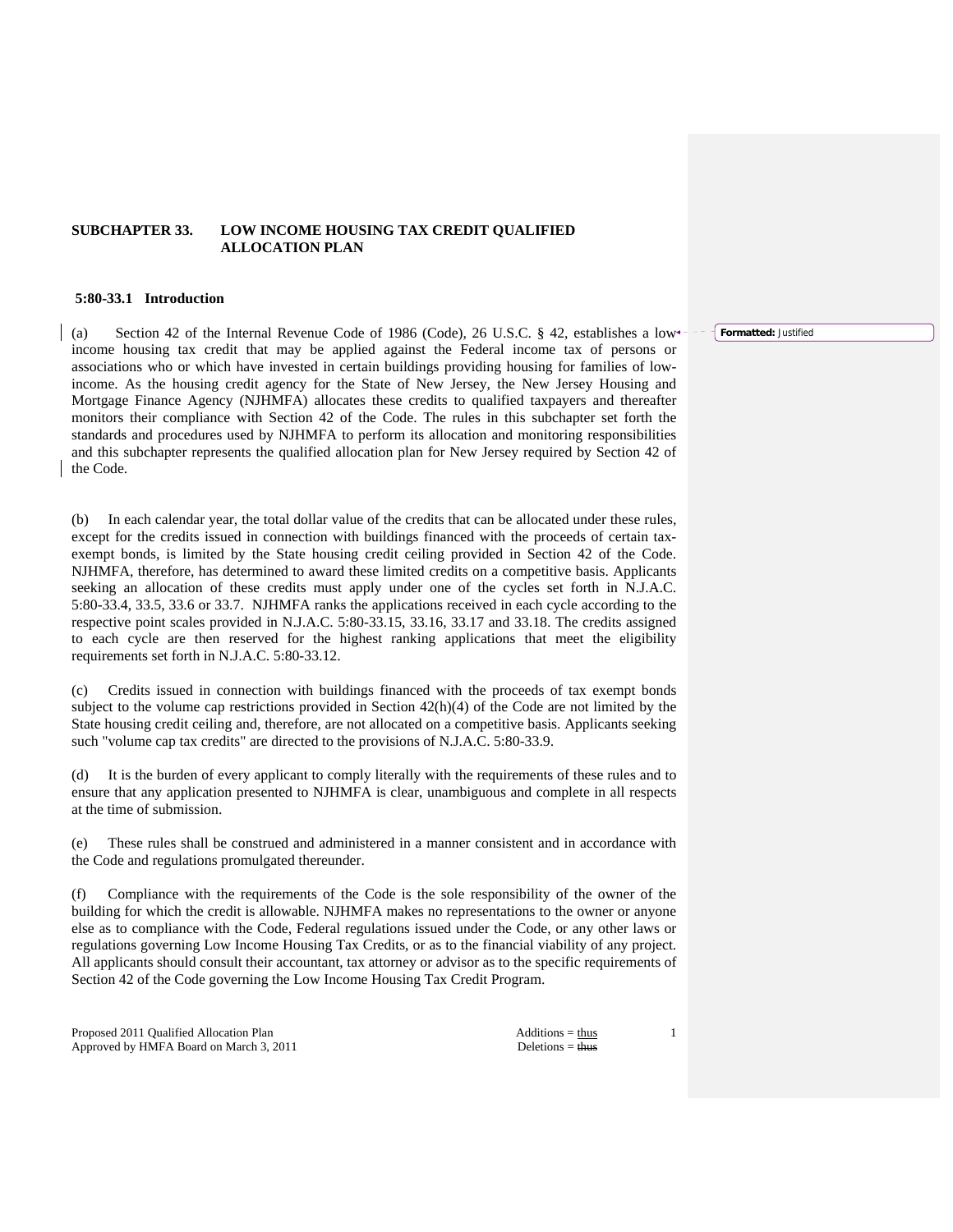# **SUBCHAPTER 33. LOW INCOME HOUSING TAX CREDIT QUALIFIED ALLOCATION PLAN**

## **5:80-33.1 Introduction**

(a) Section 42 of the Internal Revenue Code of 1986 (Code), 26 U.S.C. § 42, establishes a low income housing tax credit that may be applied against the Federal income tax of persons or associations who or which have invested in certain buildings providing housing for families of lowincome. As the housing credit agency for the State of New Jersey, the New Jersey Housing and Mortgage Finance Agency (NJHMFA) allocates these credits to qualified taxpayers and thereafter monitors their compliance with Section 42 of the Code. The rules in this subchapter set forth the standards and procedures used by NJHMFA to perform its allocation and monitoring responsibilities and this subchapter represents the qualified allocation plan for New Jersey required by Section 42 of the Code.

(b) In each calendar year, the total dollar value of the credits that can be allocated under these rules, except for the credits issued in connection with buildings financed with the proceeds of certain taxexempt bonds, is limited by the State housing credit ceiling provided in Section 42 of the Code. NJHMFA, therefore, has determined to award these limited credits on a competitive basis. Applicants seeking an allocation of these credits must apply under one of the cycles set forth in N.J.A.C. 5:80-33.4, 33.5, 33.6 or 33.7. NJHMFA ranks the applications received in each cycle according to the respective point scales provided in N.J.A.C. 5:80-33.15, 33.16, 33.17 and 33.18. The credits assigned to each cycle are then reserved for the highest ranking applications that meet the eligibility requirements set forth in N.J.A.C. 5:80-33.12.

(c) Credits issued in connection with buildings financed with the proceeds of tax exempt bonds subject to the volume cap restrictions provided in Section 42(h)(4) of the Code are not limited by the State housing credit ceiling and, therefore, are not allocated on a competitive basis. Applicants seeking such "volume cap tax credits" are directed to the provisions of N.J.A.C. 5:80-33.9.

It is the burden of every applicant to comply literally with the requirements of these rules and to ensure that any application presented to NJHMFA is clear, unambiguous and complete in all respects at the time of submission.

(e) These rules shall be construed and administered in a manner consistent and in accordance with the Code and regulations promulgated thereunder.

(f) Compliance with the requirements of the Code is the sole responsibility of the owner of the building for which the credit is allowable. NJHMFA makes no representations to the owner or anyone else as to compliance with the Code, Federal regulations issued under the Code, or any other laws or regulations governing Low Income Housing Tax Credits, or as to the financial viability of any project. All applicants should consult their accountant, tax attorney or advisor as to the specific requirements of Section 42 of the Code governing the Low Income Housing Tax Credit Program.

Proposed 2011 Qualified Allocation Plan Additions = thus Approved by HMFA Board on March 3, 2011 Deletions = thus

1

**Formatted:** Justified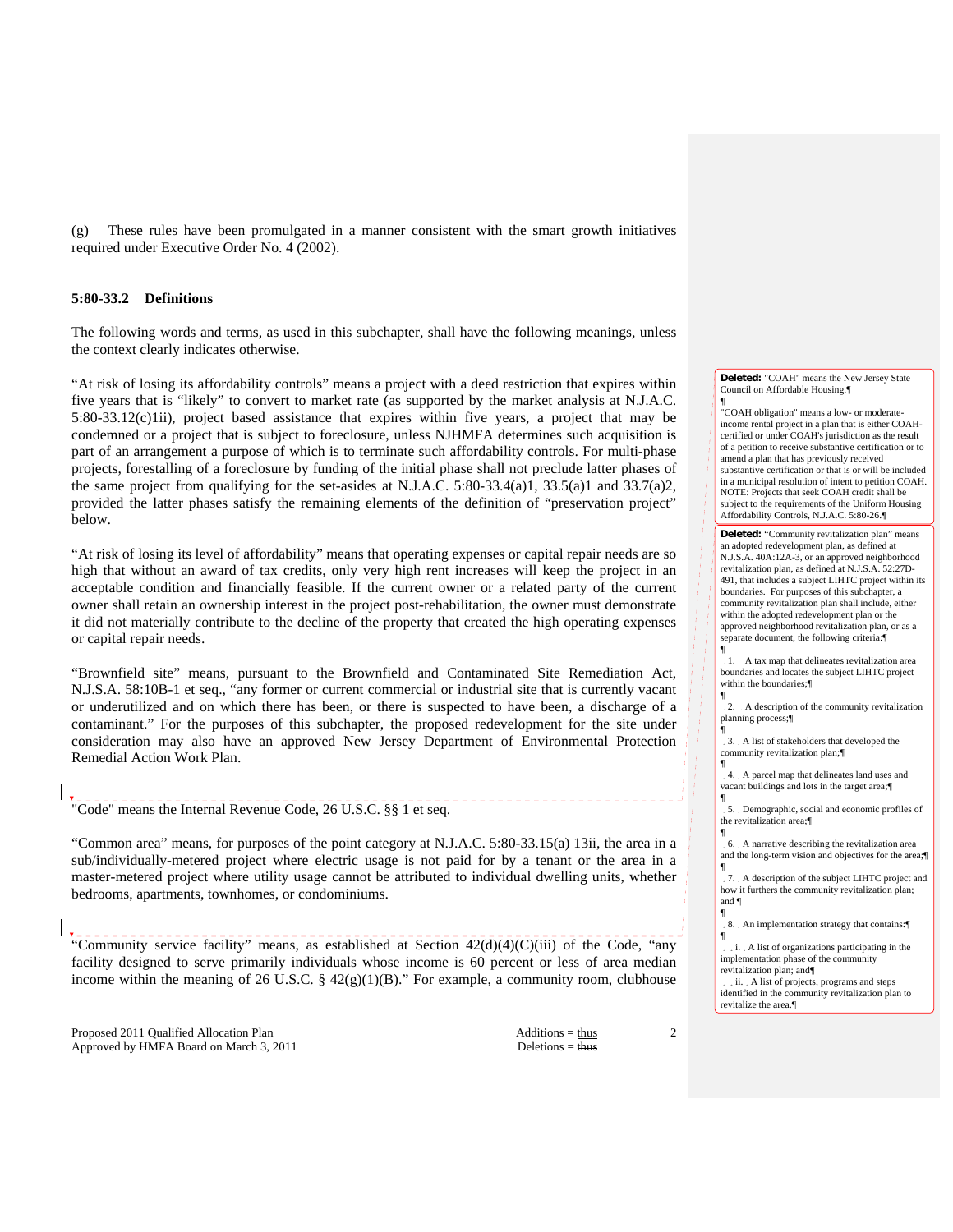(g) These rules have been promulgated in a manner consistent with the smart growth initiatives required under Executive Order No. 4 (2002).

# **5:80-33.2 Definitions**

The following words and terms, as used in this subchapter, shall have the following meanings, unless the context clearly indicates otherwise.

"At risk of losing its affordability controls" means a project with a deed restriction that expires within five years that is "likely" to convert to market rate (as supported by the market analysis at N.J.A.C. 5:80-33.12(c)1ii), project based assistance that expires within five years, a project that may be condemned or a project that is subject to foreclosure, unless NJHMFA determines such acquisition is part of an arrangement a purpose of which is to terminate such affordability controls. For multi-phase projects, forestalling of a foreclosure by funding of the initial phase shall not preclude latter phases of the same project from qualifying for the set-asides at N.J.A.C. 5:80-33.4(a)1, 33.5(a)1 and 33.7(a)2, provided the latter phases satisfy the remaining elements of the definition of "preservation project" below.

"At risk of losing its level of affordability" means that operating expenses or capital repair needs are so high that without an award of tax credits, only very high rent increases will keep the project in an acceptable condition and financially feasible. If the current owner or a related party of the current owner shall retain an ownership interest in the project post-rehabilitation, the owner must demonstrate it did not materially contribute to the decline of the property that created the high operating expenses or capital repair needs.

"Brownfield site" means, pursuant to the Brownfield and Contaminated Site Remediation Act, N.J.S.A. 58:10B-1 et seq., "any former or current commercial or industrial site that is currently vacant or underutilized and on which there has been, or there is suspected to have been, a discharge of a contaminant." For the purposes of this subchapter, the proposed redevelopment for the site under consideration may also have an approved New Jersey Department of Environmental Protection Remedial Action Work Plan.

# "Code" means the Internal Revenue Code, 26 U.S.C. §§ 1 et seq.

"Common area" means, for purposes of the point category at N.J.A.C. 5:80-33.15(a) 13ii, the area in a sub/individually-metered project where electric usage is not paid for by a tenant or the area in a master-metered project where utility usage cannot be attributed to individual dwelling units, whether bedrooms, apartments, townhomes, or condominiums.

"Community service facility" means, as established at Section  $42(d)(4)(C)(iii)$  of the Code, "any facility designed to serve primarily individuals whose income is 60 percent or less of area median income within the meaning of 26 U.S.C. §  $42(g)(1)(B)$ ." For example, a community room, clubhouse

Proposed 2011 Qualified Allocation Plan Additions = thus Additions = thus Approved by HMFA Board on March 3, 2011 Deletions = thus

2

**Deleted:** "COAH" means the New Jersey State Council on Affordable Housing.¶

¶ "COAH obligation" means a low- or moderateincome rental project in a plan that is either COAHcertified or under COAH's jurisdiction as the result of a petition to receive substantive certification or to amend a plan that has previously received substantive certification or that is or will be included in a municipal resolution of intent to petition COAH. NOTE: Projects that seek COAH credit shall be subject to the requirements of the Uniform Housing Affordability Controls, N.J.A.C. 5:80-26.¶

**Deleted:** "Community revitalization plan" means an adopted redevelopment plan, as defined at N.J.S.A. 40A:12A-3, or an approved neighborhood revitalization plan, as defined at N.J.S.A. 52:27D-491, that includes a subject LIHTC project within its boundaries. For purposes of this subchapter, a community revitalization plan shall include, either within the adopted redevelopment plan or the approved neighborhood revitalization plan, or as a separate document, the following criteria:

1. A tax map that delineates revitalization area boundaries and locates the subject LIHTC project within the boundaries;¶ ¶

¶

¶

2. A description of the community revitalization planning process;¶ ¶

3. A list of stakeholders that developed the community revitalization plan;¶

4. A parcel map that delineates land uses and vacant buildings and lots in the target area;¶ ¶

5. Demographic, social and economic profiles of the revitalization area;¶ ¶

6. A narrative describing the revitalization area and the long-term vision and objectives for the area;<sup>*[*1]</sup> ¶

7. A description of the subject LIHTC project and how it furthers the community revitalization plan; and ¶

¶ 8. An implementation strategy that contains:¶ ¶

i. A list of organizations participating in the implementation phase of the community revitalization plan; and¶

ii. A list of projects, programs and steps identified in the community revitalization plan to revitalize the area.¶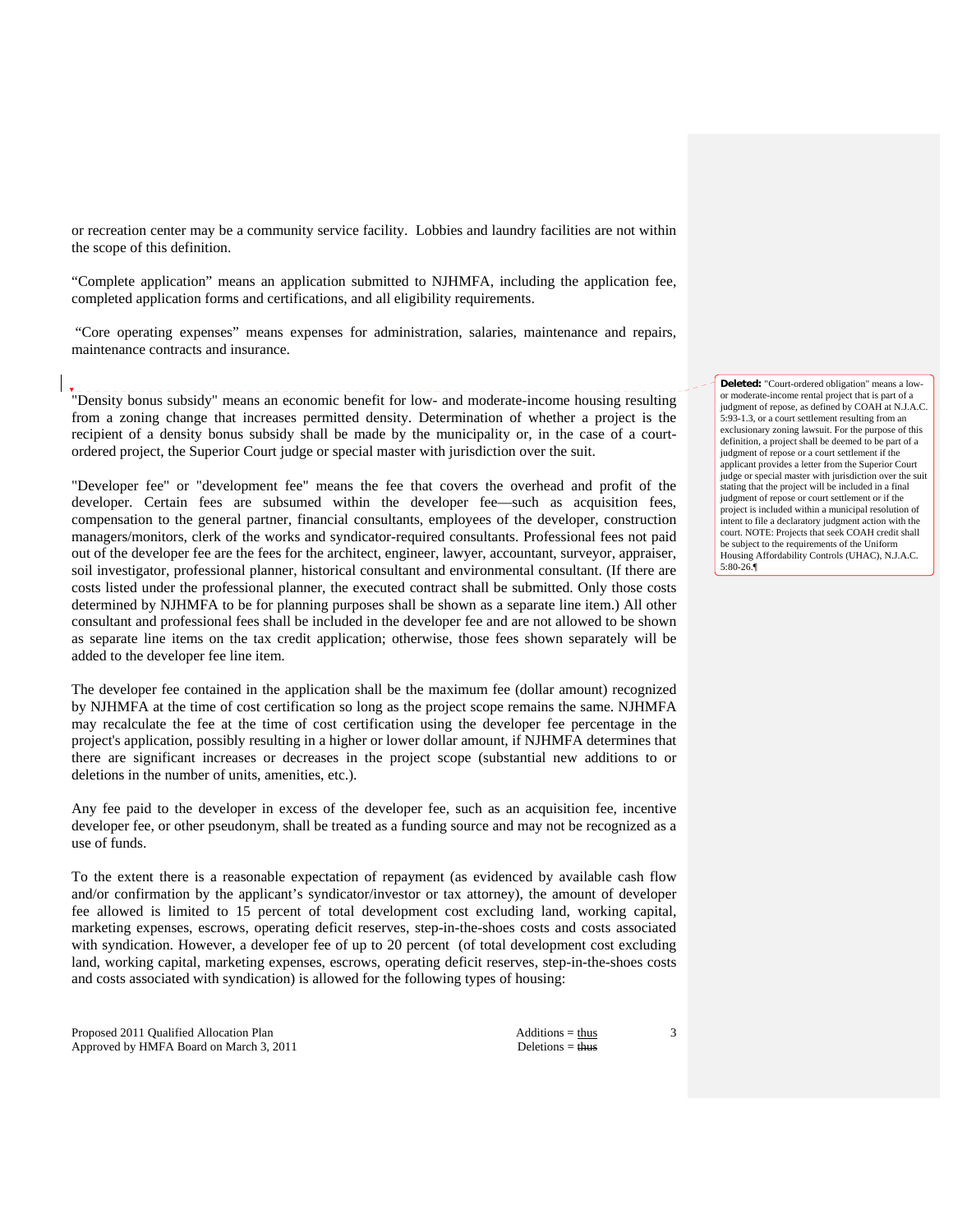or recreation center may be a community service facility. Lobbies and laundry facilities are not within the scope of this definition.

"Complete application" means an application submitted to NJHMFA, including the application fee, completed application forms and certifications, and all eligibility requirements.

 "Core operating expenses" means expenses for administration, salaries, maintenance and repairs, maintenance contracts and insurance.

"Density bonus subsidy" means an economic benefit for low- and moderate-income housing resulting from a zoning change that increases permitted density. Determination of whether a project is the recipient of a density bonus subsidy shall be made by the municipality or, in the case of a courtordered project, the Superior Court judge or special master with jurisdiction over the suit.

"Developer fee" or "development fee" means the fee that covers the overhead and profit of the developer. Certain fees are subsumed within the developer fee—such as acquisition fees, compensation to the general partner, financial consultants, employees of the developer, construction managers/monitors, clerk of the works and syndicator-required consultants. Professional fees not paid out of the developer fee are the fees for the architect, engineer, lawyer, accountant, surveyor, appraiser, soil investigator, professional planner, historical consultant and environmental consultant. (If there are costs listed under the professional planner, the executed contract shall be submitted. Only those costs determined by NJHMFA to be for planning purposes shall be shown as a separate line item.) All other consultant and professional fees shall be included in the developer fee and are not allowed to be shown as separate line items on the tax credit application; otherwise, those fees shown separately will be added to the developer fee line item.

The developer fee contained in the application shall be the maximum fee (dollar amount) recognized by NJHMFA at the time of cost certification so long as the project scope remains the same. NJHMFA may recalculate the fee at the time of cost certification using the developer fee percentage in the project's application, possibly resulting in a higher or lower dollar amount, if NJHMFA determines that there are significant increases or decreases in the project scope (substantial new additions to or deletions in the number of units, amenities, etc.).

Any fee paid to the developer in excess of the developer fee, such as an acquisition fee, incentive developer fee, or other pseudonym, shall be treated as a funding source and may not be recognized as a use of funds.

To the extent there is a reasonable expectation of repayment (as evidenced by available cash flow and/or confirmation by the applicant's syndicator/investor or tax attorney), the amount of developer fee allowed is limited to 15 percent of total development cost excluding land, working capital, marketing expenses, escrows, operating deficit reserves, step-in-the-shoes costs and costs associated with syndication. However, a developer fee of up to 20 percent (of total development cost excluding land, working capital, marketing expenses, escrows, operating deficit reserves, step-in-the-shoes costs and costs associated with syndication) is allowed for the following types of housing:

Proposed 2011 Qualified Allocation Plan Additions = thus Additions = thus Approved by HMFA Board on March 3, 2011 Deletions = thus Deletions = thus

3

**Deleted:** "Court-ordered obligation" means a lowor moderate-income rental project that is part of a judgment of repose, as defined by COAH at N.J.A.C. 5:93-1.3, or a court settlement resulting from an exclusionary zoning lawsuit. For the purpose of this definition, a project shall be deemed to be part of a judgment of repose or a court settlement if the applicant provides a letter from the Superior Court judge or special master with jurisdiction over the suit stating that the project will be included in a final judgment of repose or court settlement or if the project is included within a municipal resolution of intent to file a declaratory judgment action with the court. NOTE: Projects that seek COAH credit shall be subject to the requirements of the Uniform Housing Affordability Controls (UHAC), N.J.A.C. 5:80-26.¶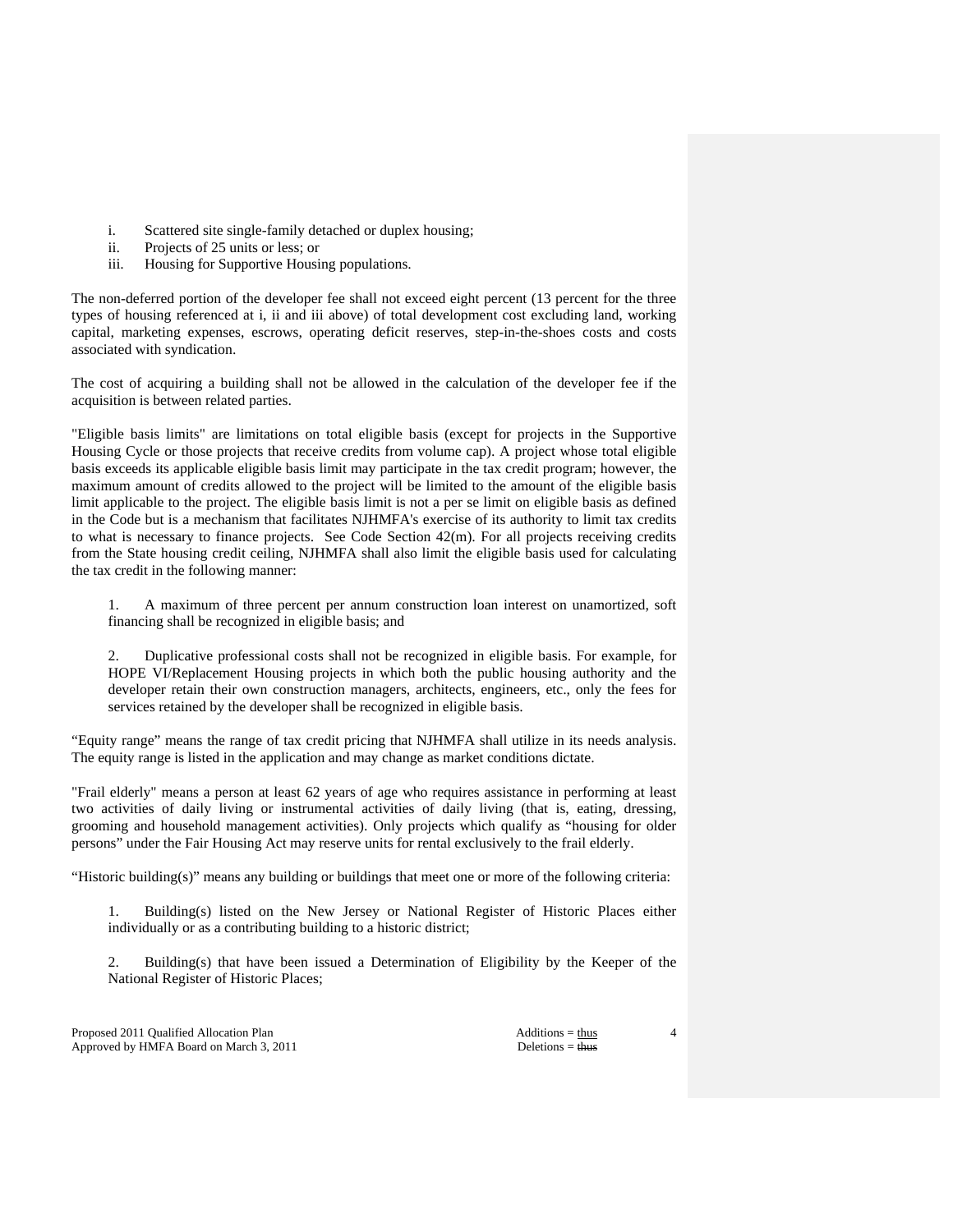- i. Scattered site single-family detached or duplex housing;
- ii. Projects of 25 units or less; or
- iii. Housing for Supportive Housing populations.

The non-deferred portion of the developer fee shall not exceed eight percent (13 percent for the three types of housing referenced at i, ii and iii above) of total development cost excluding land, working capital, marketing expenses, escrows, operating deficit reserves, step-in-the-shoes costs and costs associated with syndication.

The cost of acquiring a building shall not be allowed in the calculation of the developer fee if the acquisition is between related parties.

"Eligible basis limits" are limitations on total eligible basis (except for projects in the Supportive Housing Cycle or those projects that receive credits from volume cap). A project whose total eligible basis exceeds its applicable eligible basis limit may participate in the tax credit program; however, the maximum amount of credits allowed to the project will be limited to the amount of the eligible basis limit applicable to the project. The eligible basis limit is not a per se limit on eligible basis as defined in the Code but is a mechanism that facilitates NJHMFA's exercise of its authority to limit tax credits to what is necessary to finance projects. See Code Section 42(m). For all projects receiving credits from the State housing credit ceiling, NJHMFA shall also limit the eligible basis used for calculating the tax credit in the following manner:

 1. A maximum of three percent per annum construction loan interest on unamortized, soft financing shall be recognized in eligible basis; and

 2. Duplicative professional costs shall not be recognized in eligible basis. For example, for HOPE VI/Replacement Housing projects in which both the public housing authority and the developer retain their own construction managers, architects, engineers, etc., only the fees for services retained by the developer shall be recognized in eligible basis.

"Equity range" means the range of tax credit pricing that NJHMFA shall utilize in its needs analysis. The equity range is listed in the application and may change as market conditions dictate.

"Frail elderly" means a person at least 62 years of age who requires assistance in performing at least two activities of daily living or instrumental activities of daily living (that is, eating, dressing, grooming and household management activities). Only projects which qualify as "housing for older persons" under the Fair Housing Act may reserve units for rental exclusively to the frail elderly.

"Historic building(s)" means any building or buildings that meet one or more of the following criteria:

 1. Building(s) listed on the New Jersey or National Register of Historic Places either individually or as a contributing building to a historic district;

 2. Building(s) that have been issued a Determination of Eligibility by the Keeper of the National Register of Historic Places;

Proposed 2011 Qualified Allocation Plan Additions = thus Additions = thus Approved by HMFA Board on March 3, 2011 Deletions = thus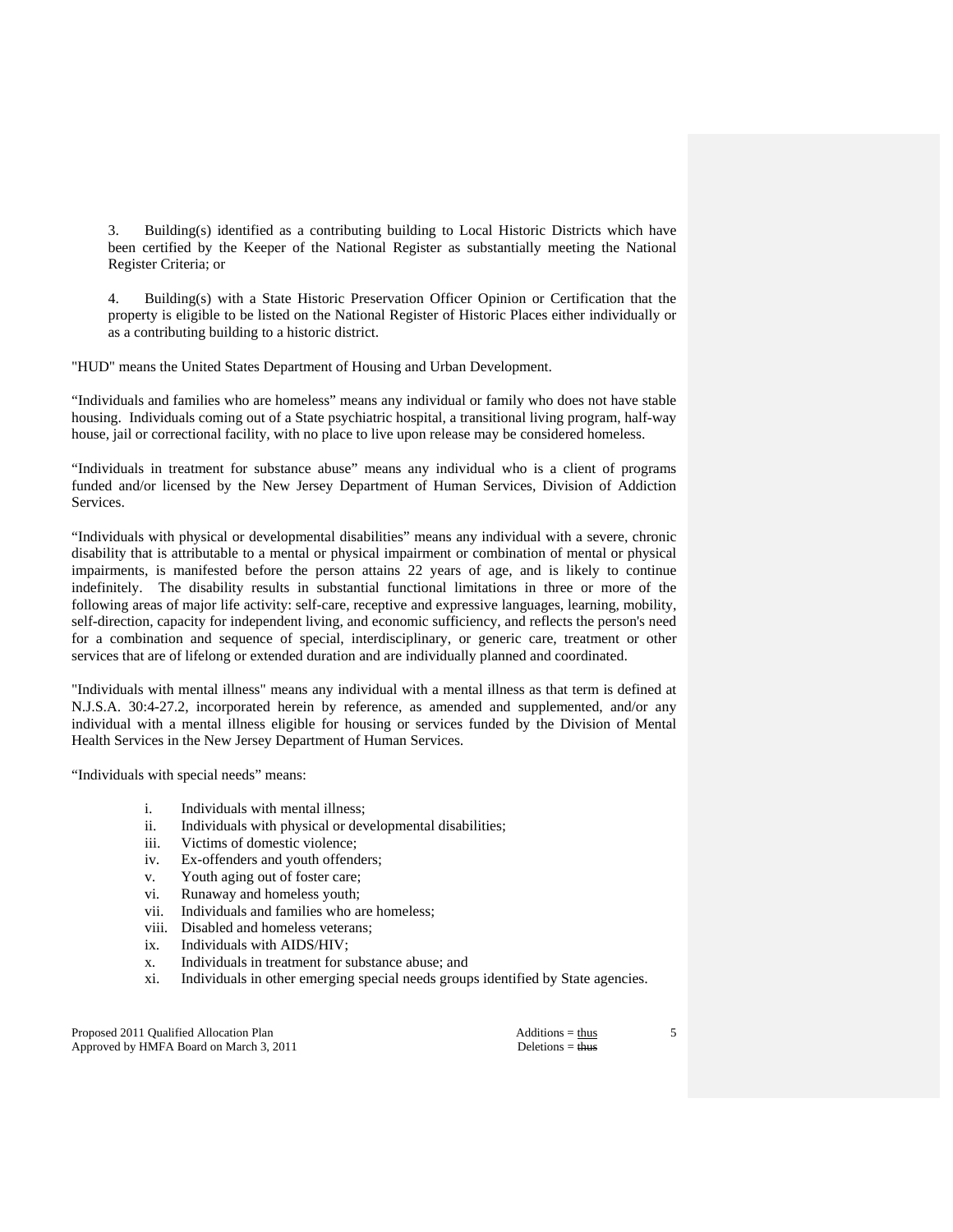3. Building(s) identified as a contributing building to Local Historic Districts which have been certified by the Keeper of the National Register as substantially meeting the National Register Criteria; or

 4. Building(s) with a State Historic Preservation Officer Opinion or Certification that the property is eligible to be listed on the National Register of Historic Places either individually or as a contributing building to a historic district.

"HUD" means the United States Department of Housing and Urban Development.

"Individuals and families who are homeless" means any individual or family who does not have stable housing. Individuals coming out of a State psychiatric hospital, a transitional living program, half-way house, jail or correctional facility, with no place to live upon release may be considered homeless.

"Individuals in treatment for substance abuse" means any individual who is a client of programs funded and/or licensed by the New Jersey Department of Human Services, Division of Addiction Services.

"Individuals with physical or developmental disabilities" means any individual with a severe, chronic disability that is attributable to a mental or physical impairment or combination of mental or physical impairments, is manifested before the person attains 22 years of age, and is likely to continue indefinitely. The disability results in substantial functional limitations in three or more of the following areas of major life activity: self-care, receptive and expressive languages, learning, mobility, self-direction, capacity for independent living, and economic sufficiency, and reflects the person's need for a combination and sequence of special, interdisciplinary, or generic care, treatment or other services that are of lifelong or extended duration and are individually planned and coordinated.

"Individuals with mental illness" means any individual with a mental illness as that term is defined at N.J.S.A. 30:4-27.2, incorporated herein by reference, as amended and supplemented, and/or any individual with a mental illness eligible for housing or services funded by the Division of Mental Health Services in the New Jersey Department of Human Services.

"Individuals with special needs" means:

- i. Individuals with mental illness;
- ii. Individuals with physical or developmental disabilities;
- iii. Victims of domestic violence;
- iv. Ex-offenders and youth offenders;
- v. Youth aging out of foster care;
- vi. Runaway and homeless youth;
- vii. Individuals and families who are homeless;
- viii. Disabled and homeless veterans;
- ix. Individuals with AIDS/HIV;
- x. Individuals in treatment for substance abuse; and
- xi. Individuals in other emerging special needs groups identified by State agencies.

Proposed 2011 Qualified Allocation Plan Additions = thus Additions = thus Approved by HMFA Board on March 3, 2011 Deletions = thus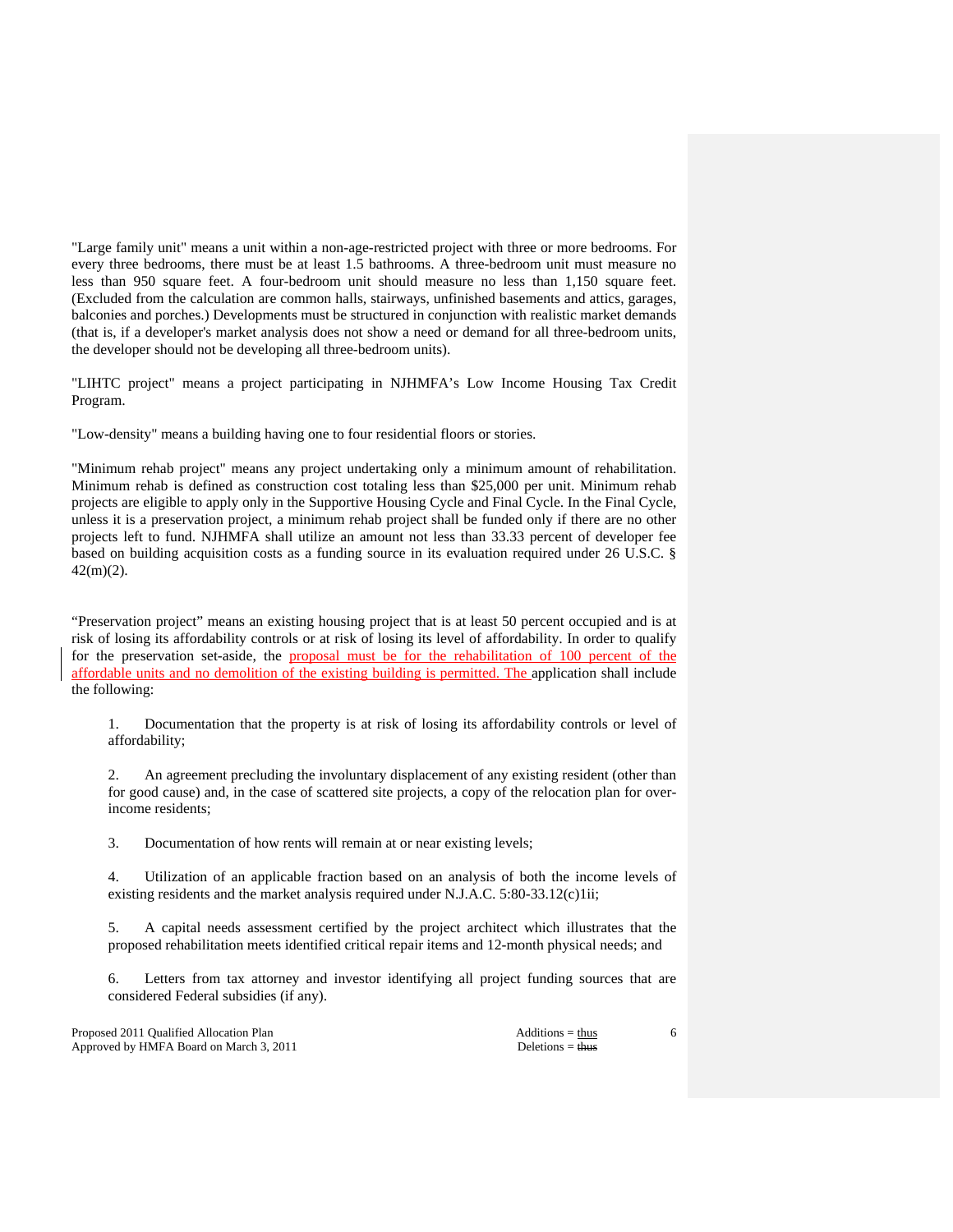"Large family unit" means a unit within a non-age-restricted project with three or more bedrooms. For every three bedrooms, there must be at least 1.5 bathrooms. A three-bedroom unit must measure no less than 950 square feet. A four-bedroom unit should measure no less than 1,150 square feet. (Excluded from the calculation are common halls, stairways, unfinished basements and attics, garages, balconies and porches.) Developments must be structured in conjunction with realistic market demands (that is, if a developer's market analysis does not show a need or demand for all three-bedroom units, the developer should not be developing all three-bedroom units).

"LIHTC project" means a project participating in NJHMFA's Low Income Housing Tax Credit Program.

"Low-density" means a building having one to four residential floors or stories.

"Minimum rehab project" means any project undertaking only a minimum amount of rehabilitation. Minimum rehab is defined as construction cost totaling less than \$25,000 per unit. Minimum rehab projects are eligible to apply only in the Supportive Housing Cycle and Final Cycle. In the Final Cycle, unless it is a preservation project, a minimum rehab project shall be funded only if there are no other projects left to fund. NJHMFA shall utilize an amount not less than 33.33 percent of developer fee based on building acquisition costs as a funding source in its evaluation required under 26 U.S.C. § 42(m)(2).

"Preservation project" means an existing housing project that is at least 50 percent occupied and is at risk of losing its affordability controls or at risk of losing its level of affordability. In order to qualify for the preservation set-aside, the proposal must be for the rehabilitation of 100 percent of the affordable units and no demolition of the existing building is permitted. The application shall include the following:

 1. Documentation that the property is at risk of losing its affordability controls or level of affordability;

 2. An agreement precluding the involuntary displacement of any existing resident (other than for good cause) and, in the case of scattered site projects, a copy of the relocation plan for overincome residents;

3. Documentation of how rents will remain at or near existing levels;

 4. Utilization of an applicable fraction based on an analysis of both the income levels of existing residents and the market analysis required under N.J.A.C.  $5:80-33.12(c)1ii$ ;

 5. A capital needs assessment certified by the project architect which illustrates that the proposed rehabilitation meets identified critical repair items and 12-month physical needs; and

 6. Letters from tax attorney and investor identifying all project funding sources that are considered Federal subsidies (if any).

Proposed 2011 Qualified Allocation Plan Additions = thus Additions = thus Approved by HMFA Board on March 3, 2011 Deletions = thus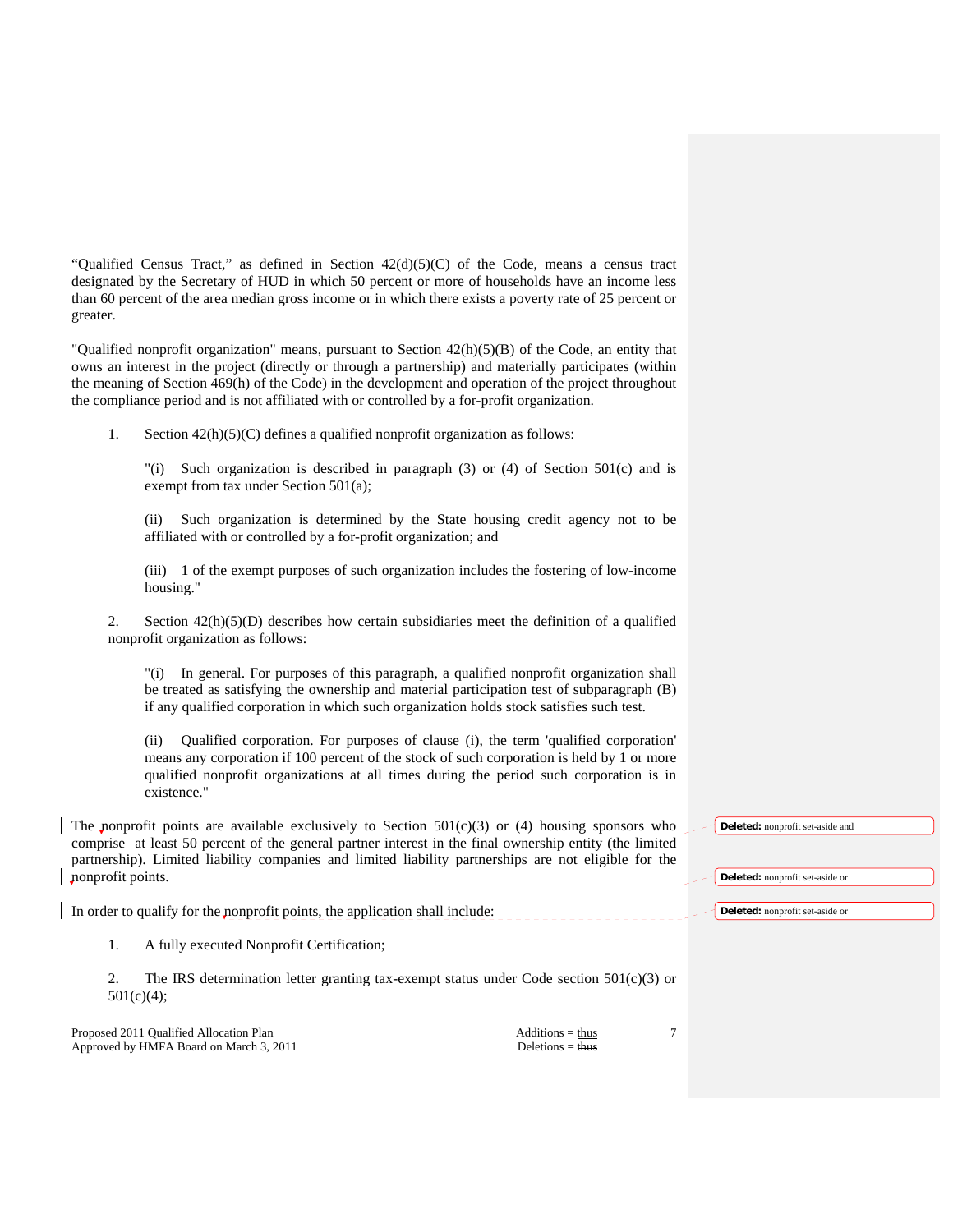"Qualified Census Tract," as defined in Section  $42(d)(5)(C)$  of the Code, means a census tract designated by the Secretary of HUD in which 50 percent or more of households have an income less than 60 percent of the area median gross income or in which there exists a poverty rate of 25 percent or greater.

"Qualified nonprofit organization" means, pursuant to Section 42(h)(5)(B) of the Code, an entity that owns an interest in the project (directly or through a partnership) and materially participates (within the meaning of Section 469(h) of the Code) in the development and operation of the project throughout the compliance period and is not affiliated with or controlled by a for-profit organization.

1. Section 42(h)(5)(C) defines a qualified nonprofit organization as follows:

 "(i) Such organization is described in paragraph (3) or (4) of Section 501(c) and is exempt from tax under Section 501(a);

 (ii) Such organization is determined by the State housing credit agency not to be affiliated with or controlled by a for-profit organization; and

 (iii) 1 of the exempt purposes of such organization includes the fostering of low-income housing."

2. Section  $42(h)(5)(D)$  describes how certain subsidiaries meet the definition of a qualified nonprofit organization as follows:

 "(i) In general. For purposes of this paragraph, a qualified nonprofit organization shall be treated as satisfying the ownership and material participation test of subparagraph (B) if any qualified corporation in which such organization holds stock satisfies such test.

 (ii) Qualified corporation. For purposes of clause (i), the term 'qualified corporation' means any corporation if 100 percent of the stock of such corporation is held by 1 or more qualified nonprofit organizations at all times during the period such corporation is in existence."

| The nonprofit points are available exclusively to Section $501(c)(3)$ or (4) housing sponsors who<br>comprise at least 50 percent of the general partner interest in the final ownership entity (the limited<br>partnership). Limited liability companies and limited liability partnerships are not eligible for the<br>nonprofit points. |                                          | Deleted: nonprofit set-aside and<br><b>Deleted:</b> nonprofit set-aside or |
|--------------------------------------------------------------------------------------------------------------------------------------------------------------------------------------------------------------------------------------------------------------------------------------------------------------------------------------------|------------------------------------------|----------------------------------------------------------------------------|
| In order to qualify for the nonprofit points, the application shall include:                                                                                                                                                                                                                                                               |                                          | <b>Deleted:</b> nonprofit set-aside or                                     |
| A fully executed Nonprofit Certification;                                                                                                                                                                                                                                                                                                  |                                          |                                                                            |
| 2.<br>The IRS determination letter granting tax-exempt status under Code section $501(c)(3)$ or<br>$501(c)(4)$ ;                                                                                                                                                                                                                           |                                          |                                                                            |
| Proposed 2011 Qualified Allocation Plan<br>Approved by HMFA Board on March 3, 2011                                                                                                                                                                                                                                                         | $Additions = thus$<br>Deletions $=$ thus | ┑                                                                          |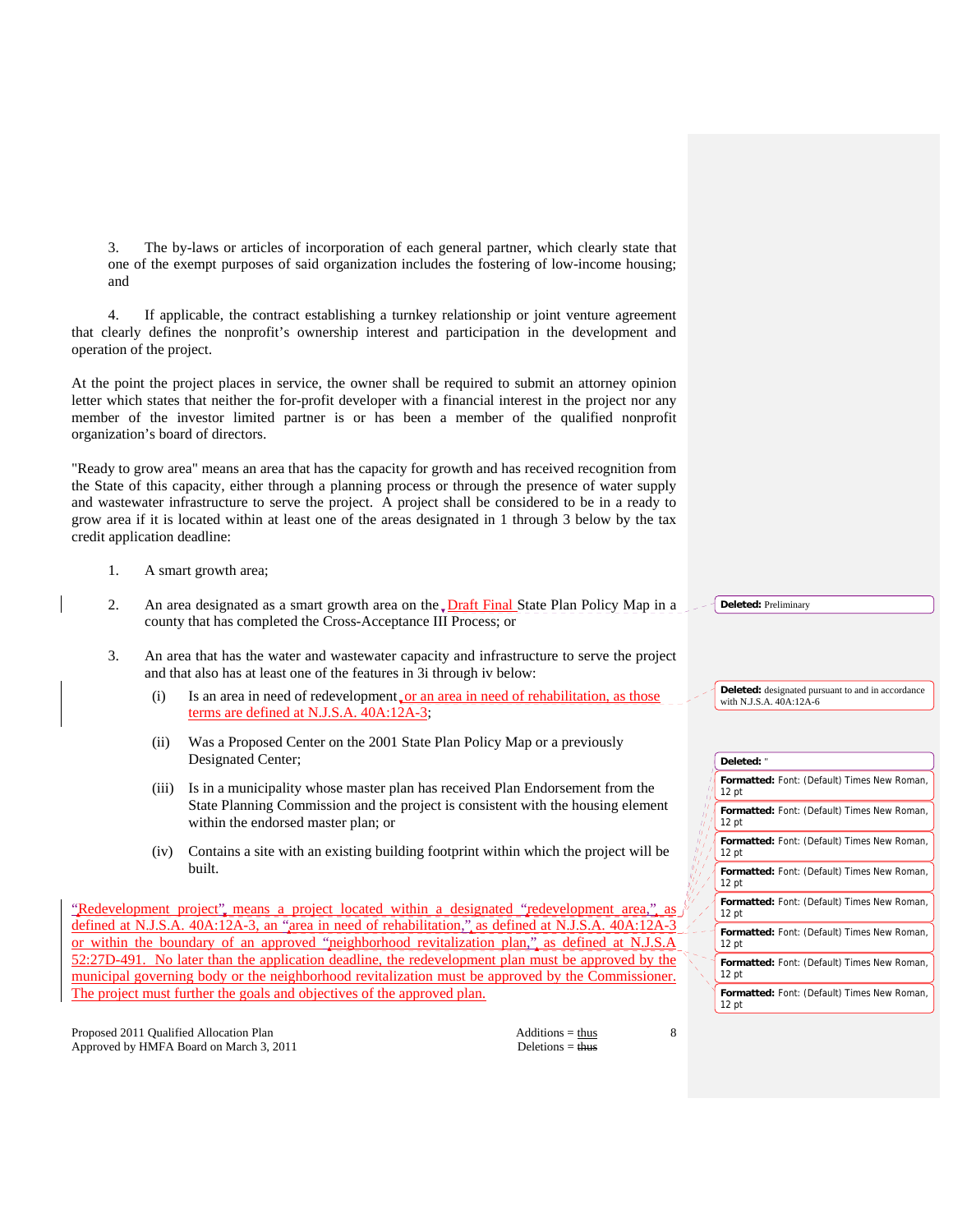3. The by-laws or articles of incorporation of each general partner, which clearly state that one of the exempt purposes of said organization includes the fostering of low-income housing; and

 4. If applicable, the contract establishing a turnkey relationship or joint venture agreement that clearly defines the nonprofit's ownership interest and participation in the development and operation of the project.

At the point the project places in service, the owner shall be required to submit an attorney opinion letter which states that neither the for-profit developer with a financial interest in the project nor any member of the investor limited partner is or has been a member of the qualified nonprofit organization's board of directors.

"Ready to grow area" means an area that has the capacity for growth and has received recognition from the State of this capacity, either through a planning process or through the presence of water supply and wastewater infrastructure to serve the project. A project shall be considered to be in a ready to grow area if it is located within at least one of the areas designated in 1 through 3 below by the tax credit application deadline:

- 1. A smart growth area;
- 2. An area designated as a smart growth area on the Draft Final State Plan Policy Map in a county that has completed the Cross-Acceptance III Process; or
- 3. An area that has the water and wastewater capacity and infrastructure to serve the project and that also has at least one of the features in 3i through iv below:
	- (i) Is an area in need of redevelopment or an area in need of rehabilitation, as those terms are defined at N.J.S.A. 40A:12A-3;
	- (ii) Was a Proposed Center on the 2001 State Plan Policy Map or a previously Designated Center;
	- (iii) Is in a municipality whose master plan has received Plan Endorsement from the State Planning Commission and the project is consistent with the housing element within the endorsed master plan; or
	- (iv) Contains a site with an existing building footprint within which the project will be built.

Redevelopment project" means a project located within a designated "redevelopment area," defined at N.J.S.A. 40A:12A-3, an "area in need of rehabilitation," as defined at N.J.S.A. 40A:12A-3 or within the boundary of an approved "neighborhood revitalization plan," as defined at N.J.S.A 52:27D-491. No later than the application deadline, the redevelopment plan must be approved by the municipal governing body or the neighborhood revitalization must be approved by the Commissioner. The project must further the goals and objectives of the approved plan.

Proposed 2011 Qualified Allocation Plan Additions = thus Additions = thus Approved by HMFA Board on March 3, 2011 Deletions = thus

8

**Deleted:** Preliminary

**Deleted:** designated pursuant to and in accordance with N.J.S.A. 40A:12A-6

| Deleted: "                                                             |
|------------------------------------------------------------------------|
| Formatted: Font: (Default) Times New Roman,<br>12 <sub>pt</sub>        |
| <b>Formatted:</b> Font: (Default) Times New Roman,<br>12 <sub>pt</sub> |
| <b>Formatted:</b> Font: (Default) Times New Roman,<br>12 <sub>pt</sub> |
| <b>Formatted:</b> Font: (Default) Times New Roman,<br>12 <sub>pt</sub> |
| <b>Formatted:</b> Font: (Default) Times New Roman,<br>12 <sub>pt</sub> |
| <b>Formatted:</b> Font: (Default) Times New Roman,<br>12 <sub>pt</sub> |
| Formatted: Font: (Default) Times New Roman,<br>$12$ pt                 |
| Formatted: Font: (Default) Times New Roman,<br>12 <sub>pt</sub>        |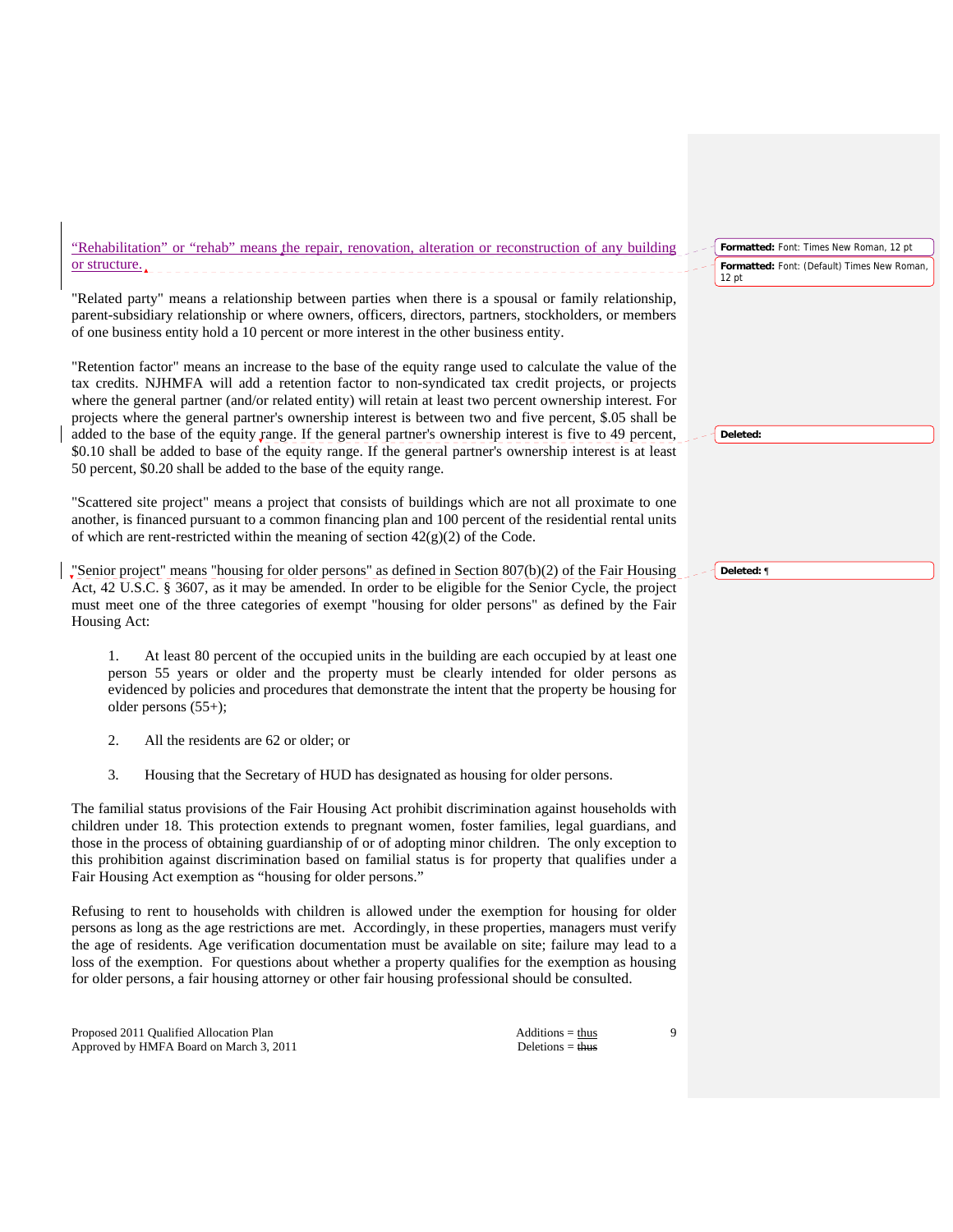"Rehabilitation" or "rehab" means the repair, renovation, alteration or reconstruction of any building or structure. 12 pt

"Related party" means a relationship between parties when there is a spousal or family relationship, parent-subsidiary relationship or where owners, officers, directors, partners, stockholders, or members of one business entity hold a 10 percent or more interest in the other business entity.

"Retention factor" means an increase to the base of the equity range used to calculate the value of the tax credits. NJHMFA will add a retention factor to non-syndicated tax credit projects, or projects where the general partner (and/or related entity) will retain at least two percent ownership interest. For projects where the general partner's ownership interest is between two and five percent, \$.05 shall be added to the base of the equity range. If the general partner's ownership interest is five to 49 percent, \$0.10 shall be added to base of the equity range. If the general partner's ownership interest is at least 50 percent, \$0.20 shall be added to the base of the equity range.

"Scattered site project" means a project that consists of buildings which are not all proximate to one another, is financed pursuant to a common financing plan and 100 percent of the residential rental units of which are rent-restricted within the meaning of section  $42(g)(2)$  of the Code.

"Senior project" means "housing for older persons" as defined in Section 807(b)(2) of the Fair Housing Act, 42 U.S.C. § 3607, as it may be amended. In order to be eligible for the Senior Cycle, the project must meet one of the three categories of exempt "housing for older persons" as defined by the Fair Housing Act:

 1. At least 80 percent of the occupied units in the building are each occupied by at least one person 55 years or older and the property must be clearly intended for older persons as evidenced by policies and procedures that demonstrate the intent that the property be housing for older persons (55+);

- 2. All the residents are 62 or older; or
- 3. Housing that the Secretary of HUD has designated as housing for older persons.

The familial status provisions of the Fair Housing Act prohibit discrimination against households with children under 18. This protection extends to pregnant women, foster families, legal guardians, and those in the process of obtaining guardianship of or of adopting minor children. The only exception to this prohibition against discrimination based on familial status is for property that qualifies under a Fair Housing Act exemption as "housing for older persons."

Refusing to rent to households with children is allowed under the exemption for housing for older persons as long as the age restrictions are met. Accordingly, in these properties, managers must verify the age of residents. Age verification documentation must be available on site; failure may lead to a loss of the exemption. For questions about whether a property qualifies for the exemption as housing for older persons, a fair housing attorney or other fair housing professional should be consulted.

Proposed 2011 Qualified Allocation Plan Additions = thus Additions = thus Approved by HMFA Board on March 3, 2011 Deletions = thus Deletions = thus

9

**Formatted:** Font: Times New Roman, 12 pt **Formatted:** Font: (Default) Times New Roman,

**Deleted:** ¶

**Deleted:**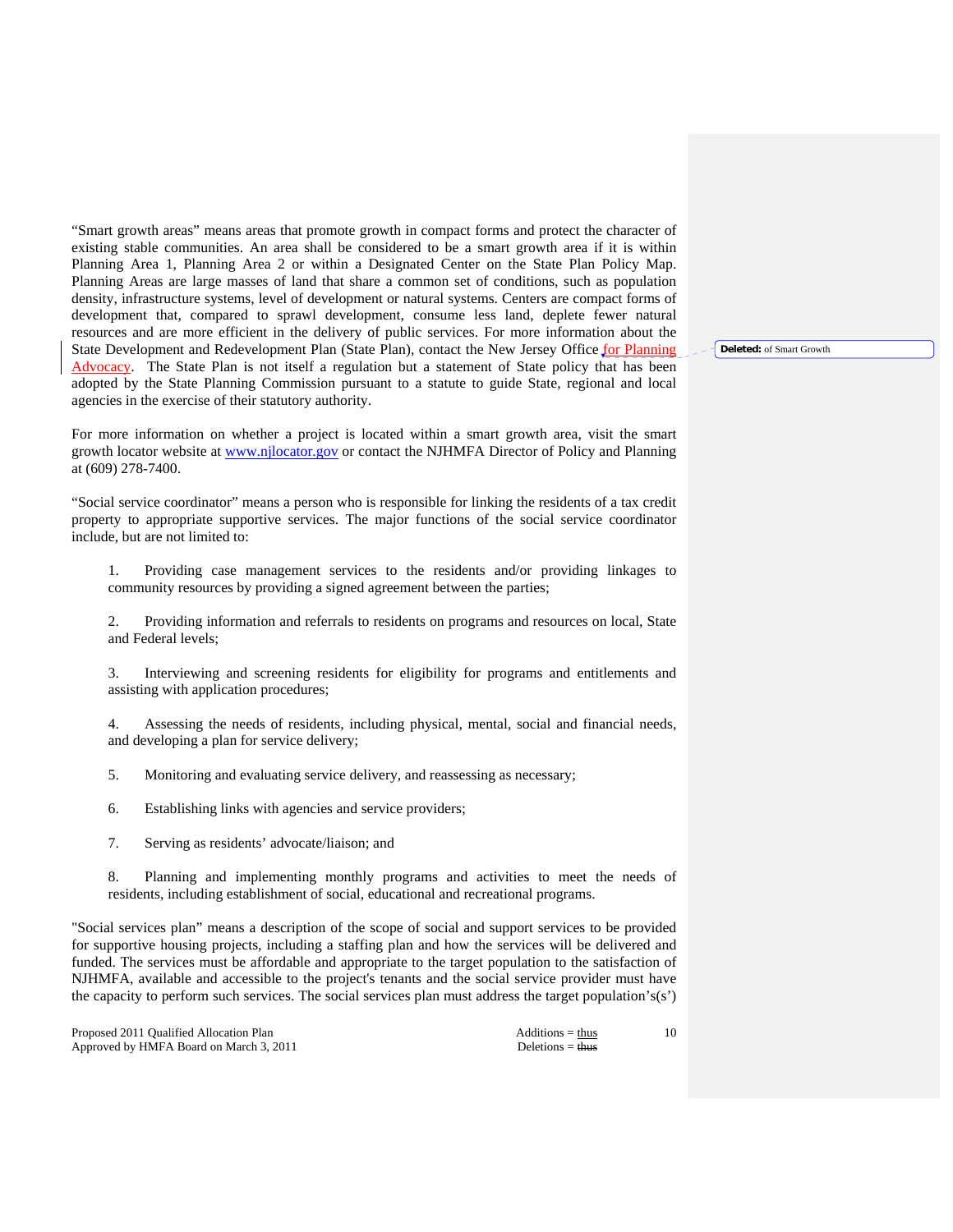"Smart growth areas" means areas that promote growth in compact forms and protect the character of existing stable communities. An area shall be considered to be a smart growth area if it is within Planning Area 1, Planning Area 2 or within a Designated Center on the State Plan Policy Map. Planning Areas are large masses of land that share a common set of conditions, such as population density, infrastructure systems, level of development or natural systems. Centers are compact forms of development that, compared to sprawl development, consume less land, deplete fewer natural resources and are more efficient in the delivery of public services. For more information about the State Development and Redevelopment Plan (State Plan), contact the New Jersey Office for Planning Advocacy. The State Plan is not itself a regulation but a statement of State policy that has been adopted by the State Planning Commission pursuant to a statute to guide State, regional and local agencies in the exercise of their statutory authority.

For more information on whether a project is located within a smart growth area, visit the smart growth locator website at www.njlocator.gov or contact the NJHMFA Director of Policy and Planning at (609) 278-7400.

"Social service coordinator" means a person who is responsible for linking the residents of a tax credit property to appropriate supportive services. The major functions of the social service coordinator include, but are not limited to:

 1. Providing case management services to the residents and/or providing linkages to community resources by providing a signed agreement between the parties;

 2. Providing information and referrals to residents on programs and resources on local, State and Federal levels;

Interviewing and screening residents for eligibility for programs and entitlements and assisting with application procedures;

 4. Assessing the needs of residents, including physical, mental, social and financial needs, and developing a plan for service delivery;

5. Monitoring and evaluating service delivery, and reassessing as necessary;

6. Establishing links with agencies and service providers;

7. Serving as residents' advocate/liaison; and

 8. Planning and implementing monthly programs and activities to meet the needs of residents, including establishment of social, educational and recreational programs.

"Social services plan" means a description of the scope of social and support services to be provided for supportive housing projects, including a staffing plan and how the services will be delivered and funded. The services must be affordable and appropriate to the target population to the satisfaction of NJHMFA, available and accessible to the project's tenants and the social service provider must have the capacity to perform such services. The social services plan must address the target population's(s')

Proposed 2011 Qualified Allocation Plan Additions = thus Approved by HMFA Board on March 3, 2011 Deletions = thus Deletions = thus

10

**Deleted:** of Smart Growth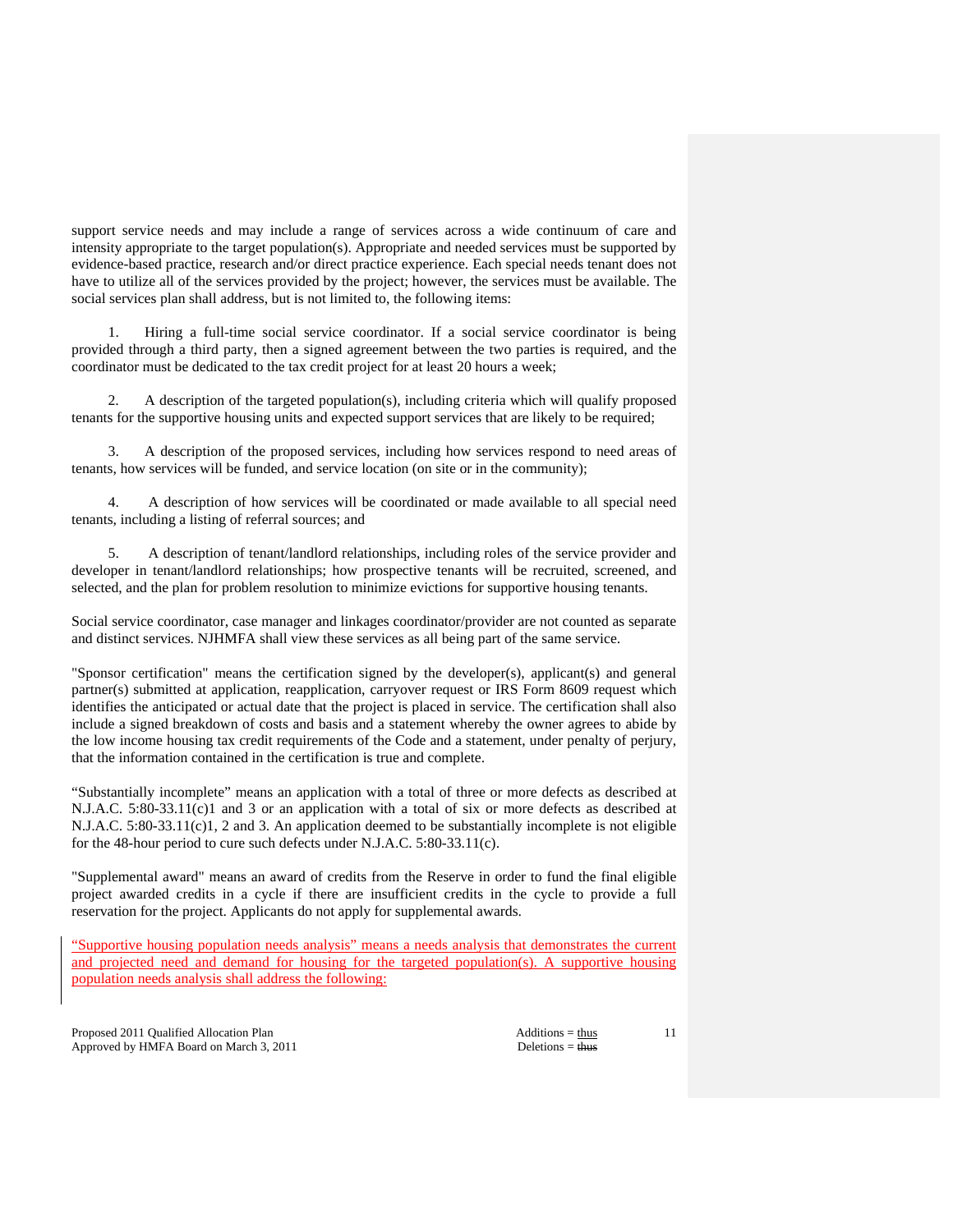support service needs and may include a range of services across a wide continuum of care and intensity appropriate to the target population(s). Appropriate and needed services must be supported by evidence-based practice, research and/or direct practice experience. Each special needs tenant does not have to utilize all of the services provided by the project; however, the services must be available. The social services plan shall address, but is not limited to, the following items:

 1. Hiring a full-time social service coordinator. If a social service coordinator is being provided through a third party, then a signed agreement between the two parties is required, and the coordinator must be dedicated to the tax credit project for at least 20 hours a week;

 2. A description of the targeted population(s), including criteria which will qualify proposed tenants for the supportive housing units and expected support services that are likely to be required;

 3. A description of the proposed services, including how services respond to need areas of tenants, how services will be funded, and service location (on site or in the community);

 4. A description of how services will be coordinated or made available to all special need tenants, including a listing of referral sources; and

 5. A description of tenant/landlord relationships, including roles of the service provider and developer in tenant/landlord relationships; how prospective tenants will be recruited, screened, and selected, and the plan for problem resolution to minimize evictions for supportive housing tenants.

Social service coordinator, case manager and linkages coordinator/provider are not counted as separate and distinct services. NJHMFA shall view these services as all being part of the same service.

"Sponsor certification" means the certification signed by the developer(s), applicant(s) and general partner(s) submitted at application, reapplication, carryover request or IRS Form 8609 request which identifies the anticipated or actual date that the project is placed in service. The certification shall also include a signed breakdown of costs and basis and a statement whereby the owner agrees to abide by the low income housing tax credit requirements of the Code and a statement, under penalty of perjury, that the information contained in the certification is true and complete.

"Substantially incomplete" means an application with a total of three or more defects as described at N.J.A.C. 5:80-33.11(c)1 and 3 or an application with a total of six or more defects as described at N.J.A.C. 5:80-33.11(c)1, 2 and 3. An application deemed to be substantially incomplete is not eligible for the 48-hour period to cure such defects under N.J.A.C. 5:80-33.11(c).

"Supplemental award" means an award of credits from the Reserve in order to fund the final eligible project awarded credits in a cycle if there are insufficient credits in the cycle to provide a full reservation for the project. Applicants do not apply for supplemental awards.

"Supportive housing population needs analysis" means a needs analysis that demonstrates the current and projected need and demand for housing for the targeted population(s). A supportive housing population needs analysis shall address the following:

Proposed 2011 Qualified Allocation Plan Additions = thus Additions = thus Approved by HMFA Board on March 3, 2011 Deletions = thus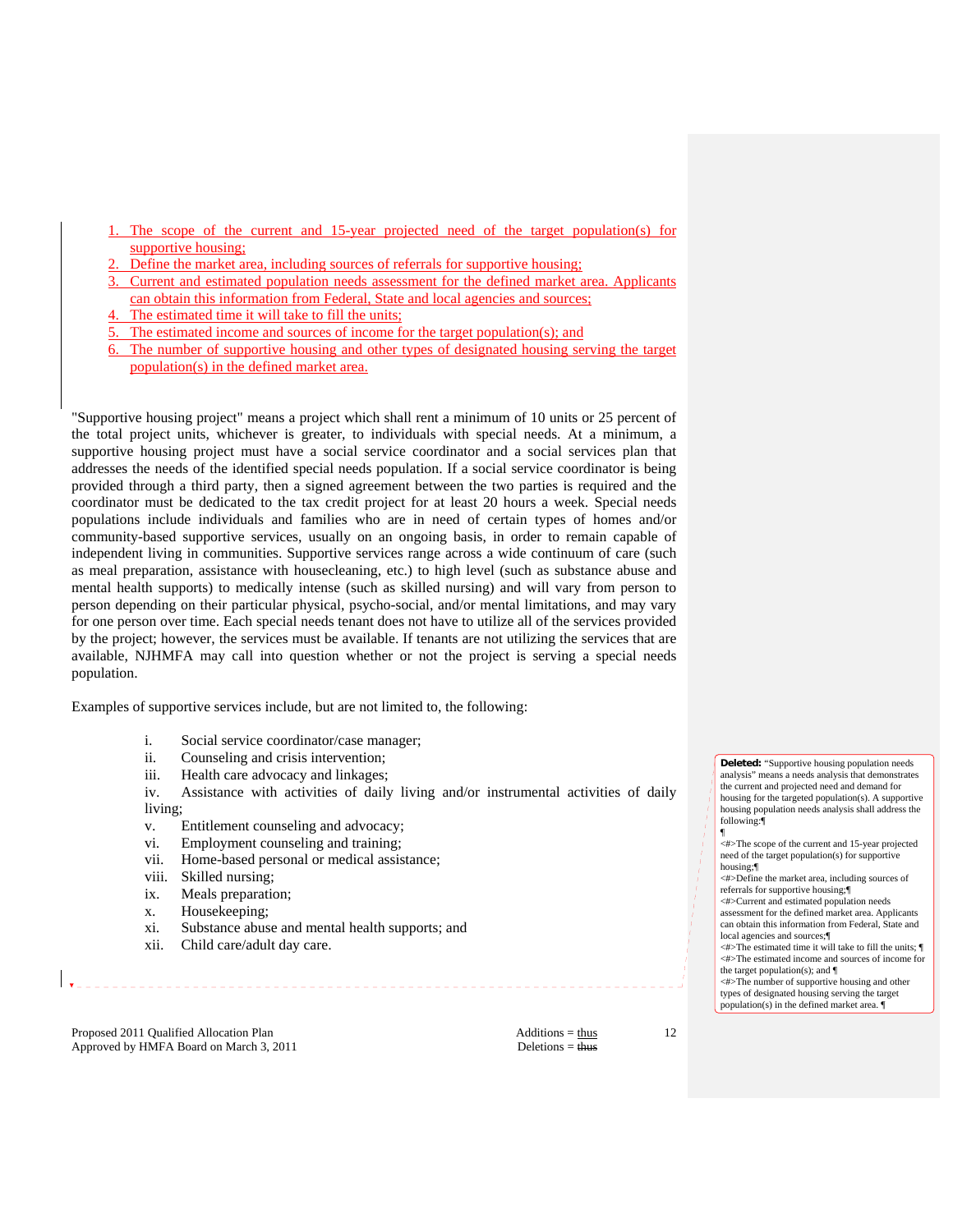- 1. The scope of the current and 15-year projected need of the target population(s) for supportive housing;
- Define the market area, including sources of referrals for supportive housing;
- Current and estimated population needs assessment for the defined market area. Applicants can obtain this information from Federal, State and local agencies and sources;
- The estimated time it will take to fill the units;
- The estimated income and sources of income for the target population(s); and
- 6. The number of supportive housing and other types of designated housing serving the target population(s) in the defined market area.

"Supportive housing project" means a project which shall rent a minimum of 10 units or 25 percent of the total project units, whichever is greater, to individuals with special needs. At a minimum, a supportive housing project must have a social service coordinator and a social services plan that addresses the needs of the identified special needs population. If a social service coordinator is being provided through a third party, then a signed agreement between the two parties is required and the coordinator must be dedicated to the tax credit project for at least 20 hours a week. Special needs populations include individuals and families who are in need of certain types of homes and/or community-based supportive services, usually on an ongoing basis, in order to remain capable of independent living in communities. Supportive services range across a wide continuum of care (such as meal preparation, assistance with housecleaning, etc.) to high level (such as substance abuse and mental health supports) to medically intense (such as skilled nursing) and will vary from person to person depending on their particular physical, psycho-social, and/or mental limitations, and may vary for one person over time. Each special needs tenant does not have to utilize all of the services provided by the project; however, the services must be available. If tenants are not utilizing the services that are available, NJHMFA may call into question whether or not the project is serving a special needs population.

Examples of supportive services include, but are not limited to, the following:

- i. Social service coordinator/case manager;
- ii. Counseling and crisis intervention;<br>iii. Health care advocacy and linkages;
- Health care advocacy and linkages;
- iv. Assistance with activities of daily living and/or instrumental activities of daily living;
- v. Entitlement counseling and advocacy;
- vi. Employment counseling and training;
- vii. Home-based personal or medical assistance;
- viii. Skilled nursing;
- ix. Meals preparation;
- x. Housekeeping;
- xi. Substance abuse and mental health supports; and
- xii. Child care/adult day care.

Proposed 2011 Qualified Allocation Plan Additions = thus Additions = thus Approved by HMFA Board on March 3, 2011 Deletions = thus

12

**Deleted:** "Supportive housing population needs analysis" means a needs analysis that demonstrates the current and projected need and demand for housing for the targeted population(s). A supportive housing population needs analysis shall address the following:¶ ¶ <#>The scope of the current and 15-year projected need of the target population(s) for supportive housing;¶ <#>Define the market area, including sources of referrals for supportive housing;¶ <#>Current and estimated population needs assessment for the defined market area. Applicants

- can obtain this information from Federal, State and local agencies and sources;¶  $\lt$ #>The estimated time it will take to fill the units:  $\P$
- <#>The estimated income and sources of income for the target population(s); and  $\P$
- <#>The number of supportive housing and other types of designated housing serving the target population(s) in the defined market area. ¶
-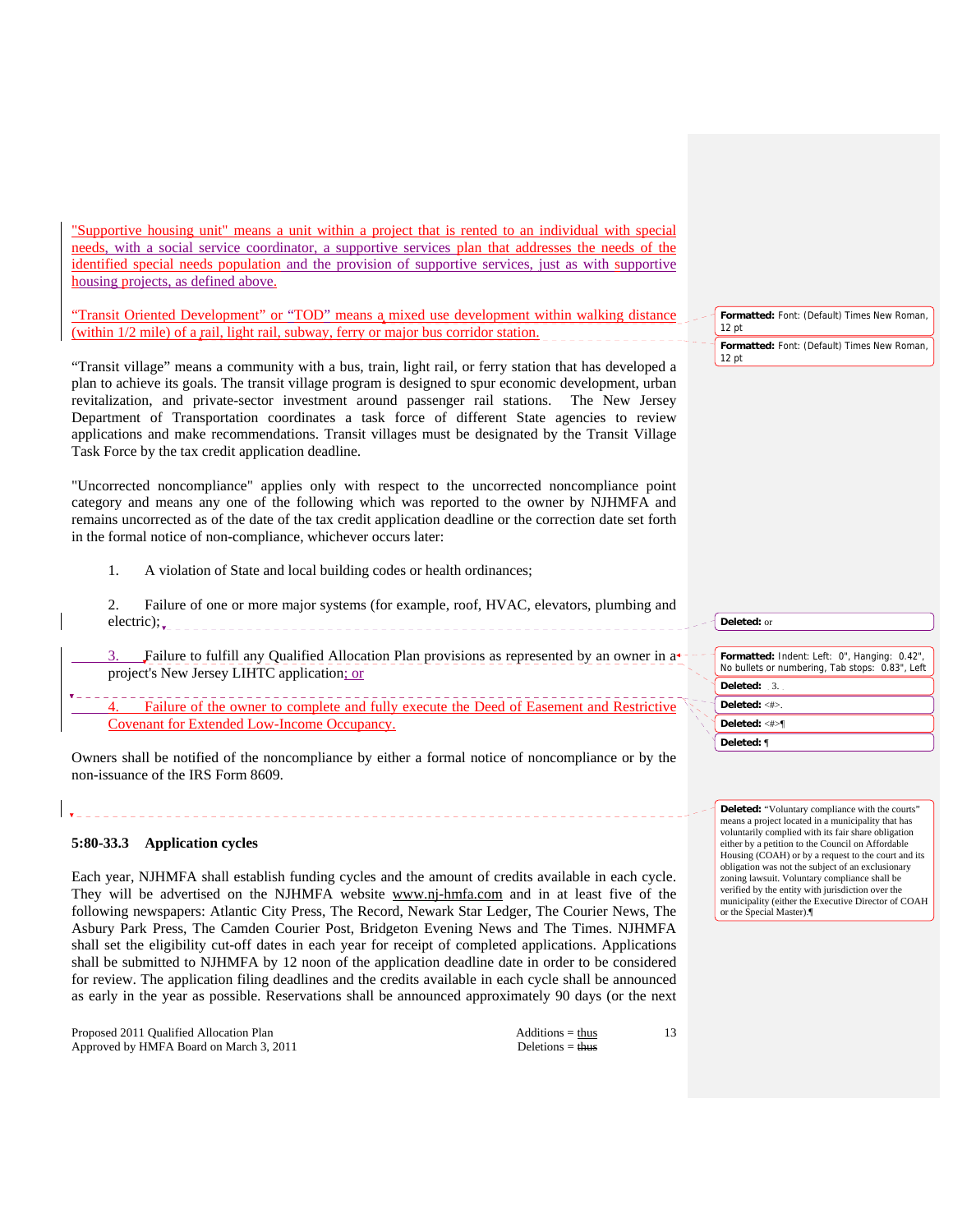"Supportive housing unit" means a unit within a project that is rented to an individual with special needs, with a social service coordinator, a supportive services plan that addresses the needs of the identified special needs population and the provision of supportive services, just as with supportive housing projects, as defined above.

"Transit Oriented Development" or "TOD" means a mixed use development within walking distance (within 1/2 mile) of a rail, light rail, subway, ferry or major bus corridor station.

"Transit village" means a community with a bus, train, light rail, or ferry station that has developed a plan to achieve its goals. The transit village program is designed to spur economic development, urban revitalization, and private-sector investment around passenger rail stations. The New Jersey Department of Transportation coordinates a task force of different State agencies to review applications and make recommendations. Transit villages must be designated by the Transit Village Task Force by the tax credit application deadline.

"Uncorrected noncompliance" applies only with respect to the uncorrected noncompliance point category and means any one of the following which was reported to the owner by NJHMFA and remains uncorrected as of the date of the tax credit application deadline or the correction date set forth in the formal notice of non-compliance, whichever occurs later:

1. A violation of State and local building codes or health ordinances;

 2. Failure of one or more major systems (for example, roof, HVAC, elevators, plumbing and electric);

Failure to fulfill any Qualified Allocation Plan provisions as represented by an owner in a project's New Jersey LIHTC application; or

Failure of the owner to complete and fully execute the Deed of Easement and Restrictive Covenant for Extended Low-Income Occupancy.

Owners shall be notified of the noncompliance by either a formal notice of noncompliance or by the non-issuance of the IRS Form 8609.

# **5:80-33.3 Application cycles**

Each year, NJHMFA shall establish funding cycles and the amount of credits available in each cycle. They will be advertised on the NJHMFA website www.nj-hmfa.com and in at least five of the following newspapers: Atlantic City Press, The Record, Newark Star Ledger, The Courier News, The Asbury Park Press, The Camden Courier Post, Bridgeton Evening News and The Times. NJHMFA shall set the eligibility cut-off dates in each year for receipt of completed applications. Applications shall be submitted to NJHMFA by 12 noon of the application deadline date in order to be considered for review. The application filing deadlines and the credits available in each cycle shall be announced as early in the year as possible. Reservations shall be announced approximately 90 days (or the next

Proposed 2011 Qualified Allocation Plan Additions = thus Additions = thus Approved by HMFA Board on March 3, 2011 Deletions = thus

13

**Formatted:** Font: (Default) Times New Roman, 12 pt **Formatted:** Font: (Default) Times New Roman,

**Deleted:** or

12 pt

**Formatted:** Indent: Left: 0", Hanging: 0.42", No bullets or numbering, Tab stops: 0.83", Left **Deleted:** 3. **Deleted:** <#>. **Deleted:** <#>¶ **Deleted:** ¶

**Deleted:** "Voluntary compliance with the courts" means a project located in a municipality that has voluntarily complied with its fair share obligation either by a petition to the Council on Affordable Housing (COAH) or by a request to the court and its obligation was not the subject of an exclusionary zoning lawsuit. Voluntary compliance shall be verified by the entity with jurisdiction over the municipality (either the Executive Director of COAH or the Special Master).¶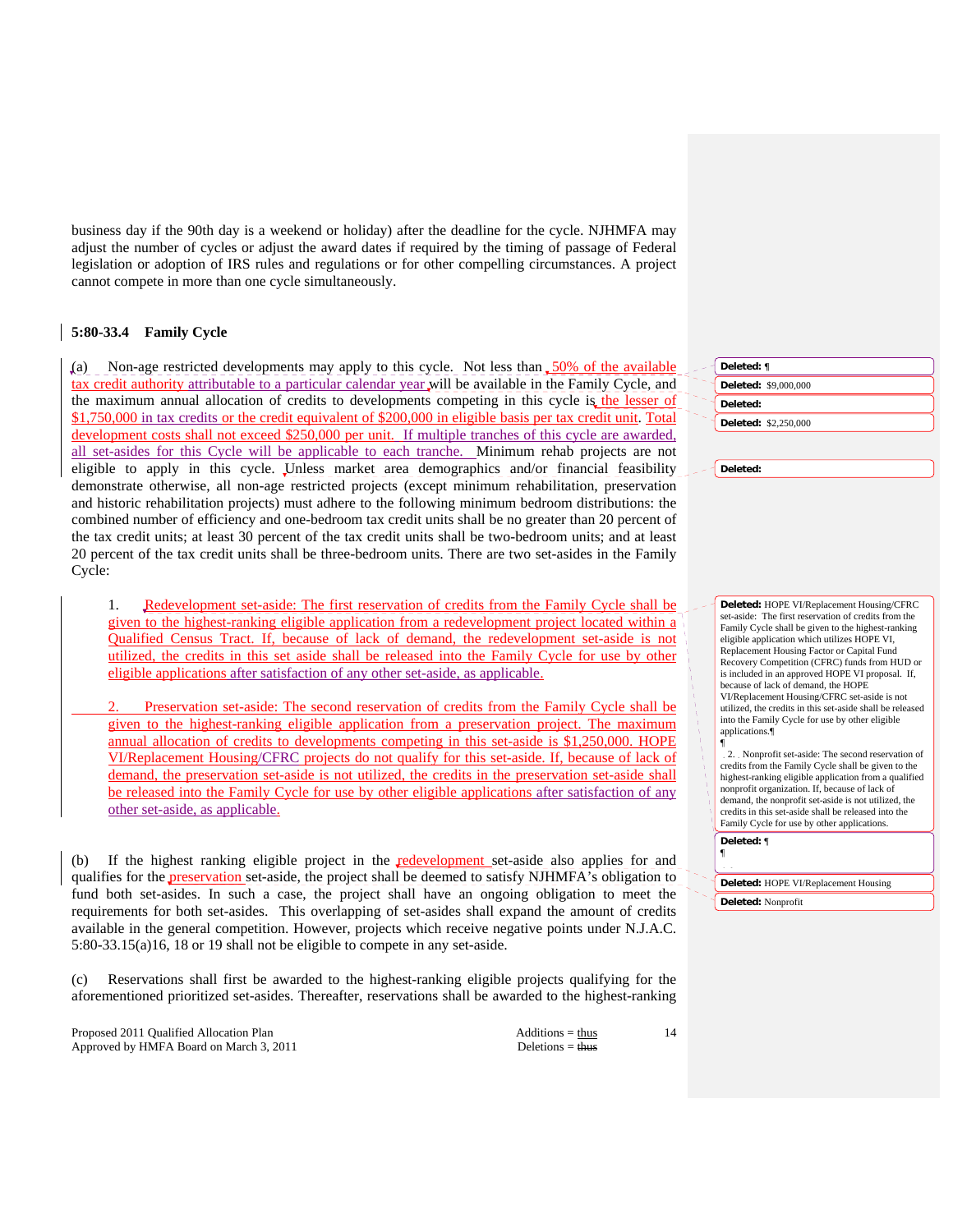business day if the 90th day is a weekend or holiday) after the deadline for the cycle. NJHMFA may adjust the number of cycles or adjust the award dates if required by the timing of passage of Federal legislation or adoption of IRS rules and regulations or for other compelling circumstances. A project cannot compete in more than one cycle simultaneously.

# **5:80-33.4 Family Cycle**

(a) Non-age restricted developments may apply to this cycle. Not less than  $\frac{50\% \text{ of the available}}{200}$ tax credit authority attributable to a particular calendar year will be available in the Family Cycle, and the maximum annual allocation of credits to developments competing in this cycle is the lesser of \$1,750,000 in tax credits or the credit equivalent of \$200,000 in eligible basis per tax credit unit. Total development costs shall not exceed \$250,000 per unit. If multiple tranches of this cycle are awarded, all set-asides for this Cycle will be applicable to each tranche. Minimum rehab projects are not eligible to apply in this cycle. Unless market area demographics and/or financial feasibility demonstrate otherwise, all non-age restricted projects (except minimum rehabilitation, preservation and historic rehabilitation projects) must adhere to the following minimum bedroom distributions: the combined number of efficiency and one-bedroom tax credit units shall be no greater than 20 percent of the tax credit units; at least 30 percent of the tax credit units shall be two-bedroom units; and at least 20 percent of the tax credit units shall be three-bedroom units. There are two set-asides in the Family Cycle:

1. Redevelopment set-aside: The first reservation of credits from the Family Cycle shall be given to the highest-ranking eligible application from a redevelopment project located within a Qualified Census Tract. If, because of lack of demand, the redevelopment set-aside is not utilized, the credits in this set aside shall be released into the Family Cycle for use by other eligible applications after satisfaction of any other set-aside, as applicable.

 2. Preservation set-aside: The second reservation of credits from the Family Cycle shall be given to the highest-ranking eligible application from a preservation project. The maximum annual allocation of credits to developments competing in this set-aside is \$1,250,000. HOPE VI/Replacement Housing/CFRC projects do not qualify for this set-aside. If, because of lack of demand, the preservation set-aside is not utilized, the credits in the preservation set-aside shall be released into the Family Cycle for use by other eligible applications after satisfaction of any other set-aside, as applicable.

If the highest ranking eligible project in the **redevelopment** set-aside also applies for and qualifies for the **preservation** set-aside, the project shall be deemed to satisfy NJHMFA's obligation to fund both set-asides. In such a case, the project shall have an ongoing obligation to meet the requirements for both set-asides. This overlapping of set-asides shall expand the amount of credits available in the general competition. However, projects which receive negative points under N.J.A.C. 5:80-33.15(a)16, 18 or 19 shall not be eligible to compete in any set-aside.

(c) Reservations shall first be awarded to the highest-ranking eligible projects qualifying for the aforementioned prioritized set-asides. Thereafter, reservations shall be awarded to the highest-ranking

Proposed 2011 Qualified Allocation Plan Additions = thus Approved by HMFA Board on March 3, 2011 Deletions = thus Deletions = thus

| Deleted: ¶                  |
|-----------------------------|
| Deleted: \$9,000,000        |
| Deleted:                    |
| <b>Deleted: \$2,250,000</b> |
|                             |

**Deleted:** 

**Deleted:** HOPE VI/Replacement Housing/CFRC set-aside: The first reservation of credits from the Family Cycle shall be given to the highest-ranking eligible application which utilizes HOPE VI, Replacement Housing Factor or Capital Fund Recovery Competition (CFRC) funds from HUD or is included in an approved HOPE VI proposal. If, because of lack of demand, the HOPE VI/Replacement Housing/CFRC set-aside is not utilized, the credits in this set-aside shall be released into the Family Cycle for use by other eligible applications.¶ ¶

2. Nonprofit set-aside: The second reservation of credits from the Family Cycle shall be given to the highest-ranking eligible application from a qualified nonprofit organization. If, because of lack of demand, the nonprofit set-aside is not utilized, the credits in this set-aside shall be released into the Family Cycle for use by other applications.

**Deleted:** ¶ ¶

14

**Deleted:** HOPE VI/Replacement Housing **Deleted:** Nonprofit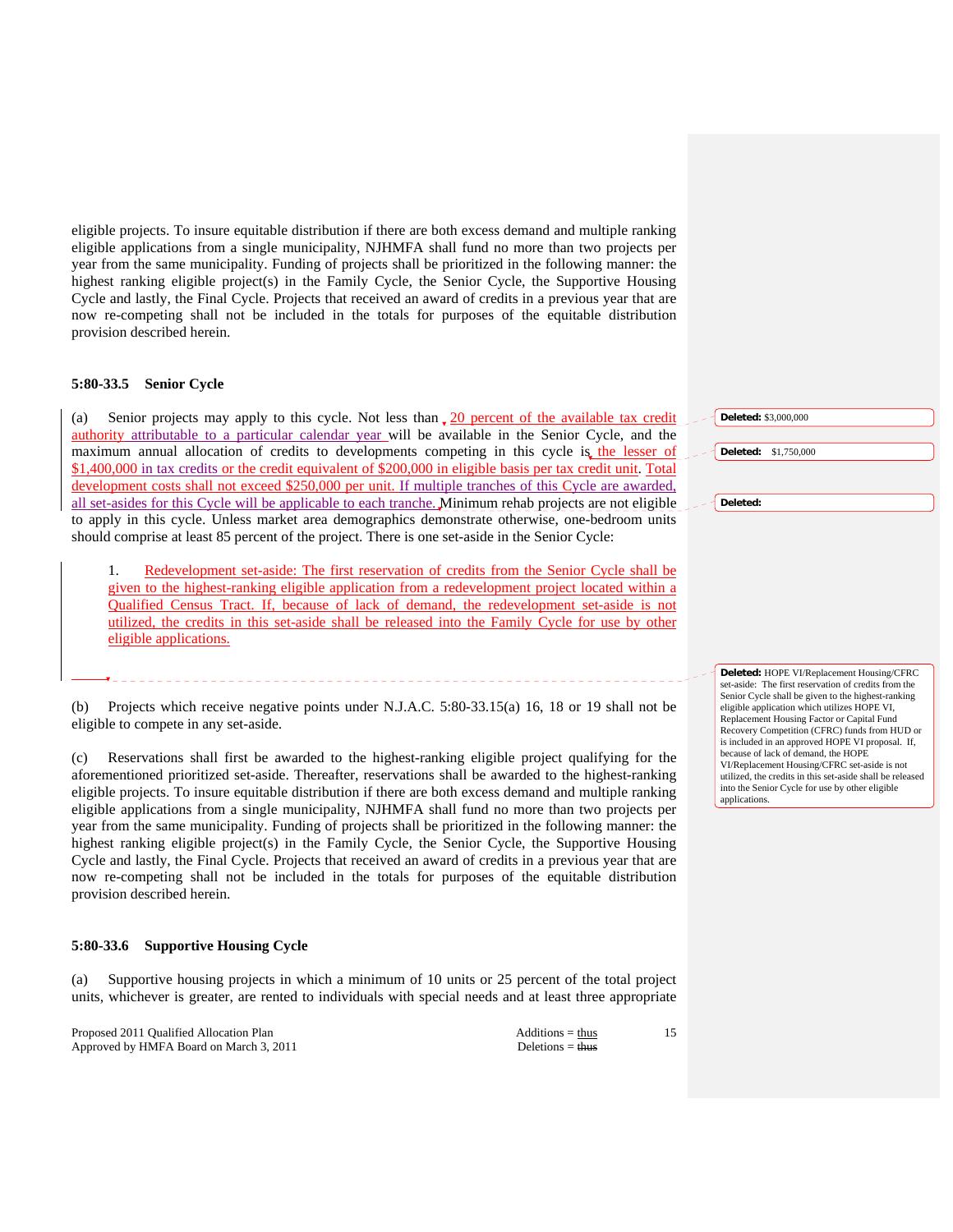eligible projects. To insure equitable distribution if there are both excess demand and multiple ranking eligible applications from a single municipality, NJHMFA shall fund no more than two projects per year from the same municipality. Funding of projects shall be prioritized in the following manner: the highest ranking eligible project(s) in the Family Cycle, the Senior Cycle, the Supportive Housing Cycle and lastly, the Final Cycle. Projects that received an award of credits in a previous year that are now re-competing shall not be included in the totals for purposes of the equitable distribution provision described herein.

# **5:80-33.5 Senior Cycle**

(a) Senior projects may apply to this cycle. Not less than  $\frac{20}{20}$  percent of the available tax credit authority attributable to a particular calendar year will be available in the Senior Cycle, and the maximum annual allocation of credits to developments competing in this cycle is the lesser of \$1,400,000 in tax credits or the credit equivalent of \$200,000 in eligible basis per tax credit unit. Total development costs shall not exceed \$250,000 per unit. If multiple tranches of this Cycle are awarded, all set-asides for this Cycle will be applicable to each tranche. Minimum rehab projects are not eligible to apply in this cycle. Unless market area demographics demonstrate otherwise, one-bedroom units should comprise at least 85 percent of the project. There is one set-aside in the Senior Cycle:

 1. Redevelopment set-aside: The first reservation of credits from the Senior Cycle shall be given to the highest-ranking eligible application from a redevelopment project located within a Qualified Census Tract. If, because of lack of demand, the redevelopment set-aside is not utilized, the credits in this set-aside shall be released into the Family Cycle for use by other eligible applications.

(b) Projects which receive negative points under N.J.A.C. 5:80-33.15(a) 16, 18 or 19 shall not be eligible to compete in any set-aside.

(c) Reservations shall first be awarded to the highest-ranking eligible project qualifying for the aforementioned prioritized set-aside. Thereafter, reservations shall be awarded to the highest-ranking eligible projects. To insure equitable distribution if there are both excess demand and multiple ranking eligible applications from a single municipality, NJHMFA shall fund no more than two projects per year from the same municipality. Funding of projects shall be prioritized in the following manner: the highest ranking eligible project(s) in the Family Cycle, the Senior Cycle, the Supportive Housing Cycle and lastly, the Final Cycle. Projects that received an award of credits in a previous year that are now re-competing shall not be included in the totals for purposes of the equitable distribution provision described herein.

# **5:80-33.6 Supportive Housing Cycle**

(a) Supportive housing projects in which a minimum of 10 units or 25 percent of the total project units, whichever is greater, are rented to individuals with special needs and at least three appropriate

Proposed 2011 Qualified Allocation Plan Additions = thus Approved by HMFA Board on March 3, 2011 Deletions = thus Deletions = thus

15

**Deleted:** \$3,000,000 **Deleted:** \$1,750,000 **Deleted:** 

**Deleted:** HOPE VI/Replacement Housing/CFRC set-aside: The first reservation of credits from the Senior Cycle shall be given to the highest-ranking eligible application which utilizes HOPE VI, Replacement Housing Factor or Capital Fund Recovery Competition (CFRC) funds from HUD or is included in an approved HOPE VI proposal. If, because of lack of demand, the HOPE VI/Replacement Housing/CFRC set-aside is not utilized, the credits in this set-aside shall be released into the Senior Cycle for use by other eligible applications.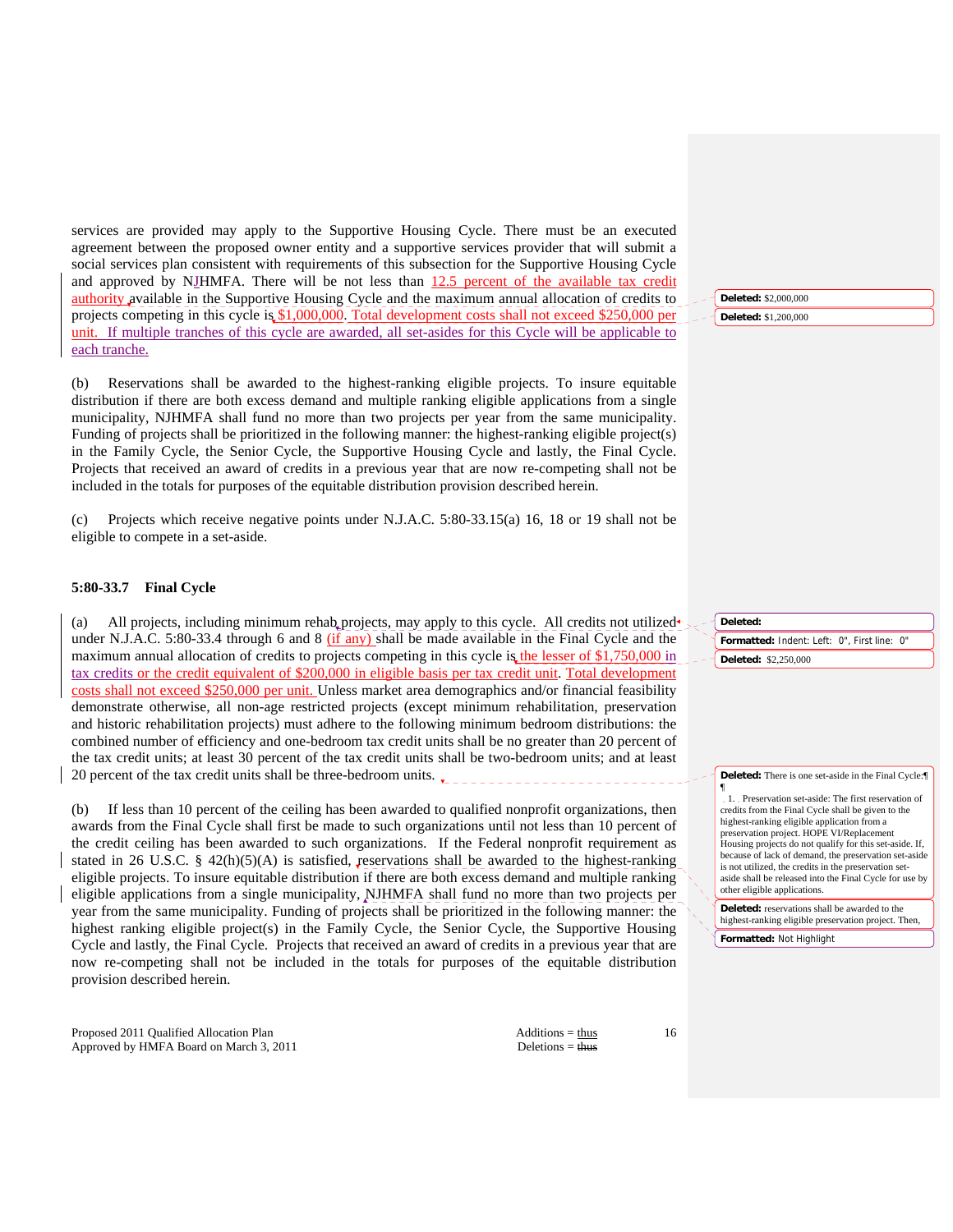services are provided may apply to the Supportive Housing Cycle. There must be an executed agreement between the proposed owner entity and a supportive services provider that will submit a social services plan consistent with requirements of this subsection for the Supportive Housing Cycle and approved by NJHMFA. There will be not less than 12.5 percent of the available tax credit authority available in the Supportive Housing Cycle and the maximum annual allocation of credits to projects competing in this cycle is \$1,000,000. Total development costs shall not exceed \$250,000 per unit. If multiple tranches of this cycle are awarded, all set-asides for this Cycle will be applicable to each tranche.

(b) Reservations shall be awarded to the highest-ranking eligible projects. To insure equitable distribution if there are both excess demand and multiple ranking eligible applications from a single municipality, NJHMFA shall fund no more than two projects per year from the same municipality. Funding of projects shall be prioritized in the following manner: the highest-ranking eligible project(s) in the Family Cycle, the Senior Cycle, the Supportive Housing Cycle and lastly, the Final Cycle. Projects that received an award of credits in a previous year that are now re-competing shall not be included in the totals for purposes of the equitable distribution provision described herein.

(c) Projects which receive negative points under N.J.A.C. 5:80-33.15(a) 16, 18 or 19 shall not be eligible to compete in a set-aside.

# **5:80-33.7 Final Cycle**

(a) All projects, including minimum rehab projects, may apply to this cycle. All credits not utilized under N.J.A.C. 5:80-33.4 through 6 and 8 (if any) shall be made available in the Final Cycle and the maximum annual allocation of credits to projects competing in this cycle is the lesser of \$1,750,000 in tax credits or the credit equivalent of \$200,000 in eligible basis per tax credit unit. Total development costs shall not exceed \$250,000 per unit. Unless market area demographics and/or financial feasibility demonstrate otherwise, all non-age restricted projects (except minimum rehabilitation, preservation and historic rehabilitation projects) must adhere to the following minimum bedroom distributions: the combined number of efficiency and one-bedroom tax credit units shall be no greater than 20 percent of the tax credit units; at least 30 percent of the tax credit units shall be two-bedroom units; and at least 20 percent of the tax credit units shall be three-bedroom units.

If less than 10 percent of the ceiling has been awarded to qualified nonprofit organizations, then awards from the Final Cycle shall first be made to such organizations until not less than 10 percent of the credit ceiling has been awarded to such organizations. If the Federal nonprofit requirement as stated in 26 U.S.C. § 42(h)(5)(A) is satisfied, reservations shall be awarded to the highest-ranking eligible projects. To insure equitable distribution if there are both excess demand and multiple ranking eligible applications from a single municipality, NJHMFA shall fund no more than two projects per year from the same municipality. Funding of projects shall be prioritized in the following manner: the highest ranking eligible project(s) in the Family Cycle, the Senior Cycle, the Supportive Housing Cycle and lastly, the Final Cycle. Projects that received an award of credits in a previous year that are now re-competing shall not be included in the totals for purposes of the equitable distribution provision described herein.

Proposed 2011 Qualified Allocation Plan Additions = thus Approved by HMFA Board on March 3, 2011 Deletions = thus Deletions = thus

16

¶

**Deleted:** \$2,000,000

**Deleted:** \$1,200,000

**Formatted:** Indent: Left: 0", First line: 0" **Deleted: Deleted:** \$2,250,000

**Deleted:** There is one set-aside in the Final Cycle:¶

1. Preservation set-aside: The first reservation of credits from the Final Cycle shall be given to the highest-ranking eligible application from a preservation project. HOPE VI/Replacement Housing projects do not qualify for this set-aside. If, because of lack of demand, the preservation set-aside is not utilized, the credits in the preservation setaside shall be released into the Final Cycle for use by other eligible applications.

**Deleted:** reservations shall be awarded to the highest-ranking eligible preservation project. Then, **Formatted:** Not Highlight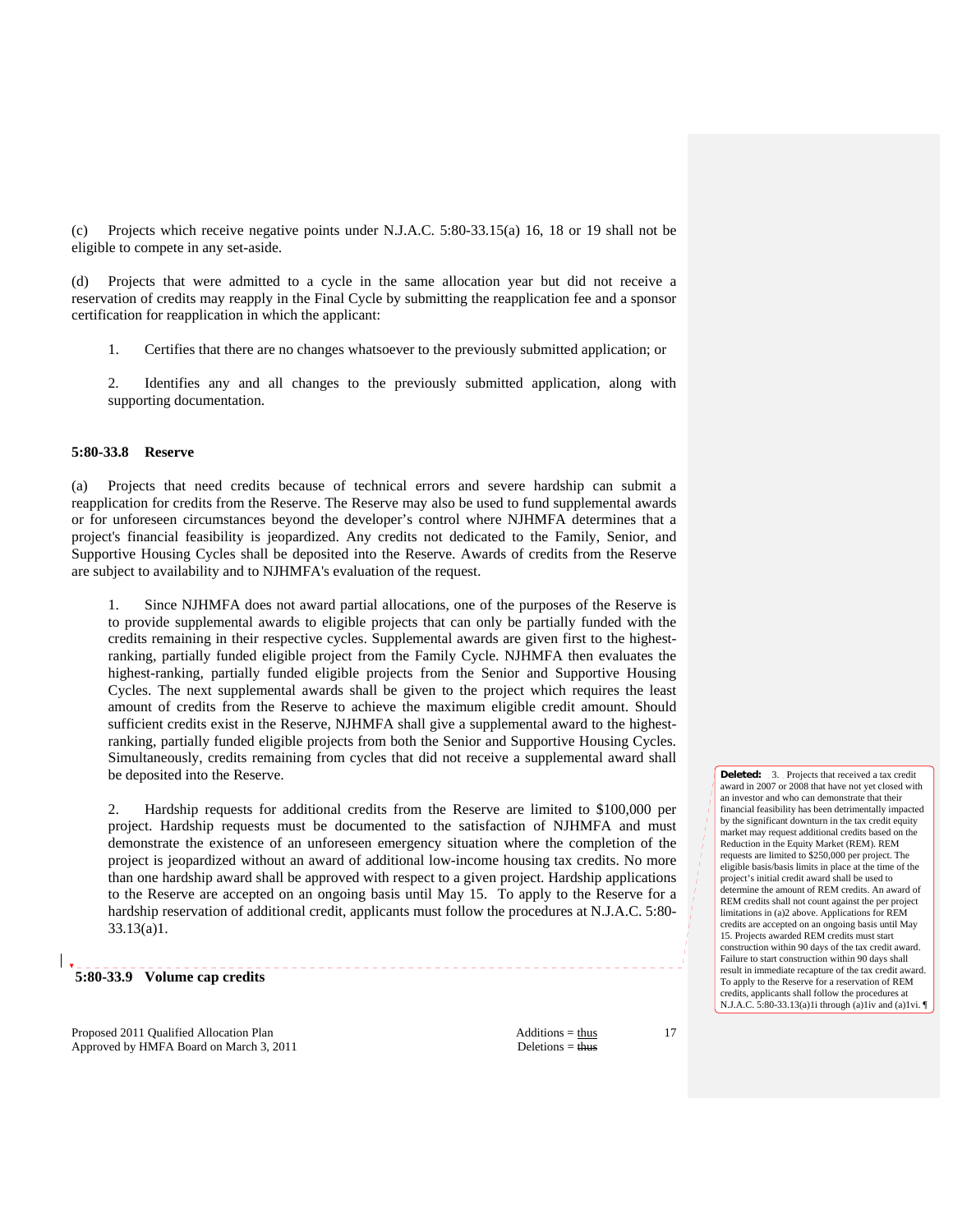(c) Projects which receive negative points under N.J.A.C. 5:80-33.15(a) 16, 18 or 19 shall not be eligible to compete in any set-aside.

(d) Projects that were admitted to a cycle in the same allocation year but did not receive a reservation of credits may reapply in the Final Cycle by submitting the reapplication fee and a sponsor certification for reapplication in which the applicant:

1. Certifies that there are no changes whatsoever to the previously submitted application; or

 2. Identifies any and all changes to the previously submitted application, along with supporting documentation.

# **5:80-33.8 Reserve**

(a) Projects that need credits because of technical errors and severe hardship can submit a reapplication for credits from the Reserve. The Reserve may also be used to fund supplemental awards or for unforeseen circumstances beyond the developer's control where NJHMFA determines that a project's financial feasibility is jeopardized. Any credits not dedicated to the Family, Senior, and Supportive Housing Cycles shall be deposited into the Reserve. Awards of credits from the Reserve are subject to availability and to NJHMFA's evaluation of the request.

 1. Since NJHMFA does not award partial allocations, one of the purposes of the Reserve is to provide supplemental awards to eligible projects that can only be partially funded with the credits remaining in their respective cycles. Supplemental awards are given first to the highestranking, partially funded eligible project from the Family Cycle. NJHMFA then evaluates the highest-ranking, partially funded eligible projects from the Senior and Supportive Housing Cycles. The next supplemental awards shall be given to the project which requires the least amount of credits from the Reserve to achieve the maximum eligible credit amount. Should sufficient credits exist in the Reserve, NJHMFA shall give a supplemental award to the highestranking, partially funded eligible projects from both the Senior and Supportive Housing Cycles. Simultaneously, credits remaining from cycles that did not receive a supplemental award shall be deposited into the Reserve.

 2. Hardship requests for additional credits from the Reserve are limited to \$100,000 per project. Hardship requests must be documented to the satisfaction of NJHMFA and must demonstrate the existence of an unforeseen emergency situation where the completion of the project is jeopardized without an award of additional low-income housing tax credits. No more than one hardship award shall be approved with respect to a given project. Hardship applications to the Reserve are accepted on an ongoing basis until May 15. To apply to the Reserve for a hardship reservation of additional credit, applicants must follow the procedures at N.J.A.C. 5:80- 33.13(a)1.

**5:80-33.9 Volume cap credits** 

Proposed 2011 Qualified Allocation Plan Additions = thus Additions = thus Approved by HMFA Board on March 3, 2011 Deletions = thus

17

**Deleted:** 3. Projects that received a tax credit award in 2007 or 2008 that have not yet closed with an investor and who can demonstrate that their financial feasibility has been detrimentally impacted by the significant downturn in the tax credit equity market may request additional credits based on the Reduction in the Equity Market (REM). REM requests are limited to \$250,000 per project. The eligible basis/basis limits in place at the time of the project's initial credit award shall be used to determine the amount of REM credits. An award of REM credits shall not count against the per project limitations in (a)2 above. Applications for REM credits are accepted on an ongoing basis until May 15. Projects awarded REM credits must start construction within 90 days of the tax credit award. Failure to start construction within 90 days shall result in immediate recapture of the tax credit award. To apply to the Reserve for a reservation of REM credits, applicants shall follow the procedures at N.J.A.C. 5:80-33.13(a)1i through (a)1iv and (a)1vi. ¶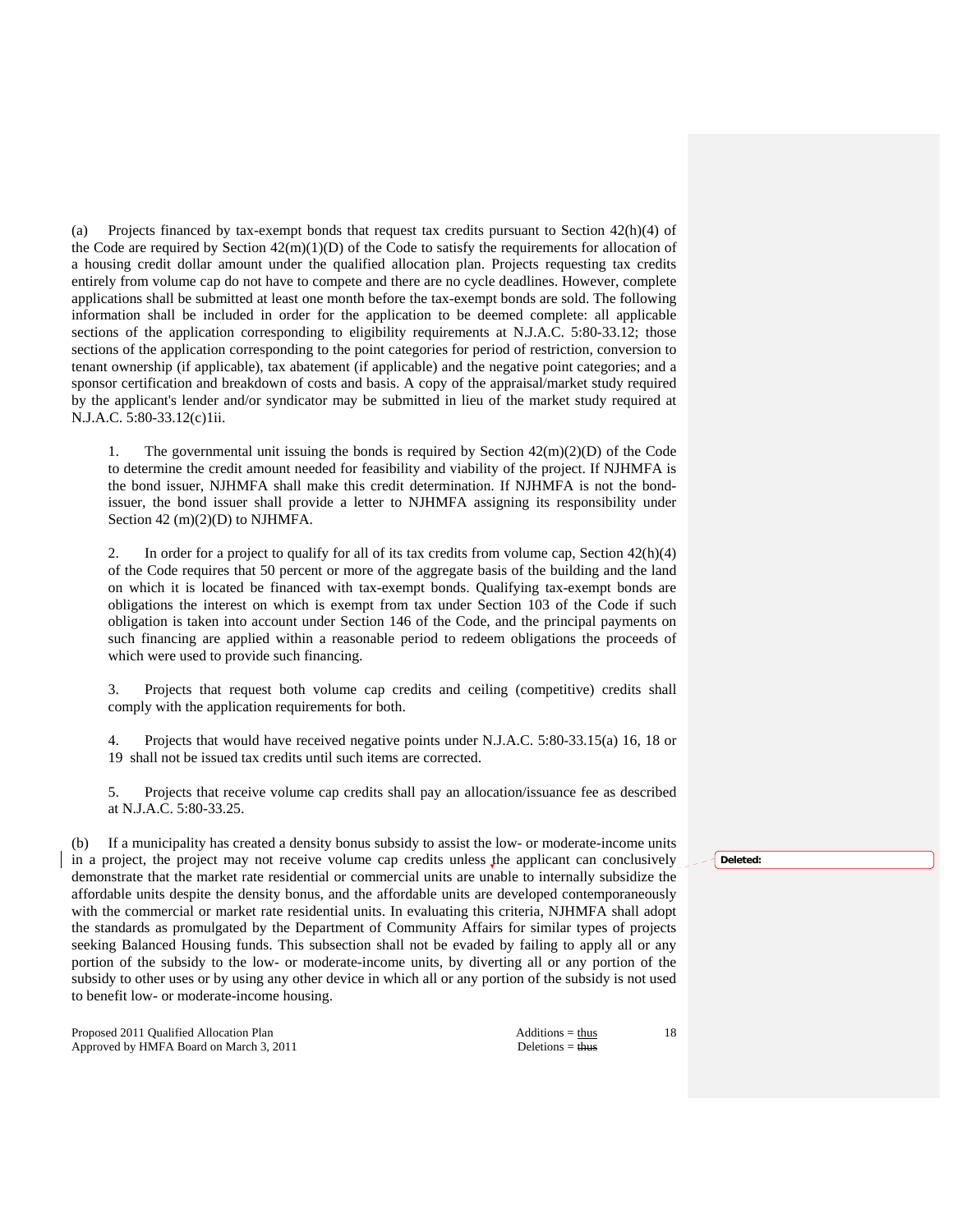(a) Projects financed by tax-exempt bonds that request tax credits pursuant to Section 42(h)(4) of the Code are required by Section  $42(m)(1)(D)$  of the Code to satisfy the requirements for allocation of a housing credit dollar amount under the qualified allocation plan. Projects requesting tax credits entirely from volume cap do not have to compete and there are no cycle deadlines. However, complete applications shall be submitted at least one month before the tax-exempt bonds are sold. The following information shall be included in order for the application to be deemed complete: all applicable sections of the application corresponding to eligibility requirements at N.J.A.C. 5:80-33.12; those sections of the application corresponding to the point categories for period of restriction, conversion to tenant ownership (if applicable), tax abatement (if applicable) and the negative point categories; and a sponsor certification and breakdown of costs and basis. A copy of the appraisal/market study required by the applicant's lender and/or syndicator may be submitted in lieu of the market study required at N.J.A.C. 5:80-33.12(c)1ii.

1. The governmental unit issuing the bonds is required by Section  $42(m)(2)(D)$  of the Code to determine the credit amount needed for feasibility and viability of the project. If NJHMFA is the bond issuer, NJHMFA shall make this credit determination. If NJHMFA is not the bondissuer, the bond issuer shall provide a letter to NJHMFA assigning its responsibility under Section 42 (m)(2)(D) to NJHMFA.

2. In order for a project to qualify for all of its tax credits from volume cap, Section  $42(h)(4)$ of the Code requires that 50 percent or more of the aggregate basis of the building and the land on which it is located be financed with tax-exempt bonds. Qualifying tax-exempt bonds are obligations the interest on which is exempt from tax under Section 103 of the Code if such obligation is taken into account under Section 146 of the Code, and the principal payments on such financing are applied within a reasonable period to redeem obligations the proceeds of which were used to provide such financing.

 3. Projects that request both volume cap credits and ceiling (competitive) credits shall comply with the application requirements for both.

 4. Projects that would have received negative points under N.J.A.C. 5:80-33.15(a) 16, 18 or 19 shall not be issued tax credits until such items are corrected.

 5. Projects that receive volume cap credits shall pay an allocation/issuance fee as described at N.J.A.C. 5:80-33.25.

(b) If a municipality has created a density bonus subsidy to assist the low- or moderate-income units in a project, the project may not receive volume cap credits unless the applicant can conclusively demonstrate that the market rate residential or commercial units are unable to internally subsidize the affordable units despite the density bonus, and the affordable units are developed contemporaneously with the commercial or market rate residential units. In evaluating this criteria, NJHMFA shall adopt the standards as promulgated by the Department of Community Affairs for similar types of projects seeking Balanced Housing funds. This subsection shall not be evaded by failing to apply all or any portion of the subsidy to the low- or moderate-income units, by diverting all or any portion of the subsidy to other uses or by using any other device in which all or any portion of the subsidy is not used to benefit low- or moderate-income housing.

Proposed 2011 Qualified Allocation Plan Additions = thus Additions = thus Approved by HMFA Board on March 3, 2011 Deletions = thus

**Deleted:**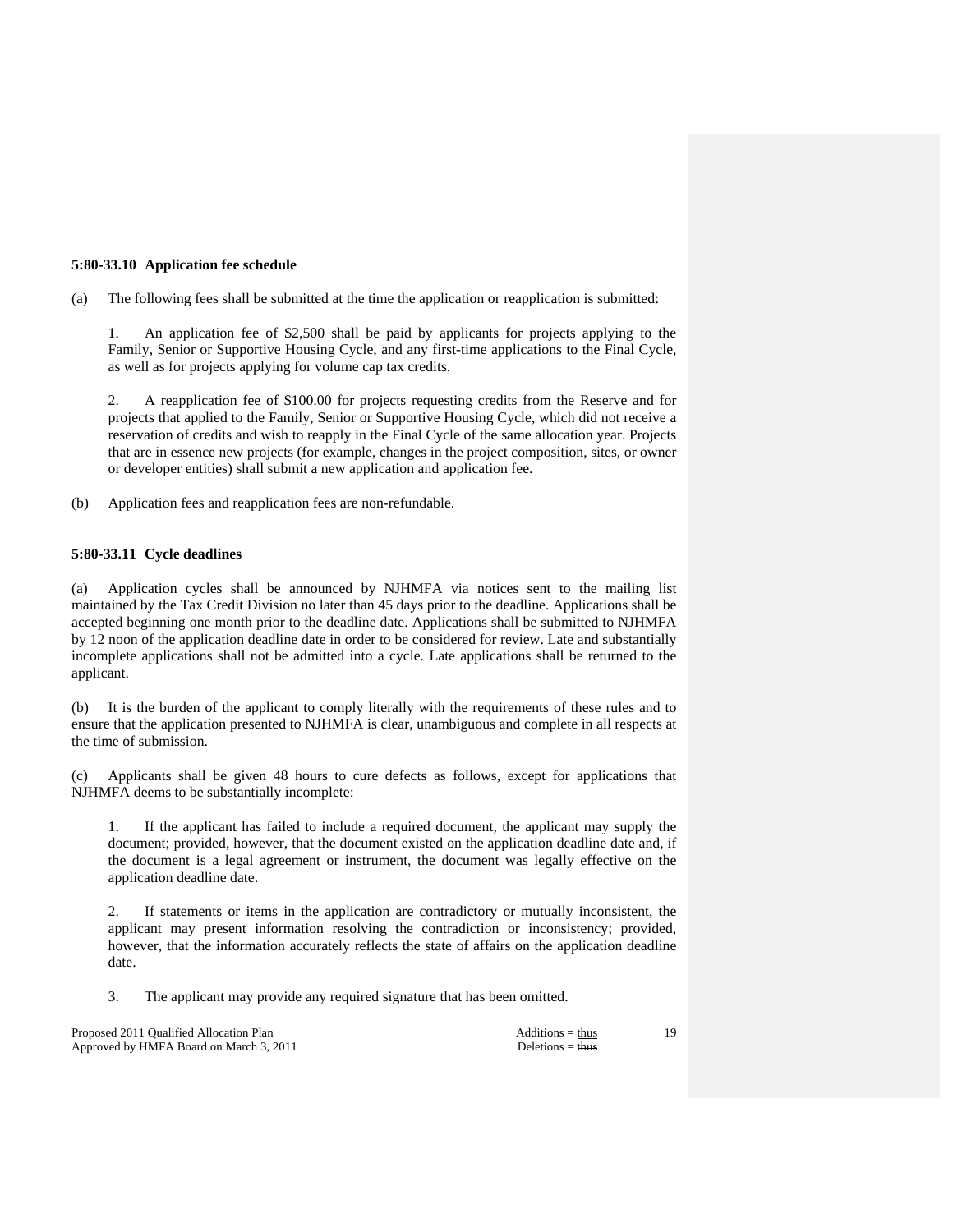# **5:80-33.10 Application fee schedule**

(a) The following fees shall be submitted at the time the application or reapplication is submitted:

An application fee of \$2,500 shall be paid by applicants for projects applying to the Family, Senior or Supportive Housing Cycle, and any first-time applications to the Final Cycle, as well as for projects applying for volume cap tax credits.

 2. A reapplication fee of \$100.00 for projects requesting credits from the Reserve and for projects that applied to the Family, Senior or Supportive Housing Cycle, which did not receive a reservation of credits and wish to reapply in the Final Cycle of the same allocation year. Projects that are in essence new projects (for example, changes in the project composition, sites, or owner or developer entities) shall submit a new application and application fee.

(b) Application fees and reapplication fees are non-refundable.

# **5:80-33.11 Cycle deadlines**

(a) Application cycles shall be announced by NJHMFA via notices sent to the mailing list maintained by the Tax Credit Division no later than 45 days prior to the deadline. Applications shall be accepted beginning one month prior to the deadline date. Applications shall be submitted to NJHMFA by 12 noon of the application deadline date in order to be considered for review. Late and substantially incomplete applications shall not be admitted into a cycle. Late applications shall be returned to the applicant.

(b) It is the burden of the applicant to comply literally with the requirements of these rules and to ensure that the application presented to NJHMFA is clear, unambiguous and complete in all respects at the time of submission.

(c) Applicants shall be given 48 hours to cure defects as follows, except for applications that NJHMFA deems to be substantially incomplete:

 1. If the applicant has failed to include a required document, the applicant may supply the document; provided, however, that the document existed on the application deadline date and, if the document is a legal agreement or instrument, the document was legally effective on the application deadline date.

 2. If statements or items in the application are contradictory or mutually inconsistent, the applicant may present information resolving the contradiction or inconsistency; provided, however, that the information accurately reflects the state of affairs on the application deadline date.

3. The applicant may provide any required signature that has been omitted.

Proposed 2011 Qualified Allocation Plan Additions = thus Approved by HMFA Board on March 3, 2011 Deletions = thus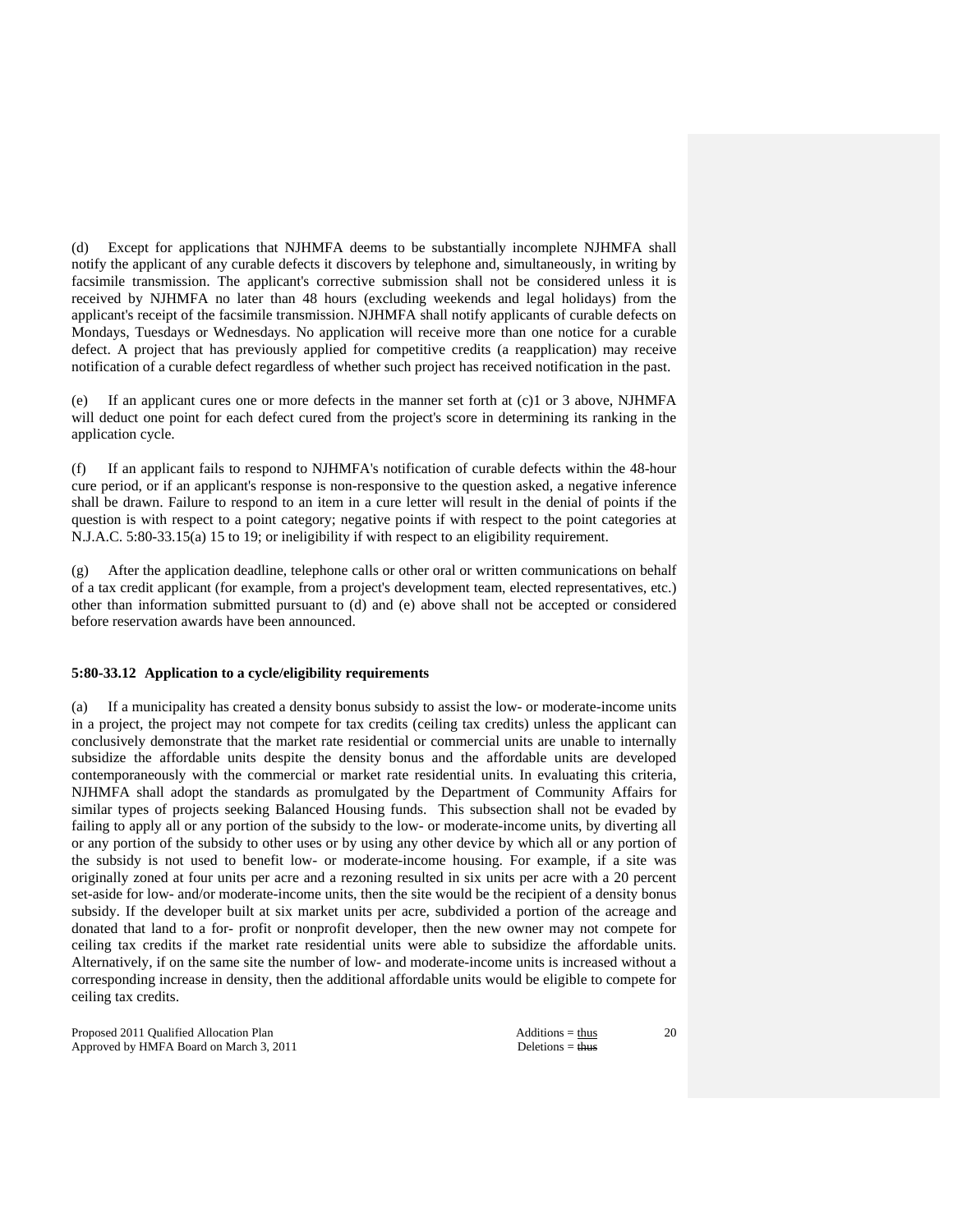(d) Except for applications that NJHMFA deems to be substantially incomplete NJHMFA shall notify the applicant of any curable defects it discovers by telephone and, simultaneously, in writing by facsimile transmission. The applicant's corrective submission shall not be considered unless it is received by NJHMFA no later than 48 hours (excluding weekends and legal holidays) from the applicant's receipt of the facsimile transmission. NJHMFA shall notify applicants of curable defects on Mondays, Tuesdays or Wednesdays. No application will receive more than one notice for a curable defect. A project that has previously applied for competitive credits (a reapplication) may receive notification of a curable defect regardless of whether such project has received notification in the past.

(e) If an applicant cures one or more defects in the manner set forth at (c)1 or 3 above, NJHMFA will deduct one point for each defect cured from the project's score in determining its ranking in the application cycle.

(f) If an applicant fails to respond to NJHMFA's notification of curable defects within the 48-hour cure period, or if an applicant's response is non-responsive to the question asked, a negative inference shall be drawn. Failure to respond to an item in a cure letter will result in the denial of points if the question is with respect to a point category; negative points if with respect to the point categories at N.J.A.C. 5:80-33.15(a) 15 to 19; or ineligibility if with respect to an eligibility requirement.

(g) After the application deadline, telephone calls or other oral or written communications on behalf of a tax credit applicant (for example, from a project's development team, elected representatives, etc.) other than information submitted pursuant to (d) and (e) above shall not be accepted or considered before reservation awards have been announced.

## **5:80-33.12 Application to a cycle/eligibility requirements**

(a) If a municipality has created a density bonus subsidy to assist the low- or moderate-income units in a project, the project may not compete for tax credits (ceiling tax credits) unless the applicant can conclusively demonstrate that the market rate residential or commercial units are unable to internally subsidize the affordable units despite the density bonus and the affordable units are developed contemporaneously with the commercial or market rate residential units. In evaluating this criteria, NJHMFA shall adopt the standards as promulgated by the Department of Community Affairs for similar types of projects seeking Balanced Housing funds. This subsection shall not be evaded by failing to apply all or any portion of the subsidy to the low- or moderate-income units, by diverting all or any portion of the subsidy to other uses or by using any other device by which all or any portion of the subsidy is not used to benefit low- or moderate-income housing. For example, if a site was originally zoned at four units per acre and a rezoning resulted in six units per acre with a 20 percent set-aside for low- and/or moderate-income units, then the site would be the recipient of a density bonus subsidy. If the developer built at six market units per acre, subdivided a portion of the acreage and donated that land to a for- profit or nonprofit developer, then the new owner may not compete for ceiling tax credits if the market rate residential units were able to subsidize the affordable units. Alternatively, if on the same site the number of low- and moderate-income units is increased without a corresponding increase in density, then the additional affordable units would be eligible to compete for ceiling tax credits.

Proposed 2011 Qualified Allocation Plan Additions = thus Additions = thus Approved by HMFA Board on March 3, 2011 Deletions = thus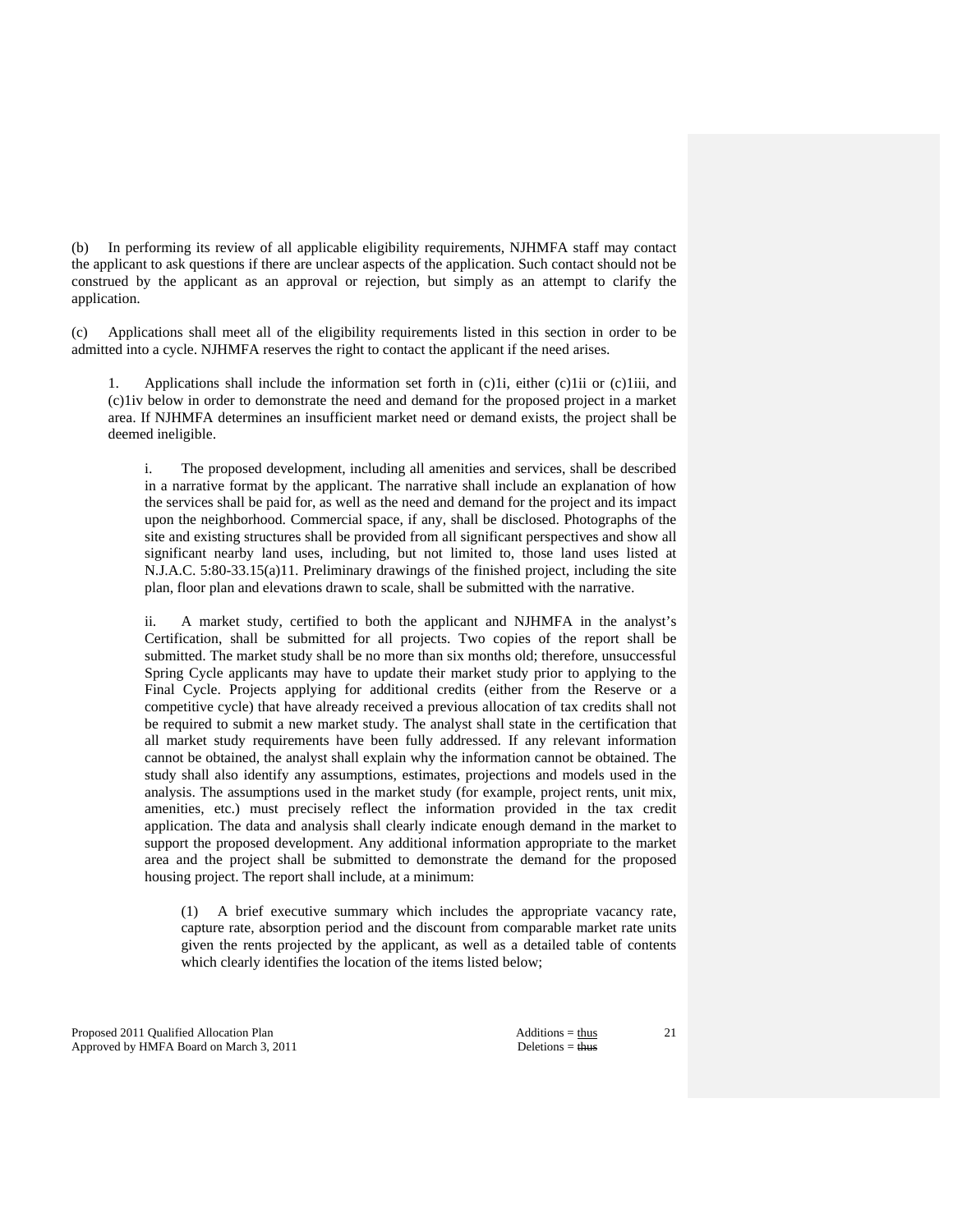(b) In performing its review of all applicable eligibility requirements, NJHMFA staff may contact the applicant to ask questions if there are unclear aspects of the application. Such contact should not be construed by the applicant as an approval or rejection, but simply as an attempt to clarify the application.

(c) Applications shall meet all of the eligibility requirements listed in this section in order to be admitted into a cycle. NJHMFA reserves the right to contact the applicant if the need arises.

 1. Applications shall include the information set forth in (c)1i, either (c)1ii or (c)1iii, and (c)1iv below in order to demonstrate the need and demand for the proposed project in a market area. If NJHMFA determines an insufficient market need or demand exists, the project shall be deemed ineligible.

 i. The proposed development, including all amenities and services, shall be described in a narrative format by the applicant. The narrative shall include an explanation of how the services shall be paid for, as well as the need and demand for the project and its impact upon the neighborhood. Commercial space, if any, shall be disclosed. Photographs of the site and existing structures shall be provided from all significant perspectives and show all significant nearby land uses, including, but not limited to, those land uses listed at N.J.A.C. 5:80-33.15(a)11. Preliminary drawings of the finished project, including the site plan, floor plan and elevations drawn to scale, shall be submitted with the narrative.

 ii. A market study, certified to both the applicant and NJHMFA in the analyst's Certification, shall be submitted for all projects. Two copies of the report shall be submitted. The market study shall be no more than six months old; therefore, unsuccessful Spring Cycle applicants may have to update their market study prior to applying to the Final Cycle. Projects applying for additional credits (either from the Reserve or a competitive cycle) that have already received a previous allocation of tax credits shall not be required to submit a new market study. The analyst shall state in the certification that all market study requirements have been fully addressed. If any relevant information cannot be obtained, the analyst shall explain why the information cannot be obtained. The study shall also identify any assumptions, estimates, projections and models used in the analysis. The assumptions used in the market study (for example, project rents, unit mix, amenities, etc.) must precisely reflect the information provided in the tax credit application. The data and analysis shall clearly indicate enough demand in the market to support the proposed development. Any additional information appropriate to the market area and the project shall be submitted to demonstrate the demand for the proposed housing project. The report shall include, at a minimum:

 (1) A brief executive summary which includes the appropriate vacancy rate, capture rate, absorption period and the discount from comparable market rate units given the rents projected by the applicant, as well as a detailed table of contents which clearly identifies the location of the items listed below;

Proposed 2011 Qualified Allocation Plan Additions = thus Additions = thus Additions = thus Additions = thus Additions = thus Additions = thus Additions = thus Additions = thus Additions = thus Additions = thus Additions = Approved by HMFA Board on March 3, 2011 Deletions = thus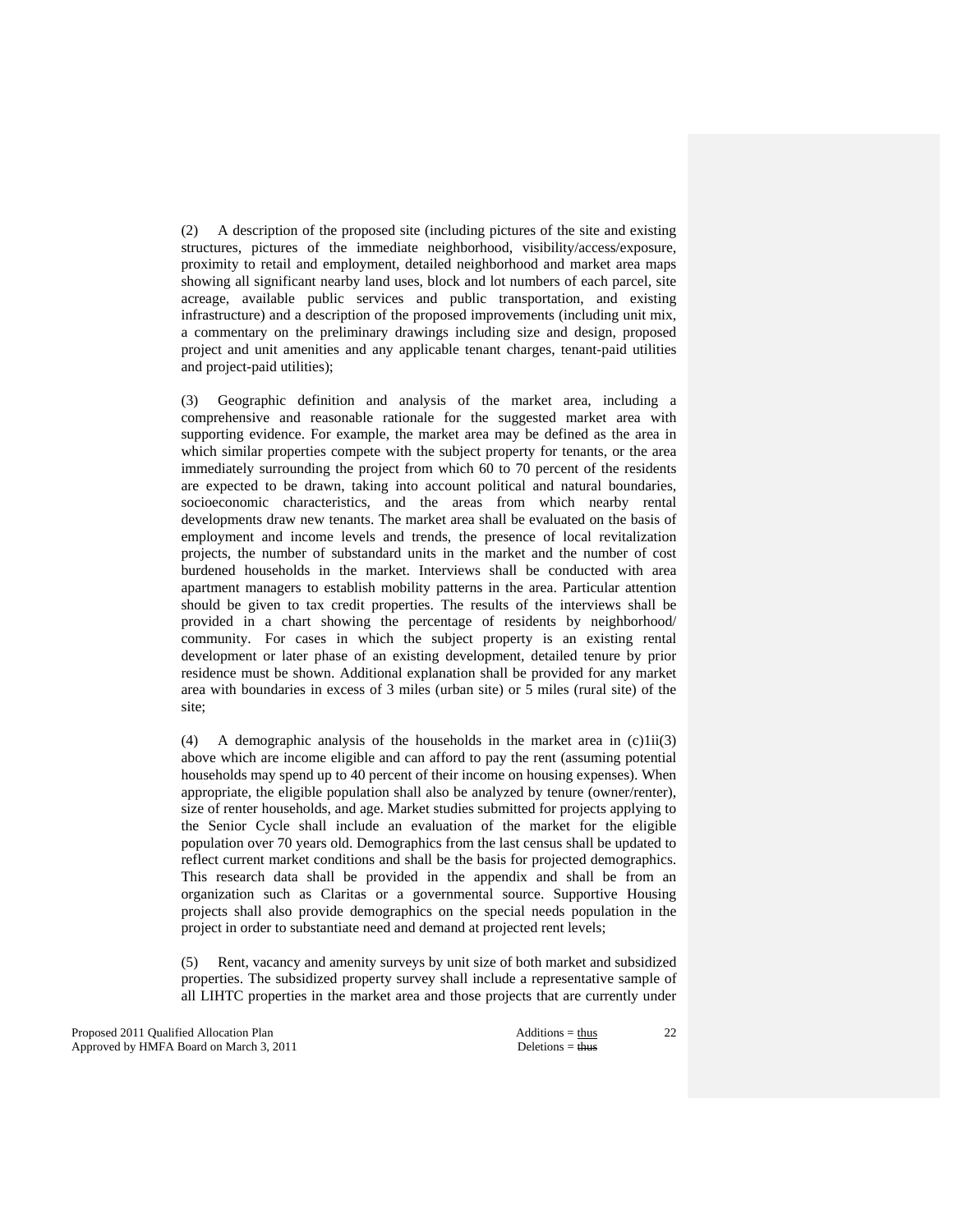(2) A description of the proposed site (including pictures of the site and existing structures, pictures of the immediate neighborhood, visibility/access/exposure, proximity to retail and employment, detailed neighborhood and market area maps showing all significant nearby land uses, block and lot numbers of each parcel, site acreage, available public services and public transportation, and existing infrastructure) and a description of the proposed improvements (including unit mix, a commentary on the preliminary drawings including size and design, proposed project and unit amenities and any applicable tenant charges, tenant-paid utilities and project-paid utilities);

 (3) Geographic definition and analysis of the market area, including a comprehensive and reasonable rationale for the suggested market area with supporting evidence. For example, the market area may be defined as the area in which similar properties compete with the subject property for tenants, or the area immediately surrounding the project from which 60 to 70 percent of the residents are expected to be drawn, taking into account political and natural boundaries, socioeconomic characteristics, and the areas from which nearby rental developments draw new tenants. The market area shall be evaluated on the basis of employment and income levels and trends, the presence of local revitalization projects, the number of substandard units in the market and the number of cost burdened households in the market. Interviews shall be conducted with area apartment managers to establish mobility patterns in the area. Particular attention should be given to tax credit properties. The results of the interviews shall be provided in a chart showing the percentage of residents by neighborhood/ community. For cases in which the subject property is an existing rental development or later phase of an existing development, detailed tenure by prior residence must be shown. Additional explanation shall be provided for any market area with boundaries in excess of 3 miles (urban site) or 5 miles (rural site) of the site;

 (4) A demographic analysis of the households in the market area in (c)1ii(3) above which are income eligible and can afford to pay the rent (assuming potential households may spend up to 40 percent of their income on housing expenses). When appropriate, the eligible population shall also be analyzed by tenure (owner/renter), size of renter households, and age. Market studies submitted for projects applying to the Senior Cycle shall include an evaluation of the market for the eligible population over 70 years old. Demographics from the last census shall be updated to reflect current market conditions and shall be the basis for projected demographics. This research data shall be provided in the appendix and shall be from an organization such as Claritas or a governmental source. Supportive Housing projects shall also provide demographics on the special needs population in the project in order to substantiate need and demand at projected rent levels;

 (5) Rent, vacancy and amenity surveys by unit size of both market and subsidized properties. The subsidized property survey shall include a representative sample of all LIHTC properties in the market area and those projects that are currently under

Proposed 2011 Qualified Allocation Plan Additions = thus Approved by HMFA Board on March 3, 2011 Deletions = thus Deletions = thus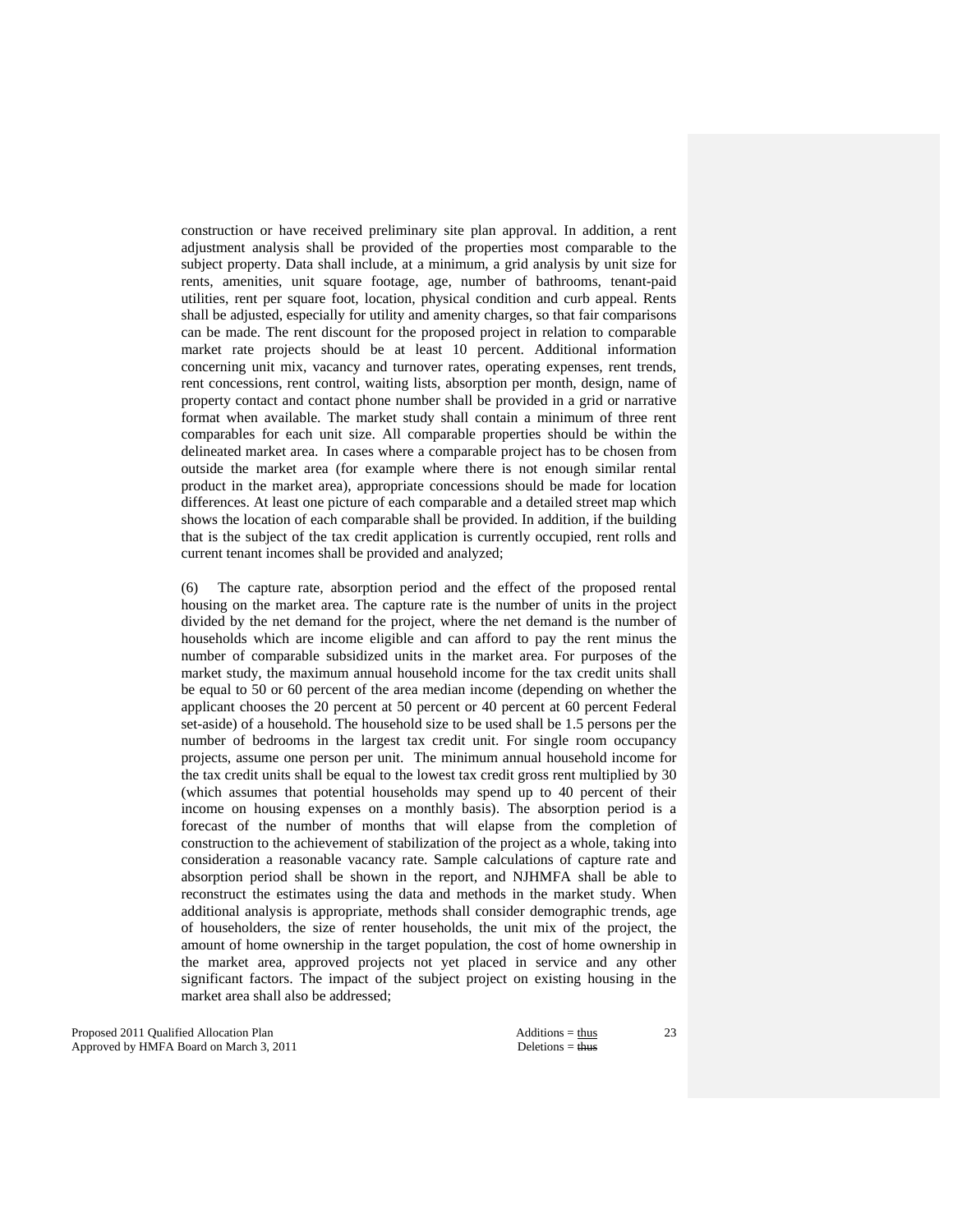construction or have received preliminary site plan approval. In addition, a rent adjustment analysis shall be provided of the properties most comparable to the subject property. Data shall include, at a minimum, a grid analysis by unit size for rents, amenities, unit square footage, age, number of bathrooms, tenant-paid utilities, rent per square foot, location, physical condition and curb appeal. Rents shall be adjusted, especially for utility and amenity charges, so that fair comparisons can be made. The rent discount for the proposed project in relation to comparable market rate projects should be at least 10 percent. Additional information concerning unit mix, vacancy and turnover rates, operating expenses, rent trends, rent concessions, rent control, waiting lists, absorption per month, design, name of property contact and contact phone number shall be provided in a grid or narrative format when available. The market study shall contain a minimum of three rent comparables for each unit size. All comparable properties should be within the delineated market area. In cases where a comparable project has to be chosen from outside the market area (for example where there is not enough similar rental product in the market area), appropriate concessions should be made for location differences. At least one picture of each comparable and a detailed street map which shows the location of each comparable shall be provided. In addition, if the building that is the subject of the tax credit application is currently occupied, rent rolls and current tenant incomes shall be provided and analyzed;

 (6) The capture rate, absorption period and the effect of the proposed rental housing on the market area. The capture rate is the number of units in the project divided by the net demand for the project, where the net demand is the number of households which are income eligible and can afford to pay the rent minus the number of comparable subsidized units in the market area. For purposes of the market study, the maximum annual household income for the tax credit units shall be equal to 50 or 60 percent of the area median income (depending on whether the applicant chooses the 20 percent at 50 percent or 40 percent at 60 percent Federal set-aside) of a household. The household size to be used shall be 1.5 persons per the number of bedrooms in the largest tax credit unit. For single room occupancy projects, assume one person per unit. The minimum annual household income for the tax credit units shall be equal to the lowest tax credit gross rent multiplied by 30 (which assumes that potential households may spend up to 40 percent of their income on housing expenses on a monthly basis). The absorption period is a forecast of the number of months that will elapse from the completion of construction to the achievement of stabilization of the project as a whole, taking into consideration a reasonable vacancy rate. Sample calculations of capture rate and absorption period shall be shown in the report, and NJHMFA shall be able to reconstruct the estimates using the data and methods in the market study. When additional analysis is appropriate, methods shall consider demographic trends, age of householders, the size of renter households, the unit mix of the project, the amount of home ownership in the target population, the cost of home ownership in the market area, approved projects not yet placed in service and any other significant factors. The impact of the subject project on existing housing in the market area shall also be addressed;

Proposed 2011 Qualified Allocation Plan Additions = thus Additions = thus Additions = thus Additions = thus Additions = thus Additions = thus Additions = thus Additions = thus Additions = thus Additions = thus Additions = Approved by HMFA Board on March 3, 2011 Deletions = thus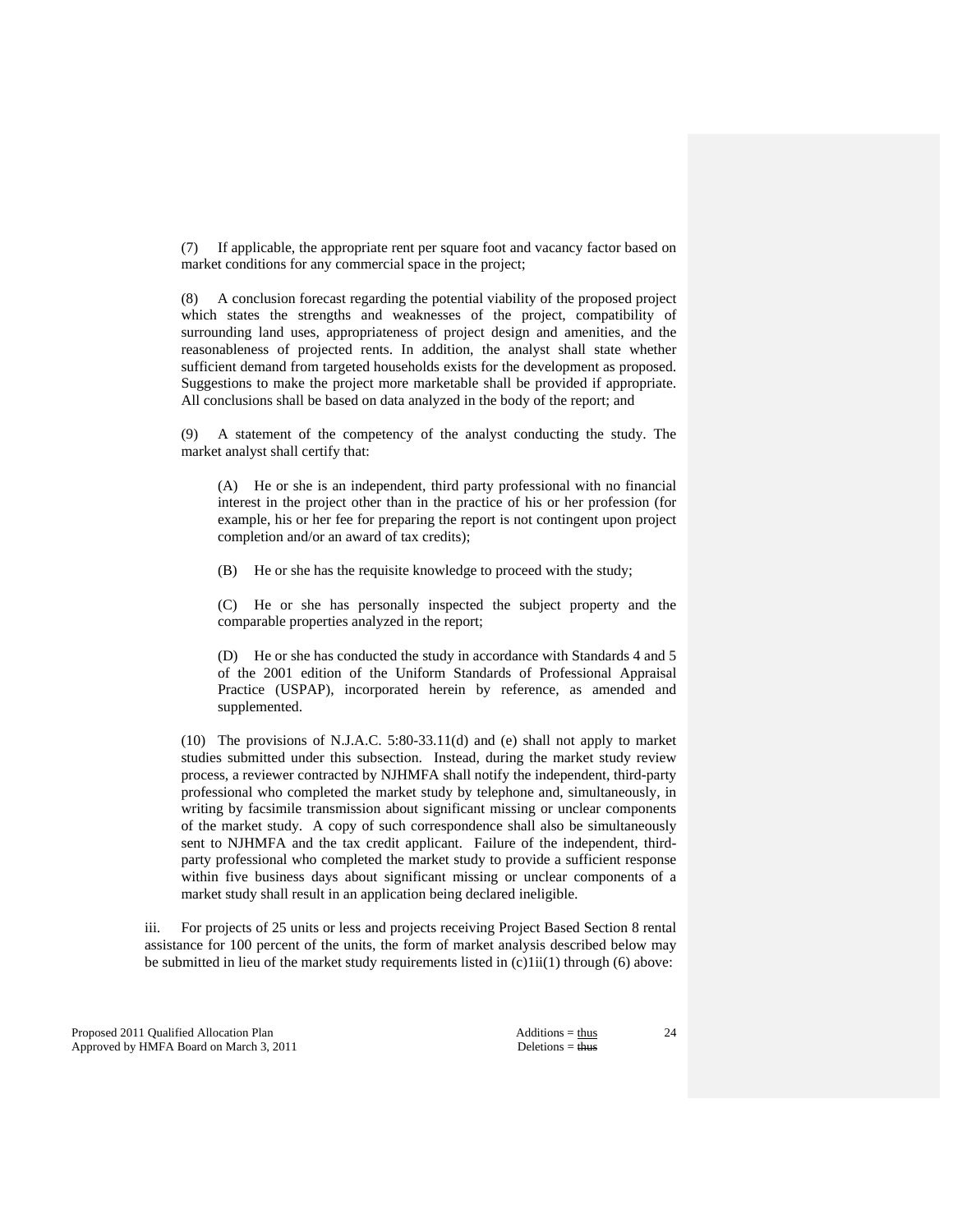(7) If applicable, the appropriate rent per square foot and vacancy factor based on market conditions for any commercial space in the project;

 (8) A conclusion forecast regarding the potential viability of the proposed project which states the strengths and weaknesses of the project, compatibility of surrounding land uses, appropriateness of project design and amenities, and the reasonableness of projected rents. In addition, the analyst shall state whether sufficient demand from targeted households exists for the development as proposed. Suggestions to make the project more marketable shall be provided if appropriate. All conclusions shall be based on data analyzed in the body of the report; and

 (9) A statement of the competency of the analyst conducting the study. The market analyst shall certify that:

 (A) He or she is an independent, third party professional with no financial interest in the project other than in the practice of his or her profession (for example, his or her fee for preparing the report is not contingent upon project completion and/or an award of tax credits);

(B) He or she has the requisite knowledge to proceed with the study;

 (C) He or she has personally inspected the subject property and the comparable properties analyzed in the report;

 (D) He or she has conducted the study in accordance with Standards 4 and 5 of the 2001 edition of the Uniform Standards of Professional Appraisal Practice (USPAP), incorporated herein by reference, as amended and supplemented.

 (10) The provisions of N.J.A.C. 5:80-33.11(d) and (e) shall not apply to market studies submitted under this subsection. Instead, during the market study review process, a reviewer contracted by NJHMFA shall notify the independent, third-party professional who completed the market study by telephone and, simultaneously, in writing by facsimile transmission about significant missing or unclear components of the market study. A copy of such correspondence shall also be simultaneously sent to NJHMFA and the tax credit applicant. Failure of the independent, thirdparty professional who completed the market study to provide a sufficient response within five business days about significant missing or unclear components of a market study shall result in an application being declared ineligible.

 iii. For projects of 25 units or less and projects receiving Project Based Section 8 rental assistance for 100 percent of the units, the form of market analysis described below may be submitted in lieu of the market study requirements listed in  $(c)$ 1ii $(1)$  through  $(6)$  above:

Proposed 2011 Qualified Allocation Plan Additions = thus Additions = thus Approved by HMFA Board on March 3, 2011 Deletions = thus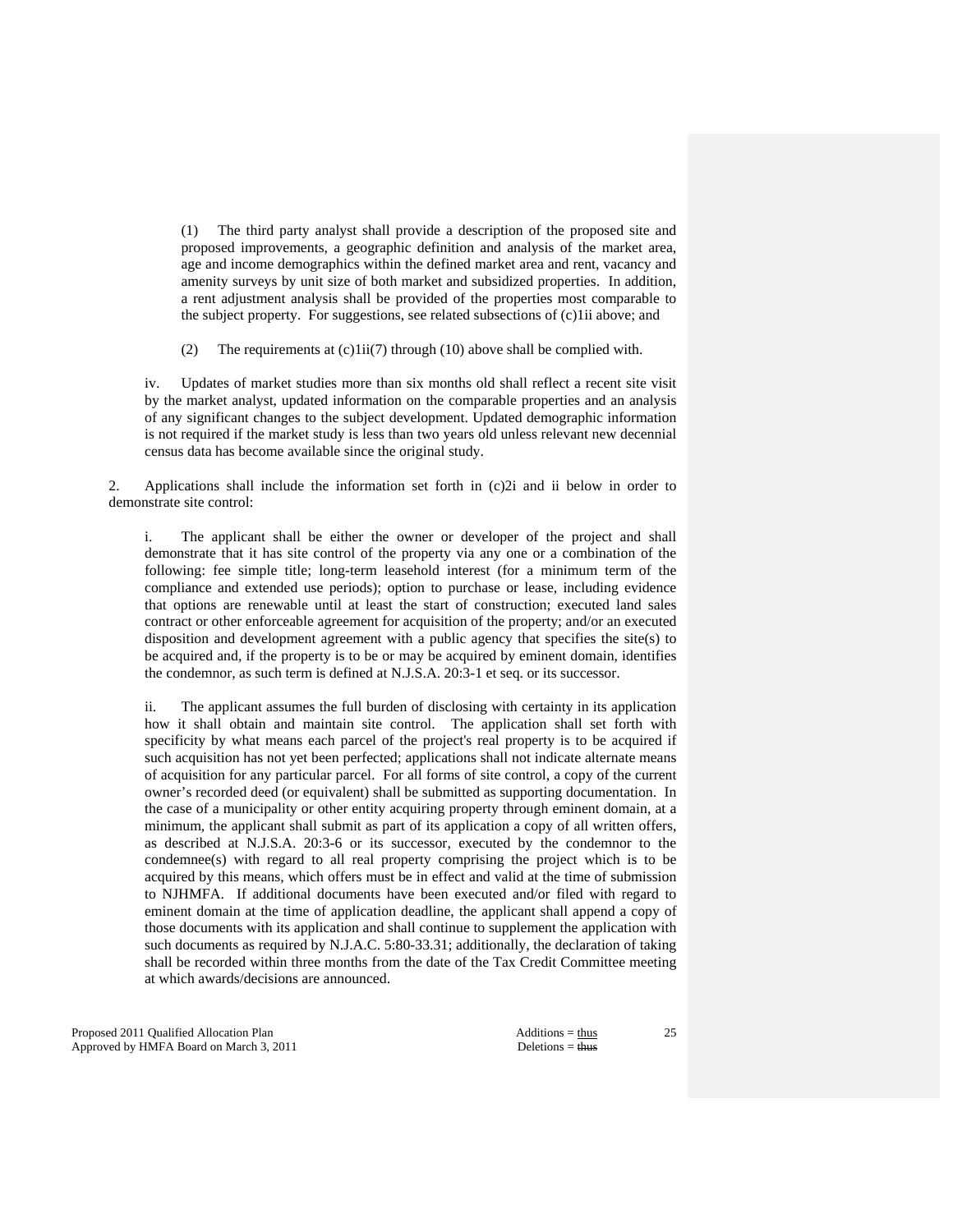(1) The third party analyst shall provide a description of the proposed site and proposed improvements, a geographic definition and analysis of the market area, age and income demographics within the defined market area and rent, vacancy and amenity surveys by unit size of both market and subsidized properties. In addition, a rent adjustment analysis shall be provided of the properties most comparable to the subject property. For suggestions, see related subsections of (c)1ii above; and

(2) The requirements at (c)1ii(7) through (10) above shall be complied with.

 iv. Updates of market studies more than six months old shall reflect a recent site visit by the market analyst, updated information on the comparable properties and an analysis of any significant changes to the subject development. Updated demographic information is not required if the market study is less than two years old unless relevant new decennial census data has become available since the original study.

 2. Applications shall include the information set forth in (c)2i and ii below in order to demonstrate site control:

 i. The applicant shall be either the owner or developer of the project and shall demonstrate that it has site control of the property via any one or a combination of the following: fee simple title; long-term leasehold interest (for a minimum term of the compliance and extended use periods); option to purchase or lease, including evidence that options are renewable until at least the start of construction; executed land sales contract or other enforceable agreement for acquisition of the property; and/or an executed disposition and development agreement with a public agency that specifies the site(s) to be acquired and, if the property is to be or may be acquired by eminent domain, identifies the condemnor, as such term is defined at N.J.S.A. 20:3-1 et seq. or its successor.

 ii. The applicant assumes the full burden of disclosing with certainty in its application how it shall obtain and maintain site control. The application shall set forth with specificity by what means each parcel of the project's real property is to be acquired if such acquisition has not yet been perfected; applications shall not indicate alternate means of acquisition for any particular parcel. For all forms of site control, a copy of the current owner's recorded deed (or equivalent) shall be submitted as supporting documentation. In the case of a municipality or other entity acquiring property through eminent domain, at a minimum, the applicant shall submit as part of its application a copy of all written offers, as described at N.J.S.A. 20:3-6 or its successor, executed by the condemnor to the condemnee(s) with regard to all real property comprising the project which is to be acquired by this means, which offers must be in effect and valid at the time of submission to NJHMFA. If additional documents have been executed and/or filed with regard to eminent domain at the time of application deadline, the applicant shall append a copy of those documents with its application and shall continue to supplement the application with such documents as required by N.J.A.C. 5:80-33.31; additionally, the declaration of taking shall be recorded within three months from the date of the Tax Credit Committee meeting at which awards/decisions are announced.

Proposed 2011 Qualified Allocation Plan Additions = thus Additions = thus Additions = thus Additions = thus Additions = thus Additions = thus Additions = thus Additions = thus Additions = thus Additions = thus Additions = Approved by HMFA Board on March 3, 2011 Deletions = thus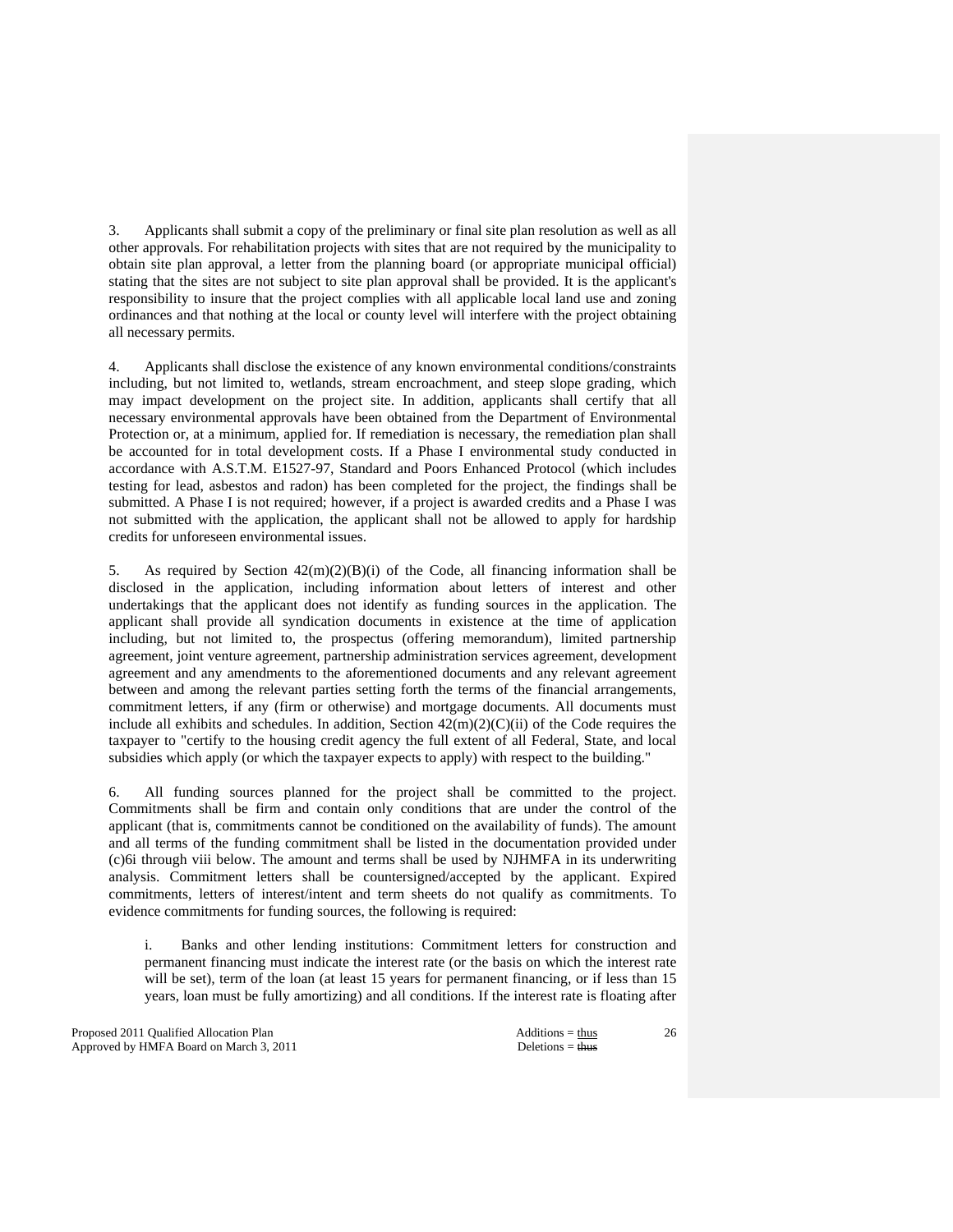3. Applicants shall submit a copy of the preliminary or final site plan resolution as well as all other approvals. For rehabilitation projects with sites that are not required by the municipality to obtain site plan approval, a letter from the planning board (or appropriate municipal official) stating that the sites are not subject to site plan approval shall be provided. It is the applicant's responsibility to insure that the project complies with all applicable local land use and zoning ordinances and that nothing at the local or county level will interfere with the project obtaining all necessary permits.

 4. Applicants shall disclose the existence of any known environmental conditions/constraints including, but not limited to, wetlands, stream encroachment, and steep slope grading, which may impact development on the project site. In addition, applicants shall certify that all necessary environmental approvals have been obtained from the Department of Environmental Protection or, at a minimum, applied for. If remediation is necessary, the remediation plan shall be accounted for in total development costs. If a Phase I environmental study conducted in accordance with A.S.T.M. E1527-97, Standard and Poors Enhanced Protocol (which includes testing for lead, asbestos and radon) has been completed for the project, the findings shall be submitted. A Phase I is not required; however, if a project is awarded credits and a Phase I was not submitted with the application, the applicant shall not be allowed to apply for hardship credits for unforeseen environmental issues.

5. As required by Section  $42(m)(2)(B)(i)$  of the Code, all financing information shall be disclosed in the application, including information about letters of interest and other undertakings that the applicant does not identify as funding sources in the application. The applicant shall provide all syndication documents in existence at the time of application including, but not limited to, the prospectus (offering memorandum), limited partnership agreement, joint venture agreement, partnership administration services agreement, development agreement and any amendments to the aforementioned documents and any relevant agreement between and among the relevant parties setting forth the terms of the financial arrangements, commitment letters, if any (firm or otherwise) and mortgage documents. All documents must include all exhibits and schedules. In addition, Section  $42(m)(2)(C)(ii)$  of the Code requires the taxpayer to "certify to the housing credit agency the full extent of all Federal, State, and local subsidies which apply (or which the taxpayer expects to apply) with respect to the building."

 6. All funding sources planned for the project shall be committed to the project. Commitments shall be firm and contain only conditions that are under the control of the applicant (that is, commitments cannot be conditioned on the availability of funds). The amount and all terms of the funding commitment shall be listed in the documentation provided under (c)6i through viii below. The amount and terms shall be used by NJHMFA in its underwriting analysis. Commitment letters shall be countersigned/accepted by the applicant. Expired commitments, letters of interest/intent and term sheets do not qualify as commitments. To evidence commitments for funding sources, the following is required:

 i. Banks and other lending institutions: Commitment letters for construction and permanent financing must indicate the interest rate (or the basis on which the interest rate will be set), term of the loan (at least 15 years for permanent financing, or if less than 15 years, loan must be fully amortizing) and all conditions. If the interest rate is floating after

Proposed 2011 Qualified Allocation Plan Additions = thus Approved by HMFA Board on March 3, 2011 Deletions = thus Deletions = thus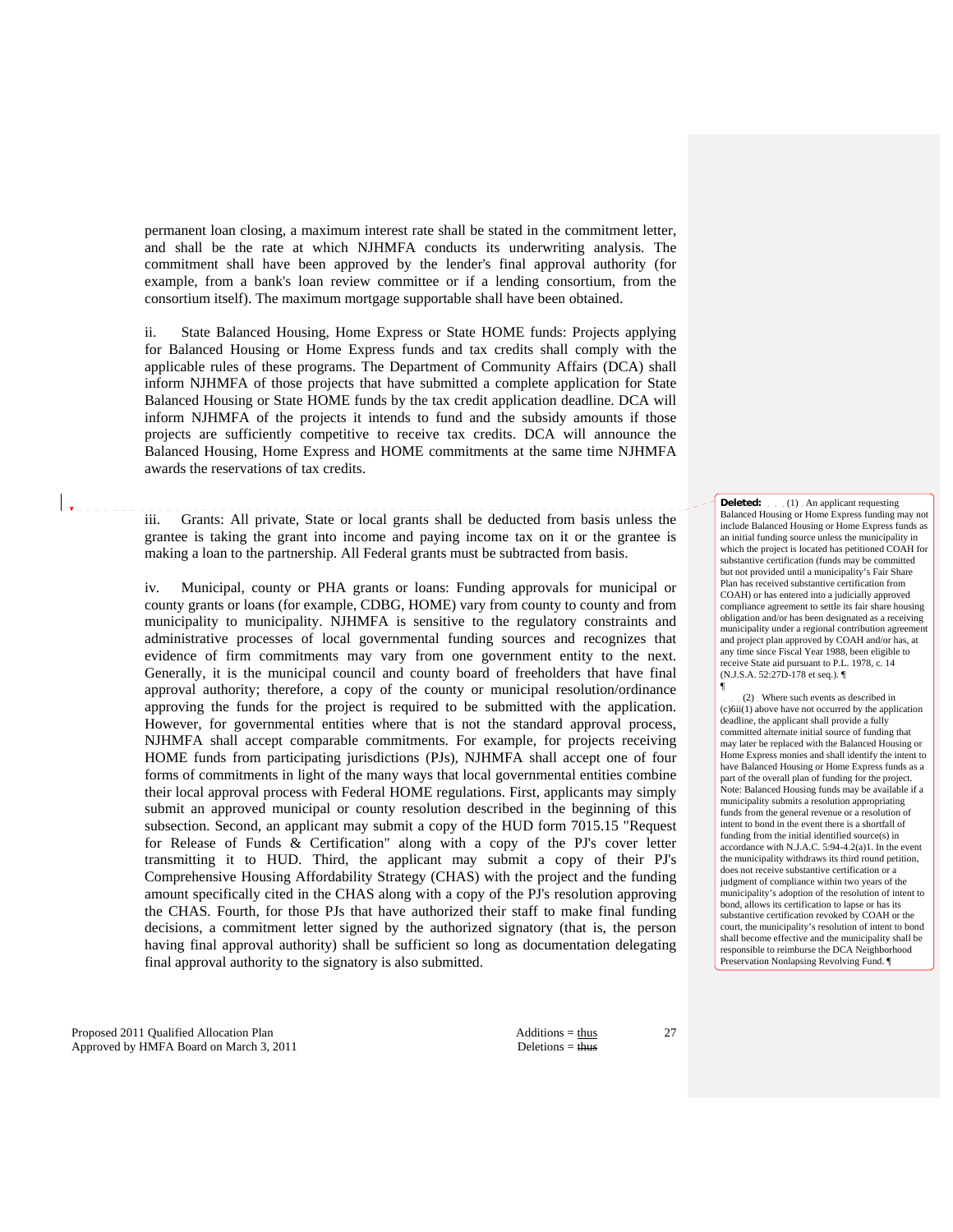permanent loan closing, a maximum interest rate shall be stated in the commitment letter, and shall be the rate at which NJHMFA conducts its underwriting analysis. The commitment shall have been approved by the lender's final approval authority (for example, from a bank's loan review committee or if a lending consortium, from the consortium itself). The maximum mortgage supportable shall have been obtained.

 ii. State Balanced Housing, Home Express or State HOME funds: Projects applying for Balanced Housing or Home Express funds and tax credits shall comply with the applicable rules of these programs. The Department of Community Affairs (DCA) shall inform NJHMFA of those projects that have submitted a complete application for State Balanced Housing or State HOME funds by the tax credit application deadline. DCA will inform NJHMFA of the projects it intends to fund and the subsidy amounts if those projects are sufficiently competitive to receive tax credits. DCA will announce the Balanced Housing, Home Express and HOME commitments at the same time NJHMFA awards the reservations of tax credits.

 iii. Grants: All private, State or local grants shall be deducted from basis unless the grantee is taking the grant into income and paying income tax on it or the grantee is making a loan to the partnership. All Federal grants must be subtracted from basis.

 iv. Municipal, county or PHA grants or loans: Funding approvals for municipal or county grants or loans (for example, CDBG, HOME) vary from county to county and from municipality to municipality. NJHMFA is sensitive to the regulatory constraints and administrative processes of local governmental funding sources and recognizes that evidence of firm commitments may vary from one government entity to the next. Generally, it is the municipal council and county board of freeholders that have final approval authority; therefore, a copy of the county or municipal resolution/ordinance approving the funds for the project is required to be submitted with the application. However, for governmental entities where that is not the standard approval process, NJHMFA shall accept comparable commitments. For example, for projects receiving HOME funds from participating jurisdictions (PJs), NJHMFA shall accept one of four forms of commitments in light of the many ways that local governmental entities combine their local approval process with Federal HOME regulations. First, applicants may simply submit an approved municipal or county resolution described in the beginning of this subsection. Second, an applicant may submit a copy of the HUD form 7015.15 "Request for Release of Funds & Certification" along with a copy of the PJ's cover letter transmitting it to HUD. Third, the applicant may submit a copy of their PJ's Comprehensive Housing Affordability Strategy (CHAS) with the project and the funding amount specifically cited in the CHAS along with a copy of the PJ's resolution approving the CHAS. Fourth, for those PJs that have authorized their staff to make final funding decisions, a commitment letter signed by the authorized signatory (that is, the person having final approval authority) shall be sufficient so long as documentation delegating final approval authority to the signatory is also submitted.

Proposed 2011 Qualified Allocation Plan Additions = thus Additions = thus Approved by HMFA Board on March 3, 2011 Deletions = thus

<u>. . . . . .</u>

27

**Deleted:** . . . (1) An applicant requesting Balanced Housing or Home Express funding may not include Balanced Housing or Home Express funds as an initial funding source unless the municipality in which the project is located has petitioned COAH for substantive certification (funds may be committed but not provided until a municipality's Fair Share Plan has received substantive certification from COAH) or has entered into a judicially approved compliance agreement to settle its fair share housing obligation and/or has been designated as a receiving municipality under a regional contribution agreement and project plan approved by COAH and/or has, at any time since Fiscal Year 1988, been eligible to receive State aid pursuant to P.L. 1978, c. 14 (N.J.S.A. 52:27D-178 et seq.). ¶ ¶

(2) Where such events as described in (c)6ii(1) above have not occurred by the application deadline, the applicant shall provide a fully committed alternate initial source of funding that may later be replaced with the Balanced Housing or Home Express monies and shall identify the intent to have Balanced Housing or Home Express funds as a part of the overall plan of funding for the project. Note: Balanced Housing funds may be available if a municipality submits a resolution appropriating funds from the general revenue or a resolution of intent to bond in the event there is a shortfall of funding from the initial identified source(s) in accordance with N.J.A.C. 5:94-4.2(a)1. In the event the municipality withdraws its third round petition,  $d$ oes not receive substantive certification or judgment of compliance within two years of the municipality's adoption of the resolution of intent to bond, allows its certification to lapse or has its substantive certification revoked by COAH or the court, the municipality's resolution of intent to bond shall become effective and the municipality shall be responsible to reimburse the DCA Neighborhood Preservation Nonlapsing Revolving Fund. ¶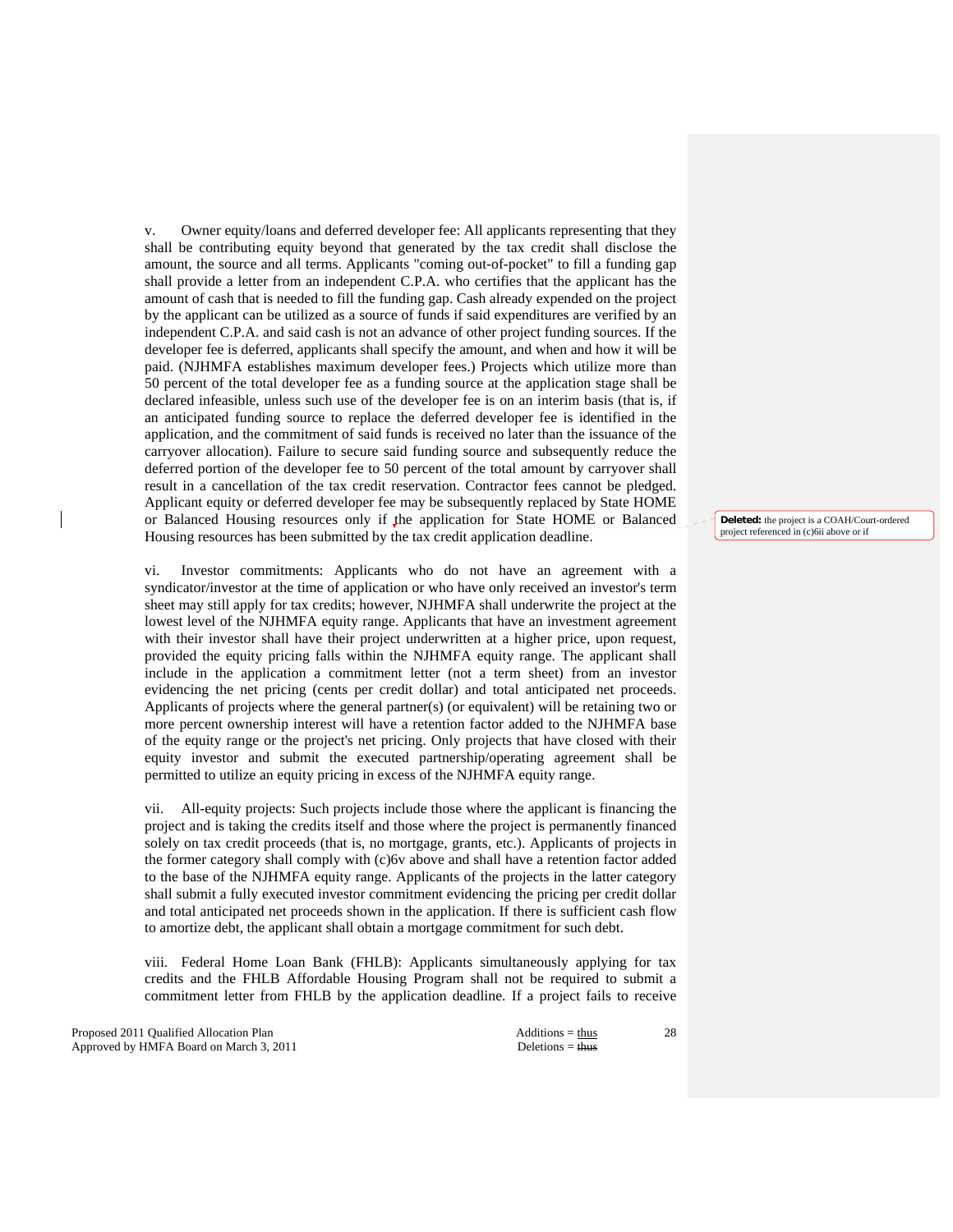v. Owner equity/loans and deferred developer fee: All applicants representing that they shall be contributing equity beyond that generated by the tax credit shall disclose the amount, the source and all terms. Applicants "coming out-of-pocket" to fill a funding gap shall provide a letter from an independent C.P.A. who certifies that the applicant has the amount of cash that is needed to fill the funding gap. Cash already expended on the project by the applicant can be utilized as a source of funds if said expenditures are verified by an independent C.P.A. and said cash is not an advance of other project funding sources. If the developer fee is deferred, applicants shall specify the amount, and when and how it will be paid. (NJHMFA establishes maximum developer fees.) Projects which utilize more than 50 percent of the total developer fee as a funding source at the application stage shall be declared infeasible, unless such use of the developer fee is on an interim basis (that is, if an anticipated funding source to replace the deferred developer fee is identified in the application, and the commitment of said funds is received no later than the issuance of the carryover allocation). Failure to secure said funding source and subsequently reduce the deferred portion of the developer fee to 50 percent of the total amount by carryover shall result in a cancellation of the tax credit reservation. Contractor fees cannot be pledged. Applicant equity or deferred developer fee may be subsequently replaced by State HOME or Balanced Housing resources only if the application for State HOME or Balanced Housing resources has been submitted by the tax credit application deadline.

 vi. Investor commitments: Applicants who do not have an agreement with a syndicator/investor at the time of application or who have only received an investor's term sheet may still apply for tax credits; however, NJHMFA shall underwrite the project at the lowest level of the NJHMFA equity range. Applicants that have an investment agreement with their investor shall have their project underwritten at a higher price, upon request, provided the equity pricing falls within the NJHMFA equity range. The applicant shall include in the application a commitment letter (not a term sheet) from an investor evidencing the net pricing (cents per credit dollar) and total anticipated net proceeds. Applicants of projects where the general partner(s) (or equivalent) will be retaining two or more percent ownership interest will have a retention factor added to the NJHMFA base of the equity range or the project's net pricing. Only projects that have closed with their equity investor and submit the executed partnership/operating agreement shall be permitted to utilize an equity pricing in excess of the NJHMFA equity range.

 vii. All-equity projects: Such projects include those where the applicant is financing the project and is taking the credits itself and those where the project is permanently financed solely on tax credit proceeds (that is, no mortgage, grants, etc.). Applicants of projects in the former category shall comply with (c)6v above and shall have a retention factor added to the base of the NJHMFA equity range. Applicants of the projects in the latter category shall submit a fully executed investor commitment evidencing the pricing per credit dollar and total anticipated net proceeds shown in the application. If there is sufficient cash flow to amortize debt, the applicant shall obtain a mortgage commitment for such debt.

 viii. Federal Home Loan Bank (FHLB): Applicants simultaneously applying for tax credits and the FHLB Affordable Housing Program shall not be required to submit a commitment letter from FHLB by the application deadline. If a project fails to receive

Proposed 2011 Qualified Allocation Plan Additions = thus Additions = thus Additions = thus Additions = thus Additions = thus Additions = thus Additions = thus Additions = thus Additions = thus Additions = thus Additions = Approved by HMFA Board on March 3, 2011 Deletions = thus

28

**Deleted:** the project is a COAH/Court-ordered project referenced in (c)6ii above or if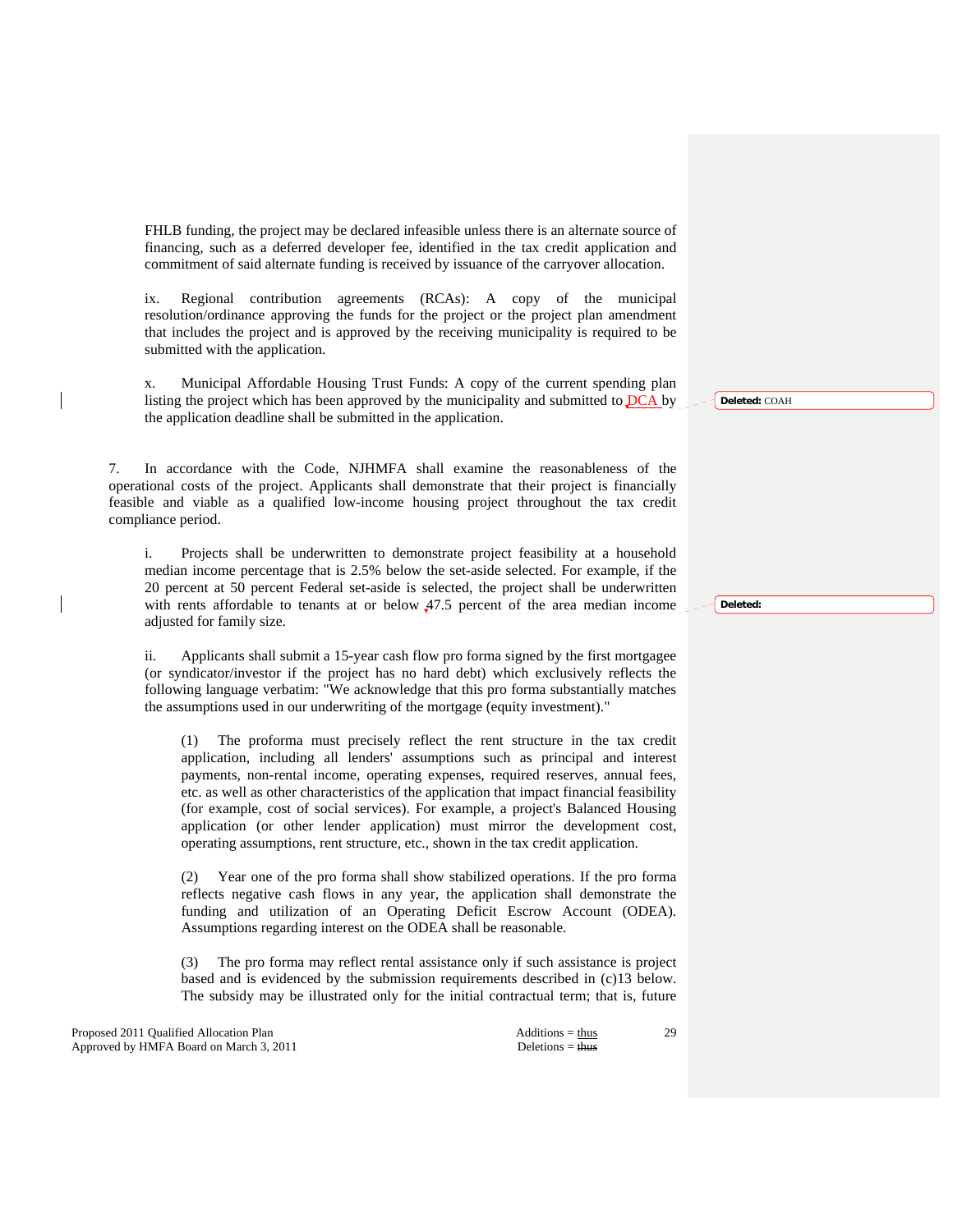FHLB funding, the project may be declared infeasible unless there is an alternate source of financing, such as a deferred developer fee, identified in the tax credit application and commitment of said alternate funding is received by issuance of the carryover allocation.

 ix. Regional contribution agreements (RCAs): A copy of the municipal resolution/ordinance approving the funds for the project or the project plan amendment that includes the project and is approved by the receiving municipality is required to be submitted with the application.

 x. Municipal Affordable Housing Trust Funds: A copy of the current spending plan listing the project which has been approved by the municipality and submitted to DCA by the application deadline shall be submitted in the application.

 7. In accordance with the Code, NJHMFA shall examine the reasonableness of the operational costs of the project. Applicants shall demonstrate that their project is financially feasible and viable as a qualified low-income housing project throughout the tax credit compliance period.

 i. Projects shall be underwritten to demonstrate project feasibility at a household median income percentage that is 2.5% below the set-aside selected. For example, if the 20 percent at 50 percent Federal set-aside is selected, the project shall be underwritten with rents affordable to tenants at or below 47.5 percent of the area median income adjusted for family size.

 ii. Applicants shall submit a 15-year cash flow pro forma signed by the first mortgagee (or syndicator/investor if the project has no hard debt) which exclusively reflects the following language verbatim: "We acknowledge that this pro forma substantially matches the assumptions used in our underwriting of the mortgage (equity investment)."

 (1) The proforma must precisely reflect the rent structure in the tax credit application, including all lenders' assumptions such as principal and interest payments, non-rental income, operating expenses, required reserves, annual fees, etc. as well as other characteristics of the application that impact financial feasibility (for example, cost of social services). For example, a project's Balanced Housing application (or other lender application) must mirror the development cost, operating assumptions, rent structure, etc., shown in the tax credit application.

 (2) Year one of the pro forma shall show stabilized operations. If the pro forma reflects negative cash flows in any year, the application shall demonstrate the funding and utilization of an Operating Deficit Escrow Account (ODEA). Assumptions regarding interest on the ODEA shall be reasonable.

 (3) The pro forma may reflect rental assistance only if such assistance is project based and is evidenced by the submission requirements described in (c)13 below. The subsidy may be illustrated only for the initial contractual term; that is, future

Proposed 2011 Qualified Allocation Plan Additions = thus Additions = thus Approved by HMFA Board on March 3, 2011 Deletions = thus

29

**Deleted:** COAH

**Deleted:**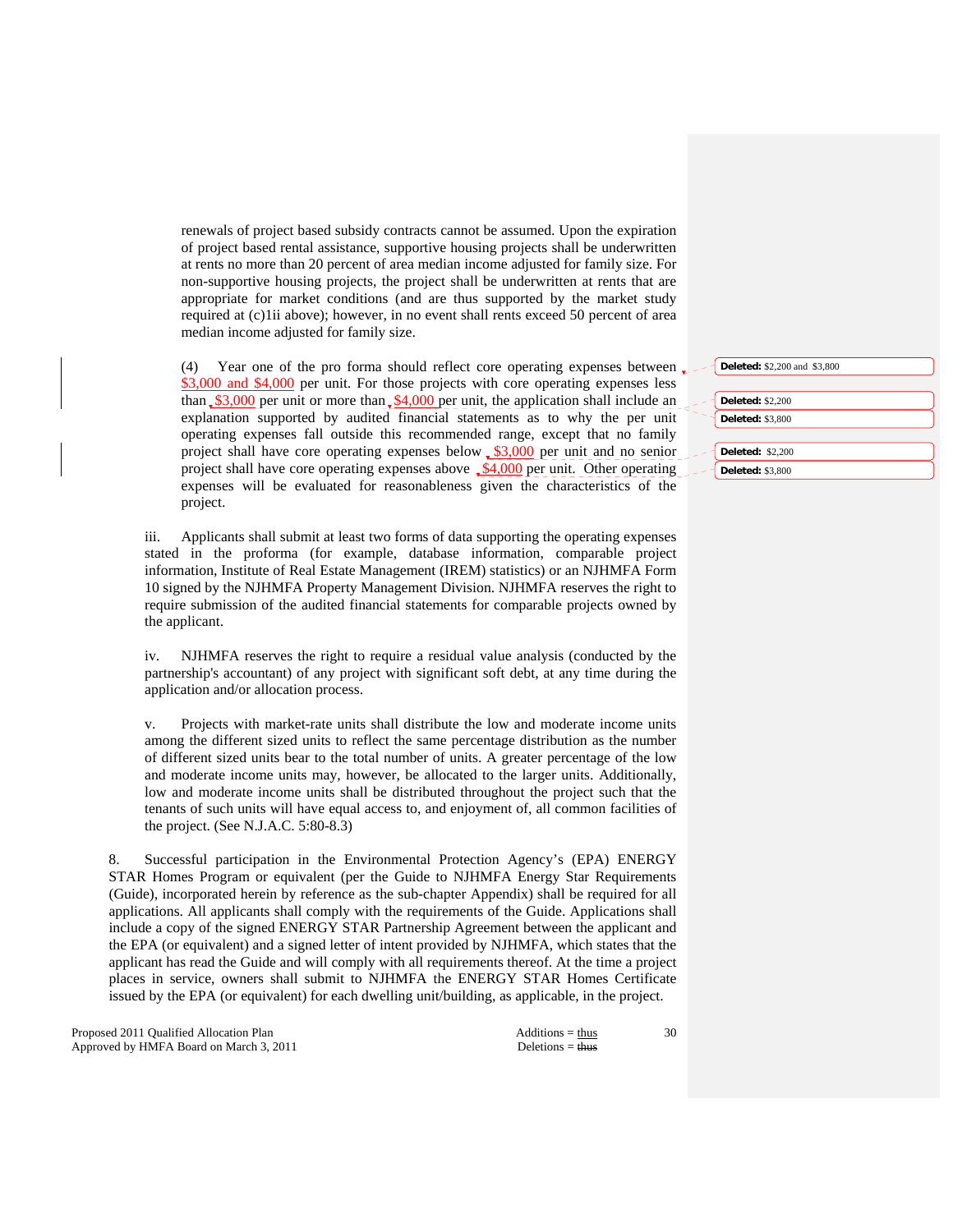renewals of project based subsidy contracts cannot be assumed. Upon the expiration of project based rental assistance, supportive housing projects shall be underwritten at rents no more than 20 percent of area median income adjusted for family size. For non-supportive housing projects, the project shall be underwritten at rents that are appropriate for market conditions (and are thus supported by the market study required at (c)1ii above); however, in no event shall rents exceed 50 percent of area median income adjusted for family size.

(4) Year one of the pro forma should reflect core operating expenses between  $\mathbf{r}$ \$3,000 and \$4,000 per unit. For those projects with core operating expenses less than  $$3,000$  per unit or more than  $$4,000$  per unit, the application shall include an explanation supported by audited financial statements as to why the per unit operating expenses fall outside this recommended range, except that no family project shall have core operating expenses below  $\frac{$3,000}{2}$  per unit and no senior project shall have core operating expenses above  $\sqrt{\frac{24,000}{2}}$  per unit. Other operating expenses will be evaluated for reasonableness given the characteristics of the project.

 iii. Applicants shall submit at least two forms of data supporting the operating expenses stated in the proforma (for example, database information, comparable project information, Institute of Real Estate Management (IREM) statistics) or an NJHMFA Form 10 signed by the NJHMFA Property Management Division. NJHMFA reserves the right to require submission of the audited financial statements for comparable projects owned by the applicant.

 iv. NJHMFA reserves the right to require a residual value analysis (conducted by the partnership's accountant) of any project with significant soft debt, at any time during the application and/or allocation process.

 v. Projects with market-rate units shall distribute the low and moderate income units among the different sized units to reflect the same percentage distribution as the number of different sized units bear to the total number of units. A greater percentage of the low and moderate income units may, however, be allocated to the larger units. Additionally, low and moderate income units shall be distributed throughout the project such that the tenants of such units will have equal access to, and enjoyment of, all common facilities of the project. (See N.J.A.C. 5:80-8.3)

 8. Successful participation in the Environmental Protection Agency's (EPA) ENERGY STAR Homes Program or equivalent (per the Guide to NJHMFA Energy Star Requirements (Guide), incorporated herein by reference as the sub-chapter Appendix) shall be required for all applications. All applicants shall comply with the requirements of the Guide. Applications shall include a copy of the signed ENERGY STAR Partnership Agreement between the applicant and the EPA (or equivalent) and a signed letter of intent provided by NJHMFA, which states that the applicant has read the Guide and will comply with all requirements thereof. At the time a project places in service, owners shall submit to NJHMFA the ENERGY STAR Homes Certificate issued by the EPA (or equivalent) for each dwelling unit/building, as applicable, in the project.

Proposed 2011 Qualified Allocation Plan Additions = thus Additions = thus Approved by HMFA Board on March 3, 2011 Deletions = thus

| Deleted: \$2,200 and \$3,800 |
|------------------------------|
|                              |
| <b>Deleted: \$2,200</b>      |
| <b>Deleted: \$3,800</b>      |
|                              |
| <b>Deleted: \$2,200</b>      |
| <b>Deleted: \$3,800</b>      |
|                              |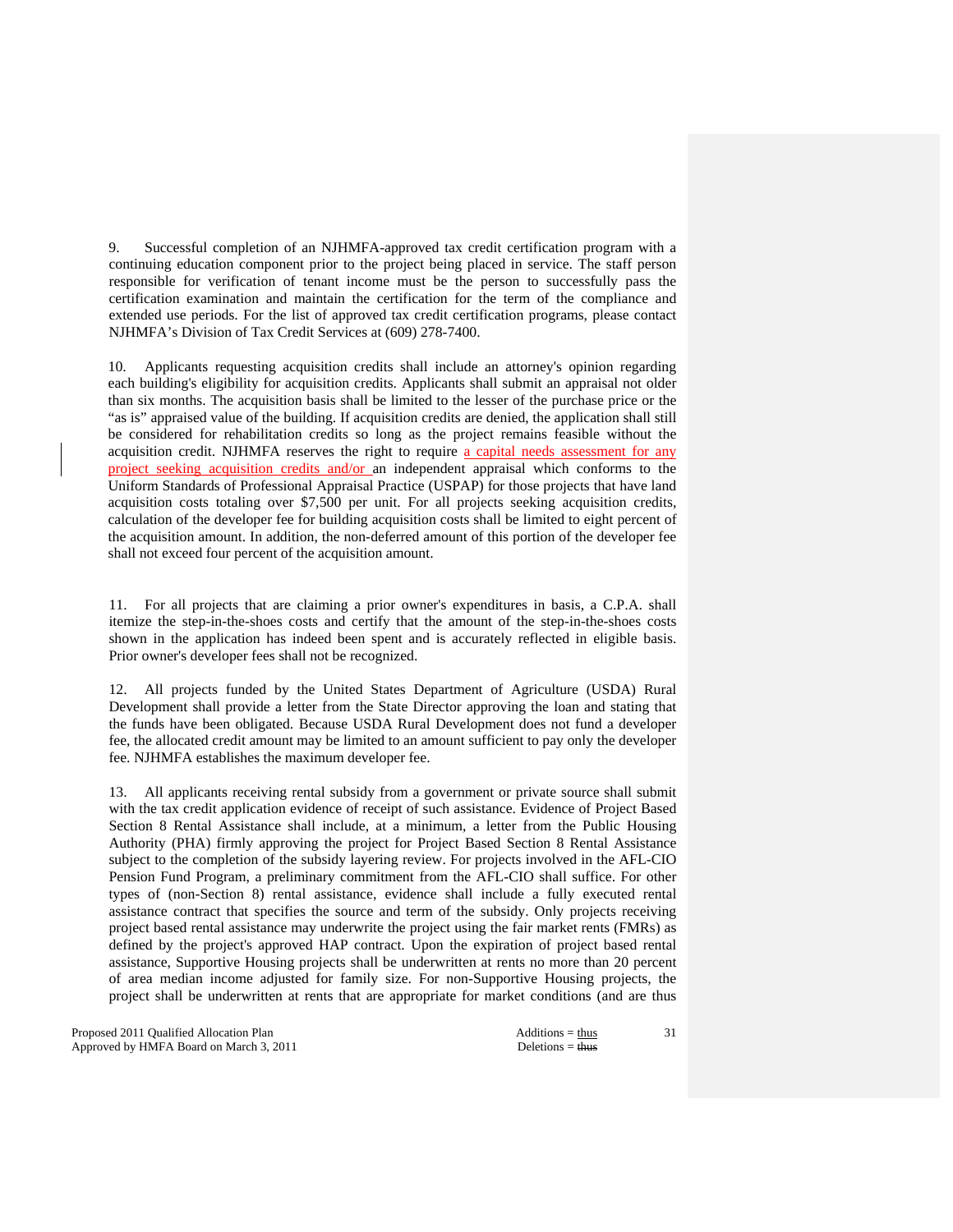9. Successful completion of an NJHMFA-approved tax credit certification program with a continuing education component prior to the project being placed in service. The staff person responsible for verification of tenant income must be the person to successfully pass the certification examination and maintain the certification for the term of the compliance and extended use periods. For the list of approved tax credit certification programs, please contact NJHMFA's Division of Tax Credit Services at (609) 278-7400.

 10. Applicants requesting acquisition credits shall include an attorney's opinion regarding each building's eligibility for acquisition credits. Applicants shall submit an appraisal not older than six months. The acquisition basis shall be limited to the lesser of the purchase price or the "as is" appraised value of the building. If acquisition credits are denied, the application shall still be considered for rehabilitation credits so long as the project remains feasible without the acquisition credit. NJHMFA reserves the right to require a capital needs assessment for any project seeking acquisition credits and/or an independent appraisal which conforms to the Uniform Standards of Professional Appraisal Practice (USPAP) for those projects that have land acquisition costs totaling over \$7,500 per unit. For all projects seeking acquisition credits, calculation of the developer fee for building acquisition costs shall be limited to eight percent of the acquisition amount. In addition, the non-deferred amount of this portion of the developer fee shall not exceed four percent of the acquisition amount.

 11. For all projects that are claiming a prior owner's expenditures in basis, a C.P.A. shall itemize the step-in-the-shoes costs and certify that the amount of the step-in-the-shoes costs shown in the application has indeed been spent and is accurately reflected in eligible basis. Prior owner's developer fees shall not be recognized.

 12. All projects funded by the United States Department of Agriculture (USDA) Rural Development shall provide a letter from the State Director approving the loan and stating that the funds have been obligated. Because USDA Rural Development does not fund a developer fee, the allocated credit amount may be limited to an amount sufficient to pay only the developer fee. NJHMFA establishes the maximum developer fee.

 13. All applicants receiving rental subsidy from a government or private source shall submit with the tax credit application evidence of receipt of such assistance. Evidence of Project Based Section 8 Rental Assistance shall include, at a minimum, a letter from the Public Housing Authority (PHA) firmly approving the project for Project Based Section 8 Rental Assistance subject to the completion of the subsidy layering review. For projects involved in the AFL-CIO Pension Fund Program, a preliminary commitment from the AFL-CIO shall suffice. For other types of (non-Section 8) rental assistance, evidence shall include a fully executed rental assistance contract that specifies the source and term of the subsidy. Only projects receiving project based rental assistance may underwrite the project using the fair market rents (FMRs) as defined by the project's approved HAP contract. Upon the expiration of project based rental assistance, Supportive Housing projects shall be underwritten at rents no more than 20 percent of area median income adjusted for family size. For non-Supportive Housing projects, the project shall be underwritten at rents that are appropriate for market conditions (and are thus

Proposed 2011 Qualified Allocation Plan Additions = thus Approved by HMFA Board on March 3, 2011 Deletions = thus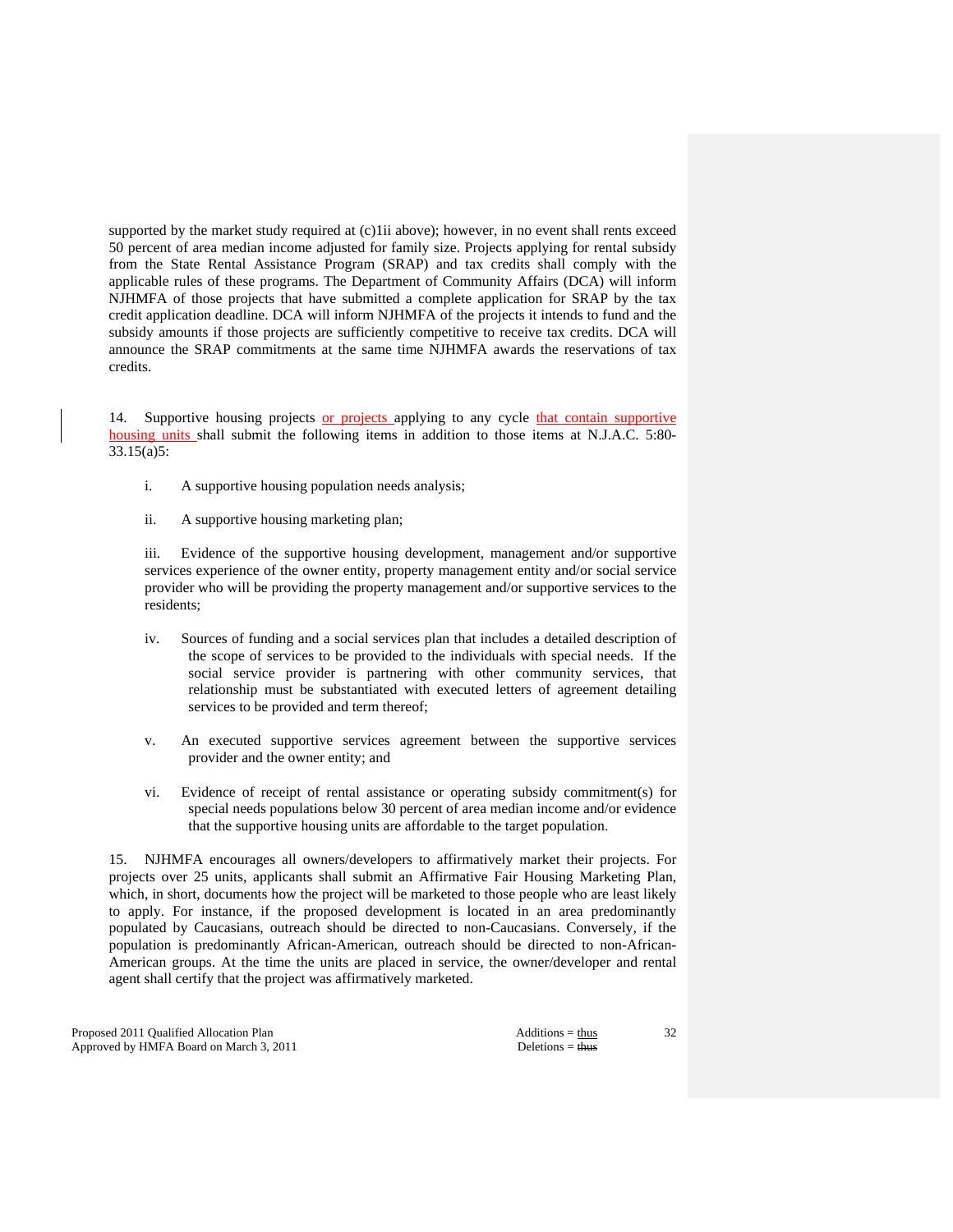supported by the market study required at (c)1ii above); however, in no event shall rents exceed 50 percent of area median income adjusted for family size. Projects applying for rental subsidy from the State Rental Assistance Program (SRAP) and tax credits shall comply with the applicable rules of these programs. The Department of Community Affairs (DCA) will inform NJHMFA of those projects that have submitted a complete application for SRAP by the tax credit application deadline. DCA will inform NJHMFA of the projects it intends to fund and the subsidy amounts if those projects are sufficiently competitive to receive tax credits. DCA will announce the SRAP commitments at the same time NJHMFA awards the reservations of tax credits.

 14. Supportive housing projects or projects applying to any cycle that contain supportive housing units shall submit the following items in addition to those items at N.J.A.C. 5:80- 33.15(a)5:

- i. A supportive housing population needs analysis;
- ii. A supportive housing marketing plan;

 iii. Evidence of the supportive housing development, management and/or supportive services experience of the owner entity, property management entity and/or social service provider who will be providing the property management and/or supportive services to the residents;

- iv. Sources of funding and a social services plan that includes a detailed description of the scope of services to be provided to the individuals with special needs. If the social service provider is partnering with other community services, that relationship must be substantiated with executed letters of agreement detailing services to be provided and term thereof;
- v. An executed supportive services agreement between the supportive services provider and the owner entity; and
- vi. Evidence of receipt of rental assistance or operating subsidy commitment(s) for special needs populations below 30 percent of area median income and/or evidence that the supportive housing units are affordable to the target population.

 15. NJHMFA encourages all owners/developers to affirmatively market their projects. For projects over 25 units, applicants shall submit an Affirmative Fair Housing Marketing Plan, which, in short, documents how the project will be marketed to those people who are least likely to apply. For instance, if the proposed development is located in an area predominantly populated by Caucasians, outreach should be directed to non-Caucasians. Conversely, if the population is predominantly African-American, outreach should be directed to non-African-American groups. At the time the units are placed in service, the owner/developer and rental agent shall certify that the project was affirmatively marketed.

Proposed 2011 Qualified Allocation Plan Additions = thus Additions = thus Approved by HMFA Board on March 3, 2011 Deletions = thus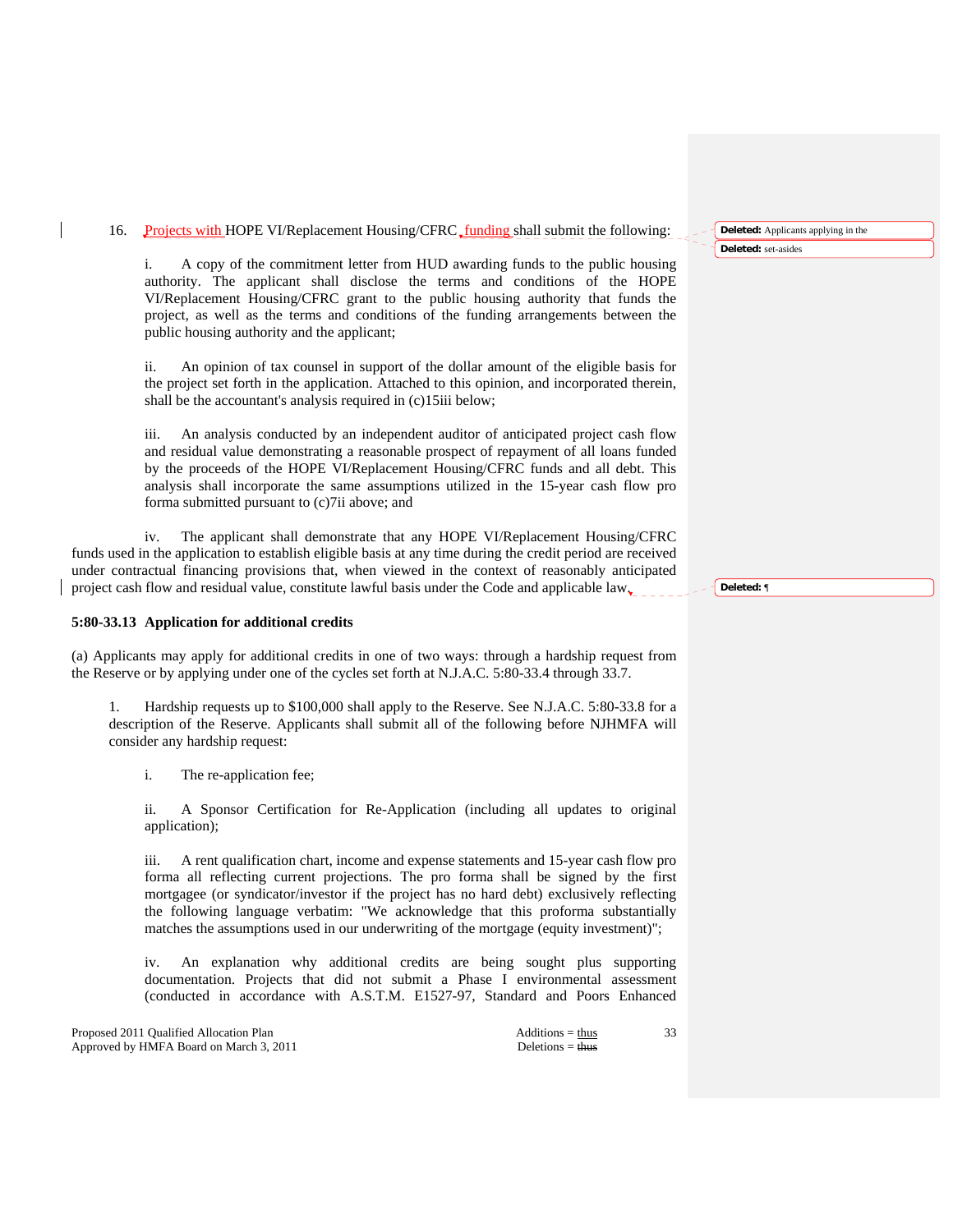# 16. Projects with HOPE VI/Replacement Housing/CFRC funding shall submit the following:

 i. A copy of the commitment letter from HUD awarding funds to the public housing authority. The applicant shall disclose the terms and conditions of the HOPE VI/Replacement Housing/CFRC grant to the public housing authority that funds the project, as well as the terms and conditions of the funding arrangements between the public housing authority and the applicant;

 ii. An opinion of tax counsel in support of the dollar amount of the eligible basis for the project set forth in the application. Attached to this opinion, and incorporated therein, shall be the accountant's analysis required in (c)15iii below;

 iii. An analysis conducted by an independent auditor of anticipated project cash flow and residual value demonstrating a reasonable prospect of repayment of all loans funded by the proceeds of the HOPE VI/Replacement Housing/CFRC funds and all debt. This analysis shall incorporate the same assumptions utilized in the 15-year cash flow pro forma submitted pursuant to (c)7ii above; and

 iv. The applicant shall demonstrate that any HOPE VI/Replacement Housing/CFRC funds used in the application to establish eligible basis at any time during the credit period are received under contractual financing provisions that, when viewed in the context of reasonably anticipated project cash flow and residual value, constitute lawful basis under the Code and applicable law.

# **5:80-33.13 Application for additional credits**

(a) Applicants may apply for additional credits in one of two ways: through a hardship request from the Reserve or by applying under one of the cycles set forth at N.J.A.C. 5:80-33.4 through 33.7.

 1. Hardship requests up to \$100,000 shall apply to the Reserve. See N.J.A.C. 5:80-33.8 for a description of the Reserve. Applicants shall submit all of the following before NJHMFA will consider any hardship request:

i. The re-application fee;

 ii. A Sponsor Certification for Re-Application (including all updates to original application);

 iii. A rent qualification chart, income and expense statements and 15-year cash flow pro forma all reflecting current projections. The pro forma shall be signed by the first mortgagee (or syndicator/investor if the project has no hard debt) exclusively reflecting the following language verbatim: "We acknowledge that this proforma substantially matches the assumptions used in our underwriting of the mortgage (equity investment)";

 iv. An explanation why additional credits are being sought plus supporting documentation. Projects that did not submit a Phase I environmental assessment (conducted in accordance with A.S.T.M. E1527-97, Standard and Poors Enhanced

Proposed 2011 Qualified Allocation Plan Additions = thus Additions = thus Additions = thus Additions = thus Additions = thus Additions = thus Additions = thus Additions = thus Additions = thus Additions = thus Additions = Approved by HMFA Board on March 3, 2011 Deletions = thus

33

**Deleted:** Applicants applying in the **Deleted:** set-asides

**Deleted:** ¶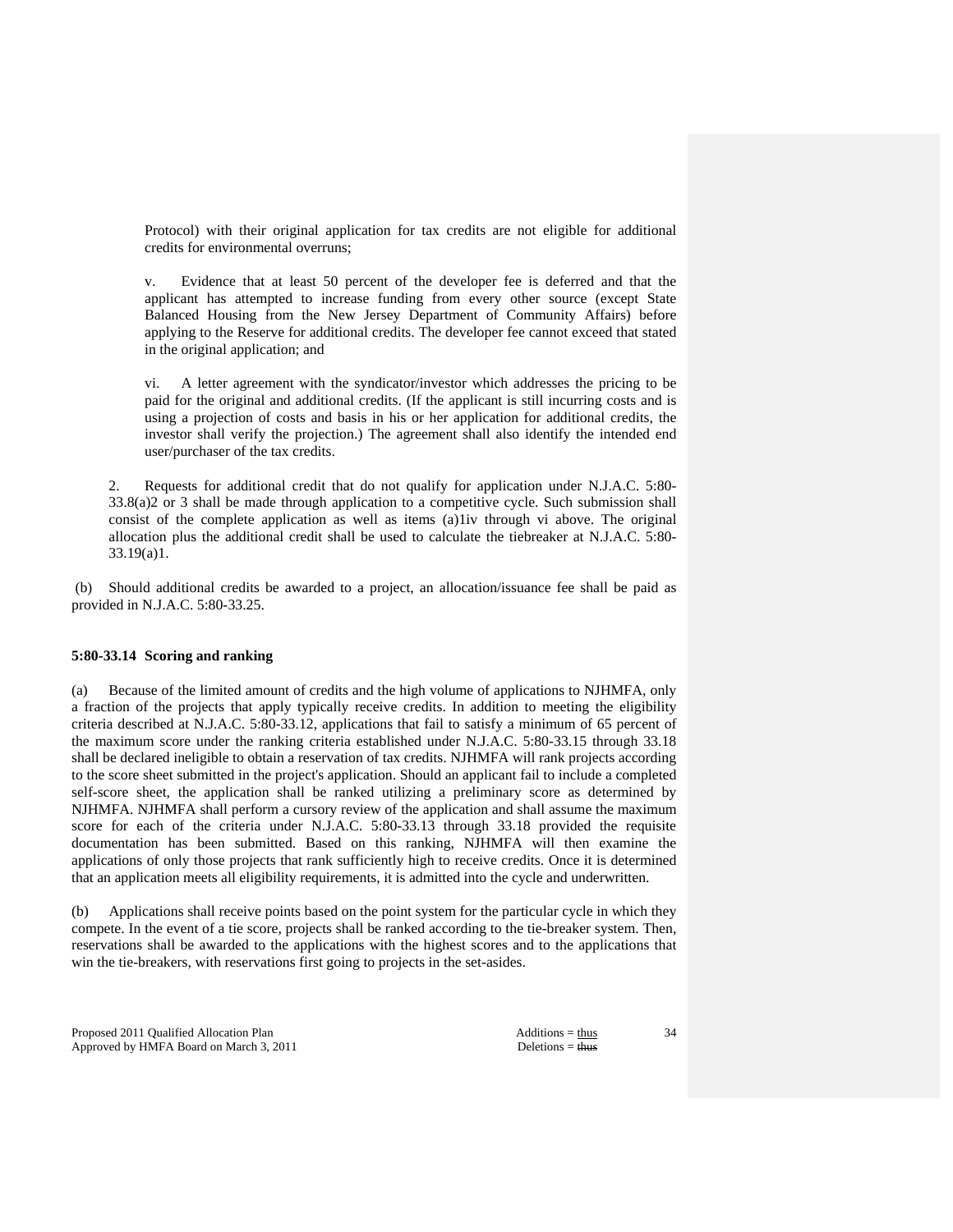Protocol) with their original application for tax credits are not eligible for additional credits for environmental overruns;

 v. Evidence that at least 50 percent of the developer fee is deferred and that the applicant has attempted to increase funding from every other source (except State Balanced Housing from the New Jersey Department of Community Affairs) before applying to the Reserve for additional credits. The developer fee cannot exceed that stated in the original application; and

 vi. A letter agreement with the syndicator/investor which addresses the pricing to be paid for the original and additional credits. (If the applicant is still incurring costs and is using a projection of costs and basis in his or her application for additional credits, the investor shall verify the projection.) The agreement shall also identify the intended end user/purchaser of the tax credits.

 2. Requests for additional credit that do not qualify for application under N.J.A.C. 5:80- 33.8(a)2 or 3 shall be made through application to a competitive cycle. Such submission shall consist of the complete application as well as items (a)1iv through vi above. The original allocation plus the additional credit shall be used to calculate the tiebreaker at N.J.A.C. 5:80- 33.19(a)1.

 (b) Should additional credits be awarded to a project, an allocation/issuance fee shall be paid as provided in N.J.A.C. 5:80-33.25.

## **5:80-33.14 Scoring and ranking**

(a) Because of the limited amount of credits and the high volume of applications to NJHMFA, only a fraction of the projects that apply typically receive credits. In addition to meeting the eligibility criteria described at N.J.A.C. 5:80-33.12, applications that fail to satisfy a minimum of 65 percent of the maximum score under the ranking criteria established under N.J.A.C. 5:80-33.15 through 33.18 shall be declared ineligible to obtain a reservation of tax credits. NJHMFA will rank projects according to the score sheet submitted in the project's application. Should an applicant fail to include a completed self-score sheet, the application shall be ranked utilizing a preliminary score as determined by NJHMFA. NJHMFA shall perform a cursory review of the application and shall assume the maximum score for each of the criteria under N.J.A.C. 5:80-33.13 through 33.18 provided the requisite documentation has been submitted. Based on this ranking, NJHMFA will then examine the applications of only those projects that rank sufficiently high to receive credits. Once it is determined that an application meets all eligibility requirements, it is admitted into the cycle and underwritten.

(b) Applications shall receive points based on the point system for the particular cycle in which they compete. In the event of a tie score, projects shall be ranked according to the tie-breaker system. Then, reservations shall be awarded to the applications with the highest scores and to the applications that win the tie-breakers, with reservations first going to projects in the set-asides.

Proposed 2011 Qualified Allocation Plan Additions = thus Additions = thus Approved by HMFA Board on March 3, 2011 Deletions = thus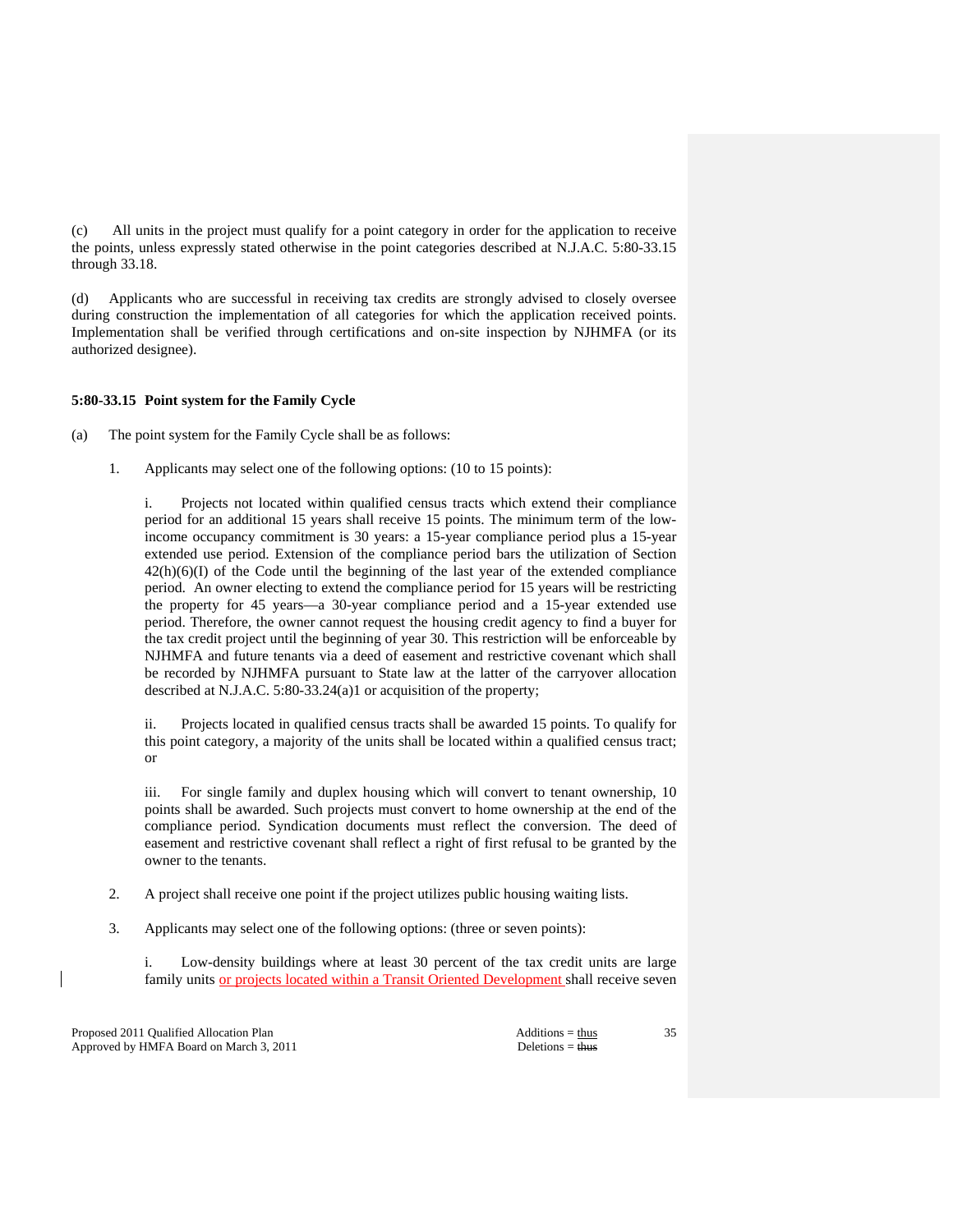(c) All units in the project must qualify for a point category in order for the application to receive the points, unless expressly stated otherwise in the point categories described at N.J.A.C. 5:80-33.15 through 33.18.

(d) Applicants who are successful in receiving tax credits are strongly advised to closely oversee during construction the implementation of all categories for which the application received points. Implementation shall be verified through certifications and on-site inspection by NJHMFA (or its authorized designee).

# **5:80-33.15 Point system for the Family Cycle**

(a) The point system for the Family Cycle shall be as follows:

1. Applicants may select one of the following options: (10 to 15 points):

 i. Projects not located within qualified census tracts which extend their compliance period for an additional 15 years shall receive 15 points. The minimum term of the lowincome occupancy commitment is 30 years: a 15-year compliance period plus a 15-year extended use period. Extension of the compliance period bars the utilization of Section  $42(h)(6)(I)$  of the Code until the beginning of the last year of the extended compliance period. An owner electing to extend the compliance period for 15 years will be restricting the property for 45 years—a 30-year compliance period and a 15-year extended use period. Therefore, the owner cannot request the housing credit agency to find a buyer for the tax credit project until the beginning of year 30. This restriction will be enforceable by NJHMFA and future tenants via a deed of easement and restrictive covenant which shall be recorded by NJHMFA pursuant to State law at the latter of the carryover allocation described at N.J.A.C. 5:80-33.24(a)1 or acquisition of the property;

 ii. Projects located in qualified census tracts shall be awarded 15 points. To qualify for this point category, a majority of the units shall be located within a qualified census tract; or

 iii. For single family and duplex housing which will convert to tenant ownership, 10 points shall be awarded. Such projects must convert to home ownership at the end of the compliance period. Syndication documents must reflect the conversion. The deed of easement and restrictive covenant shall reflect a right of first refusal to be granted by the owner to the tenants.

- 2. A project shall receive one point if the project utilizes public housing waiting lists.
- 3. Applicants may select one of the following options: (three or seven points):

 i. Low-density buildings where at least 30 percent of the tax credit units are large family units or projects located within a Transit Oriented Development shall receive seven

Proposed 2011 Qualified Allocation Plan Additions = thus Additions = thus Approved by HMFA Board on March 3, 2011 Deletions = thus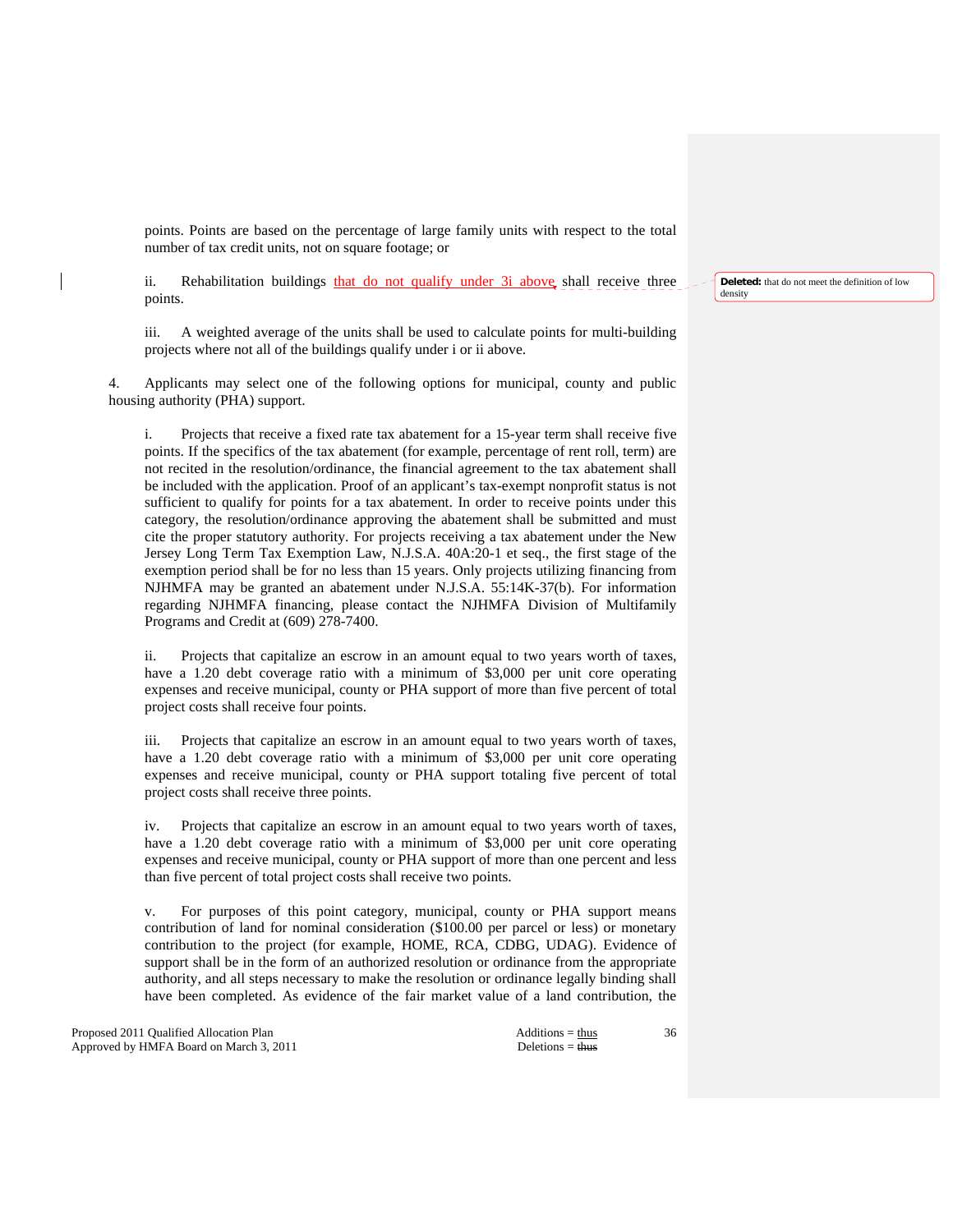points. Points are based on the percentage of large family units with respect to the total number of tax credit units, not on square footage; or

ii. Rehabilitation buildings that do not qualify under 3i above shall receive three points.

 iii. A weighted average of the units shall be used to calculate points for multi-building projects where not all of the buildings qualify under i or ii above.

 4. Applicants may select one of the following options for municipal, county and public housing authority (PHA) support.

 i. Projects that receive a fixed rate tax abatement for a 15-year term shall receive five points. If the specifics of the tax abatement (for example, percentage of rent roll, term) are not recited in the resolution/ordinance, the financial agreement to the tax abatement shall be included with the application. Proof of an applicant's tax-exempt nonprofit status is not sufficient to qualify for points for a tax abatement. In order to receive points under this category, the resolution/ordinance approving the abatement shall be submitted and must cite the proper statutory authority. For projects receiving a tax abatement under the New Jersey Long Term Tax Exemption Law, N.J.S.A. 40A:20-1 et seq., the first stage of the exemption period shall be for no less than 15 years. Only projects utilizing financing from NJHMFA may be granted an abatement under N.J.S.A. 55:14K-37(b). For information regarding NJHMFA financing, please contact the NJHMFA Division of Multifamily Programs and Credit at (609) 278-7400.

 ii. Projects that capitalize an escrow in an amount equal to two years worth of taxes, have a 1.20 debt coverage ratio with a minimum of \$3,000 per unit core operating expenses and receive municipal, county or PHA support of more than five percent of total project costs shall receive four points.

 iii. Projects that capitalize an escrow in an amount equal to two years worth of taxes, have a 1.20 debt coverage ratio with a minimum of \$3,000 per unit core operating expenses and receive municipal, county or PHA support totaling five percent of total project costs shall receive three points.

 iv. Projects that capitalize an escrow in an amount equal to two years worth of taxes, have a 1.20 debt coverage ratio with a minimum of \$3,000 per unit core operating expenses and receive municipal, county or PHA support of more than one percent and less than five percent of total project costs shall receive two points.

 v. For purposes of this point category, municipal, county or PHA support means contribution of land for nominal consideration (\$100.00 per parcel or less) or monetary contribution to the project (for example, HOME, RCA, CDBG, UDAG). Evidence of support shall be in the form of an authorized resolution or ordinance from the appropriate authority, and all steps necessary to make the resolution or ordinance legally binding shall have been completed. As evidence of the fair market value of a land contribution, the

Proposed 2011 Qualified Allocation Plan Additions = thus Additions = thus Additions = thus Additions = thus Additions = thus Additions = thus Additions = thus Additions = thus Additions = thus Additions = thus Additions = Approved by HMFA Board on March 3, 2011 Deletions = thus

36

**Deleted:** that do not meet the definition of low density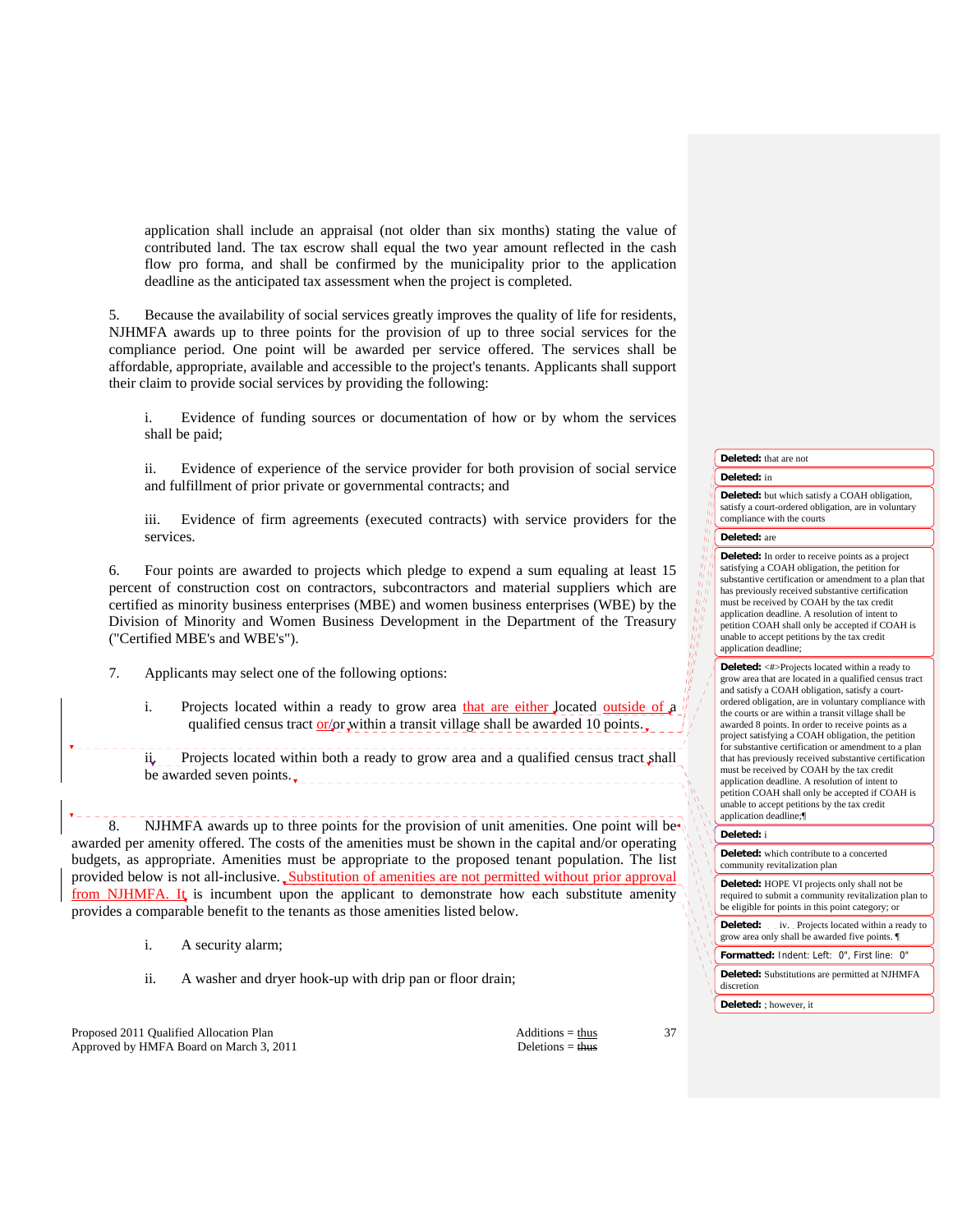application shall include an appraisal (not older than six months) stating the value of contributed land. The tax escrow shall equal the two year amount reflected in the cash flow pro forma, and shall be confirmed by the municipality prior to the application deadline as the anticipated tax assessment when the project is completed.

 5. Because the availability of social services greatly improves the quality of life for residents, NJHMFA awards up to three points for the provision of up to three social services for the compliance period. One point will be awarded per service offered. The services shall be affordable, appropriate, available and accessible to the project's tenants. Applicants shall support their claim to provide social services by providing the following:

 i. Evidence of funding sources or documentation of how or by whom the services shall be paid;

 ii. Evidence of experience of the service provider for both provision of social service and fulfillment of prior private or governmental contracts; and

 iii. Evidence of firm agreements (executed contracts) with service providers for the services.

 6. Four points are awarded to projects which pledge to expend a sum equaling at least 15 percent of construction cost on contractors, subcontractors and material suppliers which are certified as minority business enterprises (MBE) and women business enterprises (WBE) by the Division of Minority and Women Business Development in the Department of the Treasury ("Certified MBE's and WBE's").

- 7. Applicants may select one of the following options:
	- i. Projects located within a ready to grow area that are either located outside of a qualified census tract or/or within a transit village shall be awarded 10 points.

ii. Projects located within both a ready to grow area and a qualified census tract shall be awarded seven points.

8. NJHMFA awards up to three points for the provision of unit amenities. One point will be awarded per amenity offered. The costs of the amenities must be shown in the capital and/or operating budgets, as appropriate. Amenities must be appropriate to the proposed tenant population. The list provided below is not all-inclusive. Substitution of amenities are not permitted without prior approval from NJHMFA. It is incumbent upon the applicant to demonstrate how each substitute amenity provides a comparable benefit to the tenants as those amenities listed below.

- i. A security alarm;
- ii. A washer and dryer hook-up with drip pan or floor drain;

Proposed 2011 Qualified Allocation Plan Additions = thus Additions = thus Approved by HMFA Board on March 3, 2011 Deletions = thus

## **Deleted:** that are not

## **Deleted:** in

**Deleted:** but which satisfy a COAH obligation, satisfy a court-ordered obligation, are in voluntary compliance with the courts

#### **Deleted:** are

 $\frac{\eta_1}{\eta_1} \frac{\eta_1}{\eta_1}$ 

**Deleted:** In order to receive points as a project satisfying a COAH obligation, the petition for substantive certification or amendment to a plan that has previously received substantive certification must be received by COAH by the tax credit application deadline. A resolution of intent to petition COAH shall only be accepted if COAH is unable to accept petitions by the tax credit application deadline;

**Deleted:** <#>Projects located within a ready to grow area that are located in a qualified census tract and satisfy a COAH obligation, satisfy a courtordered obligation, are in voluntary compliance with the courts or are within a transit village shall be awarded 8 points. In order to receive points as a project satisfying a COAH obligation, the petition for substantive certification or amendment to a plan that has previously received substantive certification must be received by COAH by the tax credit application deadline. A resolution of intent to petition COAH shall only be accepted if COAH is unable to accept petitions by the tax credit application deadline;¶

#### **Deleted:** i

**Deleted:** which contribute to a concerted community revitalization plan

**Deleted:** HOPE VI projects only shall not be required to submit a community revitalization plan to be eligible for points in this point category; or

**Deleted:** . . iv. . Projects located within a ready to grow area only shall be awarded five points. ¶

**Formatted:** Indent: Left: 0", First line: 0"

**Deleted:** Substitutions are permitted at NJHMFA discretion

**Deleted:** ; however, it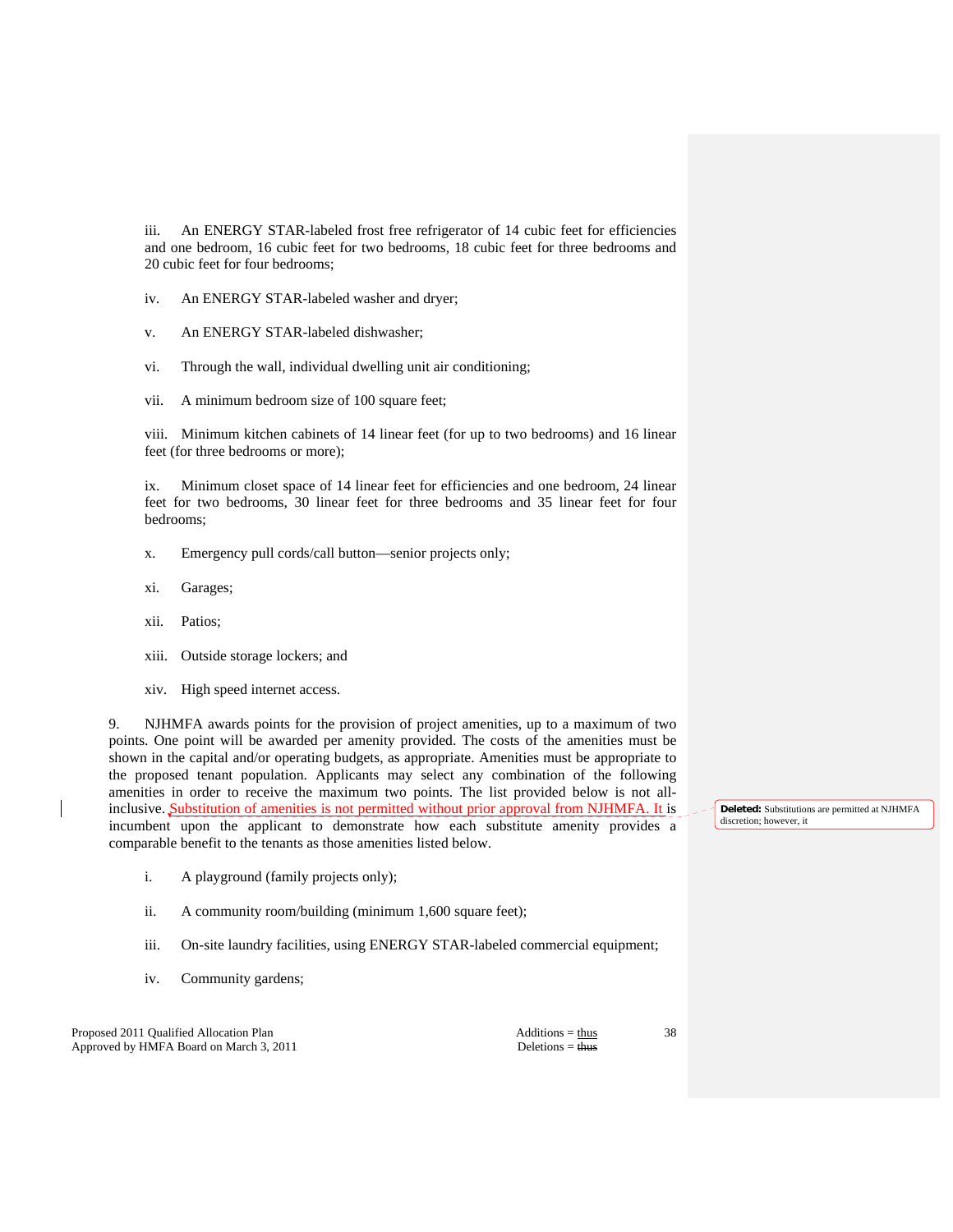iii. An ENERGY STAR-labeled frost free refrigerator of 14 cubic feet for efficiencies and one bedroom, 16 cubic feet for two bedrooms, 18 cubic feet for three bedrooms and 20 cubic feet for four bedrooms;

- iv. An ENERGY STAR-labeled washer and dryer;
- v. An ENERGY STAR-labeled dishwasher;
- vi. Through the wall, individual dwelling unit air conditioning;
- vii. A minimum bedroom size of 100 square feet;

 viii. Minimum kitchen cabinets of 14 linear feet (for up to two bedrooms) and 16 linear feet (for three bedrooms or more);

 ix. Minimum closet space of 14 linear feet for efficiencies and one bedroom, 24 linear feet for two bedrooms, 30 linear feet for three bedrooms and 35 linear feet for four bedrooms;

- x. Emergency pull cords/call button—senior projects only;
- xi. Garages;
- xii. Patios;
- xiii. Outside storage lockers; and
- xiv. High speed internet access.

 9. NJHMFA awards points for the provision of project amenities, up to a maximum of two points. One point will be awarded per amenity provided. The costs of the amenities must be shown in the capital and/or operating budgets, as appropriate. Amenities must be appropriate to the proposed tenant population. Applicants may select any combination of the following amenities in order to receive the maximum two points. The list provided below is not allinclusive. Substitution of amenities is not permitted without prior approval from NJHMFA. It is incumbent upon the applicant to demonstrate how each substitute amenity provides a comparable benefit to the tenants as those amenities listed below.

- i. A playground (family projects only);
- ii. A community room/building (minimum 1,600 square feet);
- iii. On-site laundry facilities, using ENERGY STAR-labeled commercial equipment;
- iv. Community gardens;

Proposed 2011 Qualified Allocation Plan Additions = thus Additions = thus Approved by HMFA Board on March 3, 2011 Deletions = thus

**Deleted:** Substitutions are permitted at NJHMFA discretion; however, it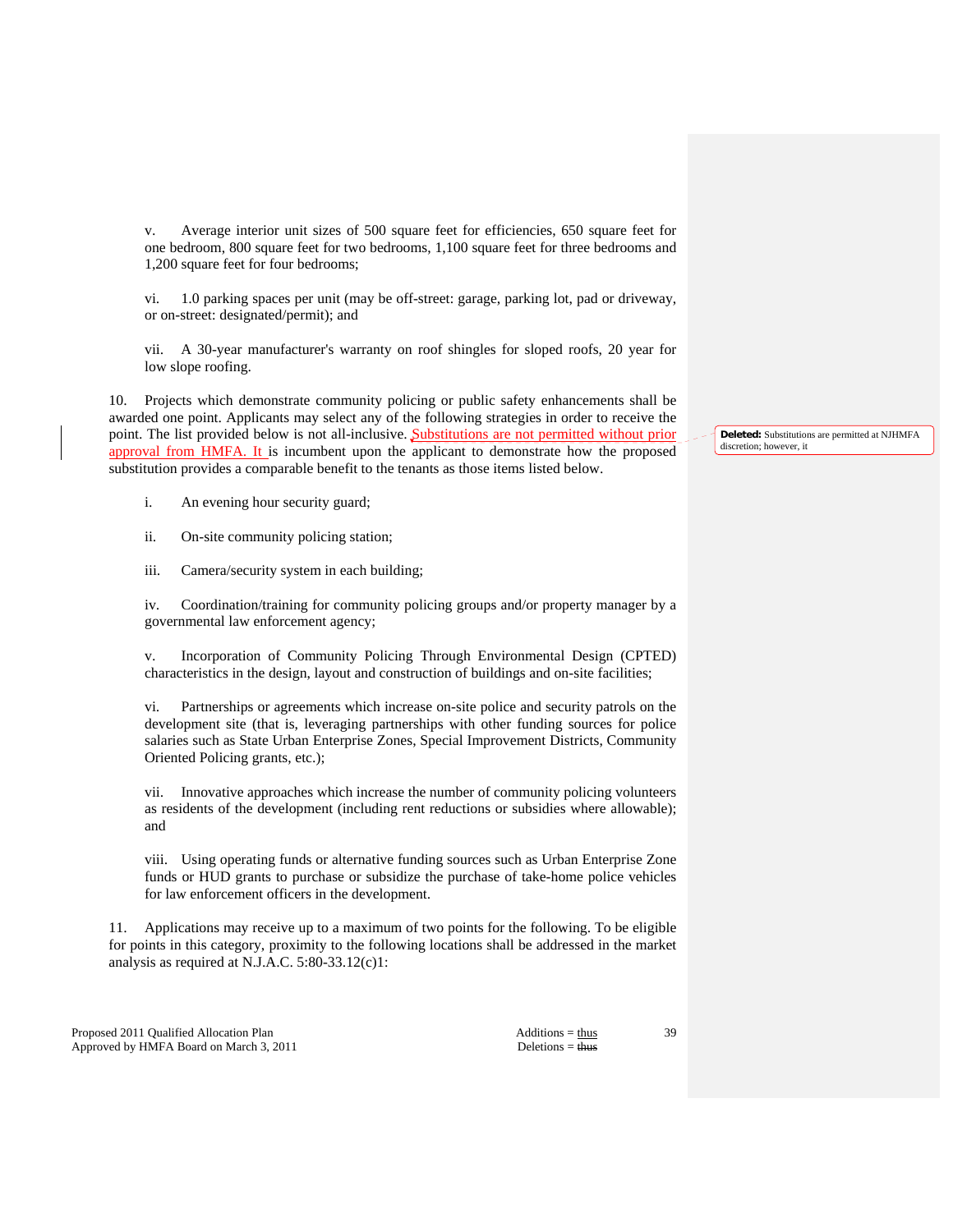v. Average interior unit sizes of 500 square feet for efficiencies, 650 square feet for one bedroom, 800 square feet for two bedrooms, 1,100 square feet for three bedrooms and 1,200 square feet for four bedrooms;

 vi. 1.0 parking spaces per unit (may be off-street: garage, parking lot, pad or driveway, or on-street: designated/permit); and

 vii. A 30-year manufacturer's warranty on roof shingles for sloped roofs, 20 year for low slope roofing.

 10. Projects which demonstrate community policing or public safety enhancements shall be awarded one point. Applicants may select any of the following strategies in order to receive the point. The list provided below is not all-inclusive. Substitutions are not permitted without prior approval from HMFA. It is incumbent upon the applicant to demonstrate how the proposed substitution provides a comparable benefit to the tenants as those items listed below.

- i. An evening hour security guard;
- ii. On-site community policing station;
- iii. Camera/security system in each building;

 iv. Coordination/training for community policing groups and/or property manager by a governmental law enforcement agency;

 v. Incorporation of Community Policing Through Environmental Design (CPTED) characteristics in the design, layout and construction of buildings and on-site facilities;

 vi. Partnerships or agreements which increase on-site police and security patrols on the development site (that is, leveraging partnerships with other funding sources for police salaries such as State Urban Enterprise Zones, Special Improvement Districts, Community Oriented Policing grants, etc.);

 vii. Innovative approaches which increase the number of community policing volunteers as residents of the development (including rent reductions or subsidies where allowable); and

 viii. Using operating funds or alternative funding sources such as Urban Enterprise Zone funds or HUD grants to purchase or subsidize the purchase of take-home police vehicles for law enforcement officers in the development.

11. Applications may receive up to a maximum of two points for the following. To be eligible for points in this category, proximity to the following locations shall be addressed in the market analysis as required at N.J.A.C. 5:80-33.12(c)1:

Proposed 2011 Qualified Allocation Plan Additions = thus Additions = thus Approved by HMFA Board on March 3, 2011 Deletions = thus

**Deleted:** Substitutions are permitted at NJHMFA discretion; however, it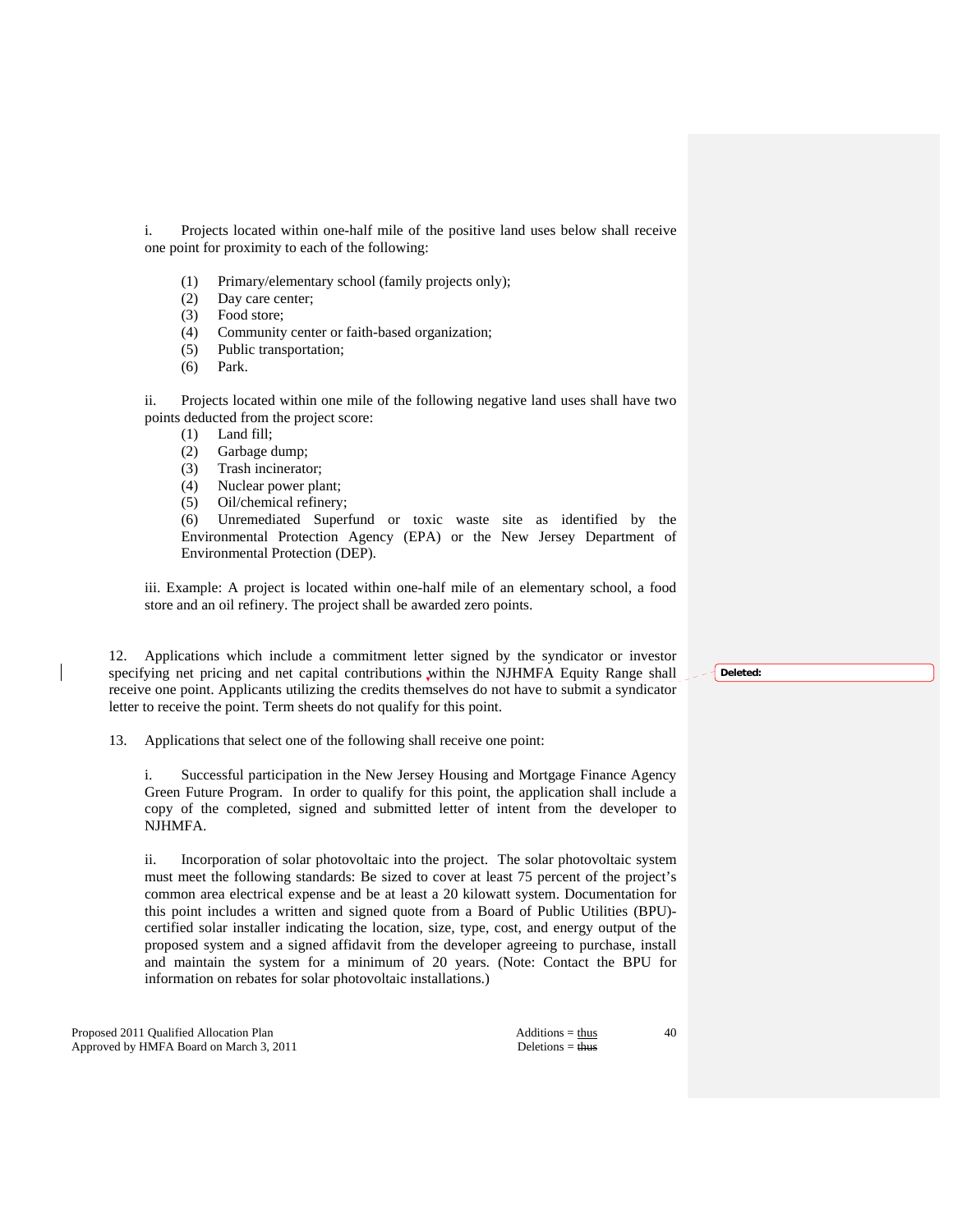i. Projects located within one-half mile of the positive land uses below shall receive one point for proximity to each of the following:

- (1) Primary/elementary school (family projects only);
- (2) Day care center;
- (3) Food store;
- (4) Community center or faith-based organization;
- (5) Public transportation;
- (6) Park.

 ii. Projects located within one mile of the following negative land uses shall have two points deducted from the project score:

- (1) Land fill;
- (2) Garbage dump;
- (3) Trash incinerator;
- (4) Nuclear power plant;
- (5) Oil/chemical refinery;

 (6) Unremediated Superfund or toxic waste site as identified by the Environmental Protection Agency (EPA) or the New Jersey Department of Environmental Protection (DEP).

iii. Example: A project is located within one-half mile of an elementary school, a food store and an oil refinery. The project shall be awarded zero points.

 12. Applications which include a commitment letter signed by the syndicator or investor specifying net pricing and net capital contributions within the NJHMFA Equity Range shall receive one point. Applicants utilizing the credits themselves do not have to submit a syndicator letter to receive the point. Term sheets do not qualify for this point.

13. Applications that select one of the following shall receive one point:

 i. Successful participation in the New Jersey Housing and Mortgage Finance Agency Green Future Program. In order to qualify for this point, the application shall include a copy of the completed, signed and submitted letter of intent from the developer to NJHMFA.

 ii. Incorporation of solar photovoltaic into the project. The solar photovoltaic system must meet the following standards: Be sized to cover at least 75 percent of the project's common area electrical expense and be at least a 20 kilowatt system. Documentation for this point includes a written and signed quote from a Board of Public Utilities (BPU) certified solar installer indicating the location, size, type, cost, and energy output of the proposed system and a signed affidavit from the developer agreeing to purchase, install and maintain the system for a minimum of 20 years. (Note: Contact the BPU for information on rebates for solar photovoltaic installations.)

Proposed 2011 Qualified Allocation Plan Additions = thus Additions = thus Approved by HMFA Board on March 3, 2011 Deletions = thus

40

**Deleted:**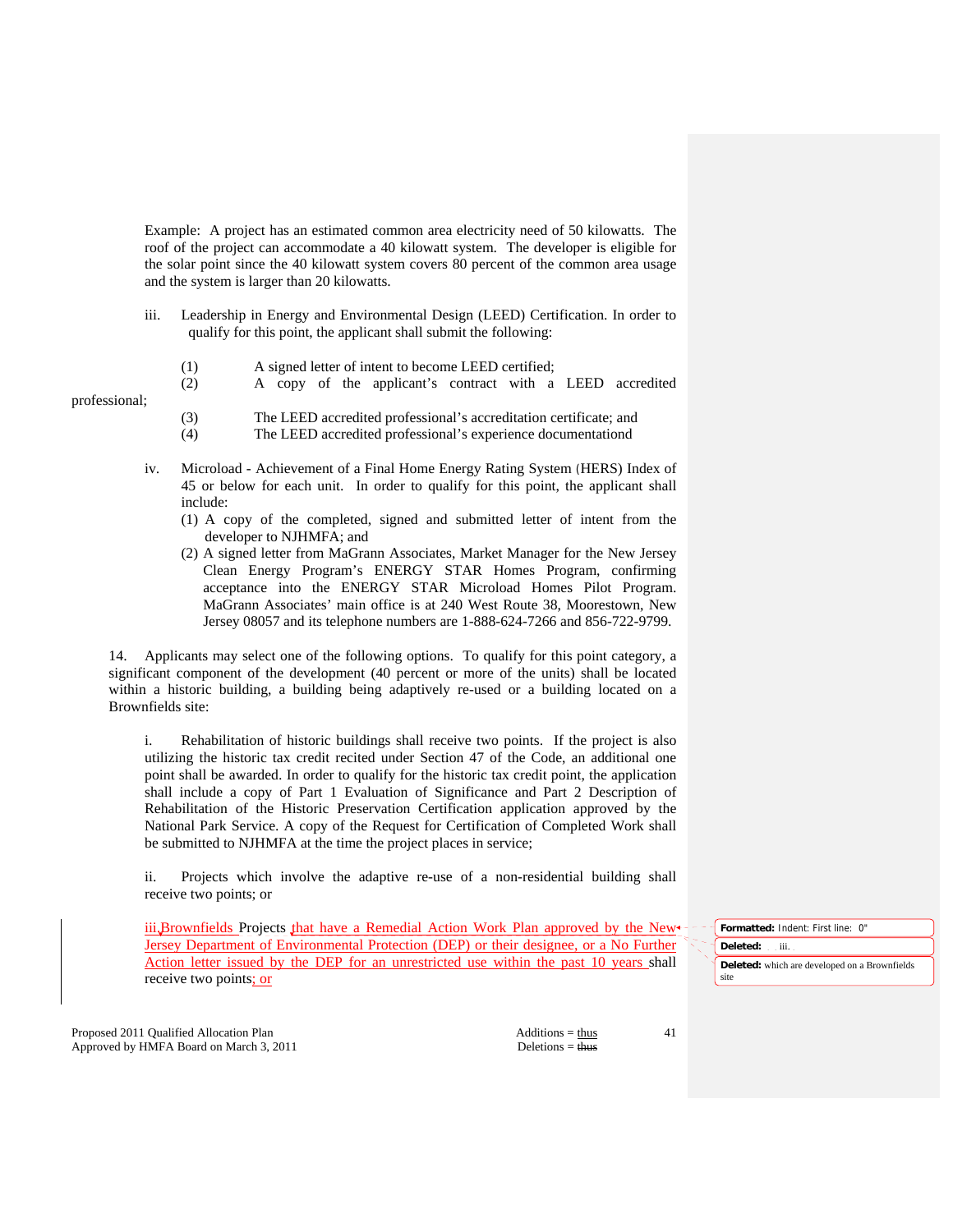Example: A project has an estimated common area electricity need of 50 kilowatts. The roof of the project can accommodate a 40 kilowatt system. The developer is eligible for the solar point since the 40 kilowatt system covers 80 percent of the common area usage and the system is larger than 20 kilowatts.

- iii. Leadership in Energy and Environmental Design (LEED) Certification. In order to qualify for this point, the applicant shall submit the following:
	- (1) A signed letter of intent to become LEED certified;
	- (2) A copy of the applicant's contract with a LEED accredited

(3) The LEED accredited professional's accreditation certificate; and

- (4) The LEED accredited professional's experience documentationd
- iv. Microload Achievement of a Final Home Energy Rating System (HERS) Index of 45 or below for each unit. In order to qualify for this point, the applicant shall include:
	- (1) A copy of the completed, signed and submitted letter of intent from the developer to NJHMFA; and
	- (2) A signed letter from MaGrann Associates, Market Manager for the New Jersey Clean Energy Program's ENERGY STAR Homes Program, confirming acceptance into the ENERGY STAR Microload Homes Pilot Program. MaGrann Associates' main office is at 240 West Route 38, Moorestown, New Jersey 08057 and its telephone numbers are 1-888-624-7266 and 856-722-9799.

 14. Applicants may select one of the following options. To qualify for this point category, a significant component of the development (40 percent or more of the units) shall be located within a historic building, a building being adaptively re-used or a building located on a Brownfields site:

 i. Rehabilitation of historic buildings shall receive two points. If the project is also utilizing the historic tax credit recited under Section 47 of the Code, an additional one point shall be awarded. In order to qualify for the historic tax credit point, the application shall include a copy of Part 1 Evaluation of Significance and Part 2 Description of Rehabilitation of the Historic Preservation Certification application approved by the National Park Service. A copy of the Request for Certification of Completed Work shall be submitted to NJHMFA at the time the project places in service;

 ii. Projects which involve the adaptive re-use of a non-residential building shall receive two points; or

iii.Brownfields Projects that have a Remedial Action Work Plan approved by the New-Jersey Department of Environmental Protection (DEP) or their designee, or a No Further Action letter issued by the DEP for an unrestricted use within the past 10 years shall receive two points; or

**Formatted:** Indent: First line: 0" **Deleted:** iii. **Deleted:** which are developed on a Brownfields site

Proposed 2011 Qualified Allocation Plan Additions = thus Additions = thus Approved by HMFA Board on March 3, 2011 Deletions = thus

professional;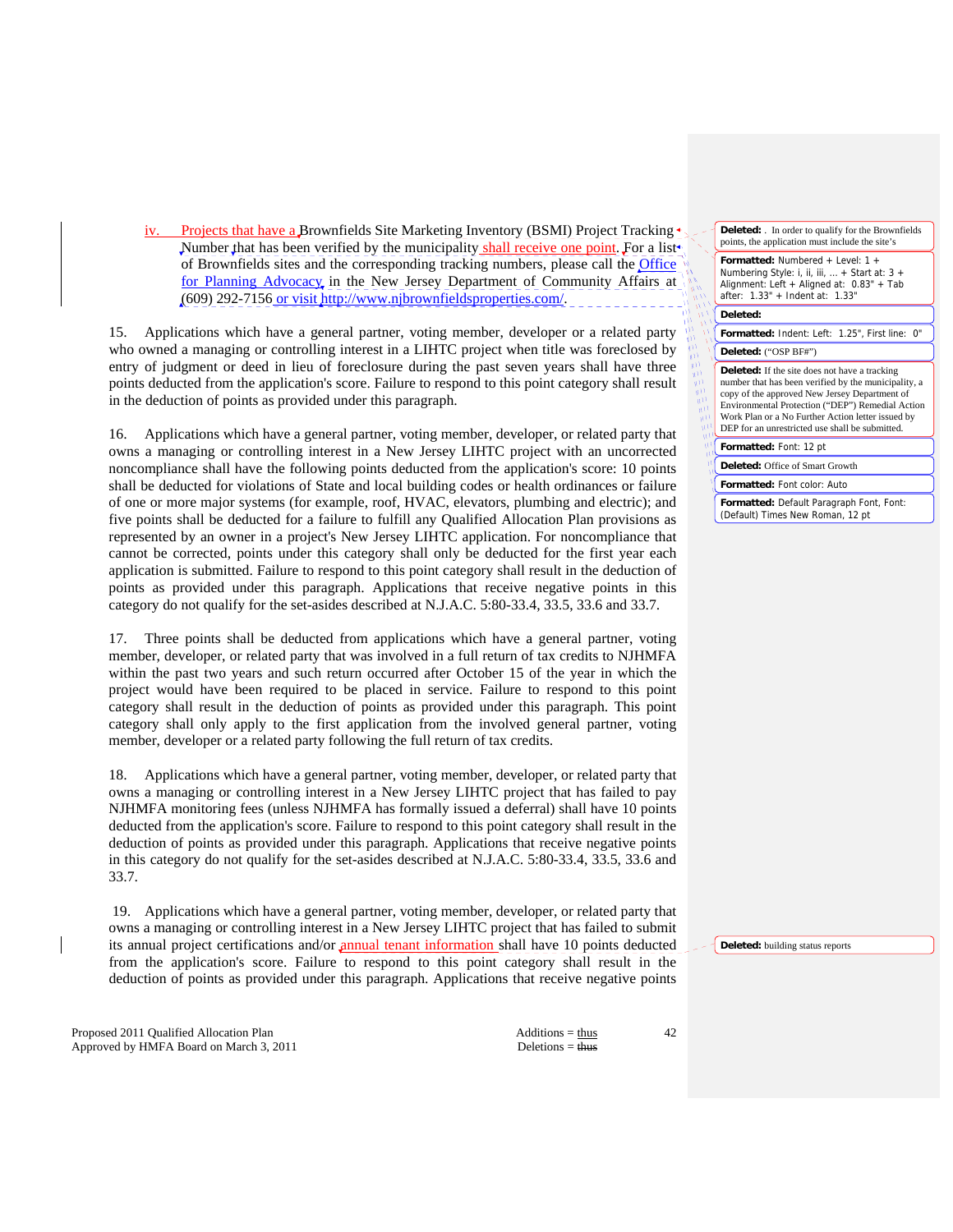Projects that have a Brownfields Site Marketing Inventory (BSMI) Project Tracking  $\bullet$ Number that has been verified by the municipality shall receive one point. For a list of Brownfields sites and the corresponding tracking numbers, please call the Office for Planning Advocacy, in the New Jersey Department of Community Affairs at (609) 292-7156 or visit http://www.njbrownfieldsproperties.com/.

 15. Applications which have a general partner, voting member, developer or a related party who owned a managing or controlling interest in a LIHTC project when title was foreclosed by entry of judgment or deed in lieu of foreclosure during the past seven years shall have three points deducted from the application's score. Failure to respond to this point category shall result in the deduction of points as provided under this paragraph.

 16. Applications which have a general partner, voting member, developer, or related party that owns a managing or controlling interest in a New Jersey LIHTC project with an uncorrected noncompliance shall have the following points deducted from the application's score: 10 points shall be deducted for violations of State and local building codes or health ordinances or failure of one or more major systems (for example, roof, HVAC, elevators, plumbing and electric); and five points shall be deducted for a failure to fulfill any Qualified Allocation Plan provisions as represented by an owner in a project's New Jersey LIHTC application. For noncompliance that cannot be corrected, points under this category shall only be deducted for the first year each application is submitted. Failure to respond to this point category shall result in the deduction of points as provided under this paragraph. Applications that receive negative points in this category do not qualify for the set-asides described at N.J.A.C. 5:80-33.4, 33.5, 33.6 and 33.7.

 17. Three points shall be deducted from applications which have a general partner, voting member, developer, or related party that was involved in a full return of tax credits to NJHMFA within the past two years and such return occurred after October 15 of the year in which the project would have been required to be placed in service. Failure to respond to this point category shall result in the deduction of points as provided under this paragraph. This point category shall only apply to the first application from the involved general partner, voting member, developer or a related party following the full return of tax credits.

 18. Applications which have a general partner, voting member, developer, or related party that owns a managing or controlling interest in a New Jersey LIHTC project that has failed to pay NJHMFA monitoring fees (unless NJHMFA has formally issued a deferral) shall have 10 points deducted from the application's score. Failure to respond to this point category shall result in the deduction of points as provided under this paragraph. Applications that receive negative points in this category do not qualify for the set-asides described at N.J.A.C. 5:80-33.4, 33.5, 33.6 and 33.7.

 19. Applications which have a general partner, voting member, developer, or related party that owns a managing or controlling interest in a New Jersey LIHTC project that has failed to submit its annual project certifications and/or annual tenant information shall have 10 points deducted from the application's score. Failure to respond to this point category shall result in the deduction of points as provided under this paragraph. Applications that receive negative points

Proposed 2011 Qualified Allocation Plan Additions = thus Additions = thus Approved by HMFA Board on March 3, 2011 Deletions = thus

42

| <b>Deleted:</b> In order to qualify for the Brownfields<br>points, the application must include the site's                                                                                                                                                                                                                |  |
|---------------------------------------------------------------------------------------------------------------------------------------------------------------------------------------------------------------------------------------------------------------------------------------------------------------------------|--|
| Formatted: Numbered + Level: 1 +<br>Numbering Style: i, ii, iii,  + Start at: 3 +<br>Alignment: Left + Aligned at: 0.83" + Tab<br>after: 1.33" + Indent at: 1.33"                                                                                                                                                         |  |
| Deleted:                                                                                                                                                                                                                                                                                                                  |  |
| Formatted: Indent: Left: 1.25", First line:<br>0"                                                                                                                                                                                                                                                                         |  |
| Deleted: ("OSP BF#")                                                                                                                                                                                                                                                                                                      |  |
| <b>Deleted:</b> If the site does not have a tracking<br>number that has been verified by the municipality, a<br>copy of the approved New Jersey Department of<br>Environmental Protection ("DEP") Remedial Action<br>Work Plan or a No Further Action letter issued by<br>DEP for an unrestricted use shall be submitted. |  |
| Formatted: Font: 12 pt                                                                                                                                                                                                                                                                                                    |  |
| <b>Deleted:</b> Office of Smart Growth                                                                                                                                                                                                                                                                                    |  |
| <b>Formatted:</b> Font color: Auto                                                                                                                                                                                                                                                                                        |  |
| Formatted: Default Paragraph Font, Font:<br>(Default) Times New Roman, 12 pt                                                                                                                                                                                                                                              |  |

**Deleted:** building status reports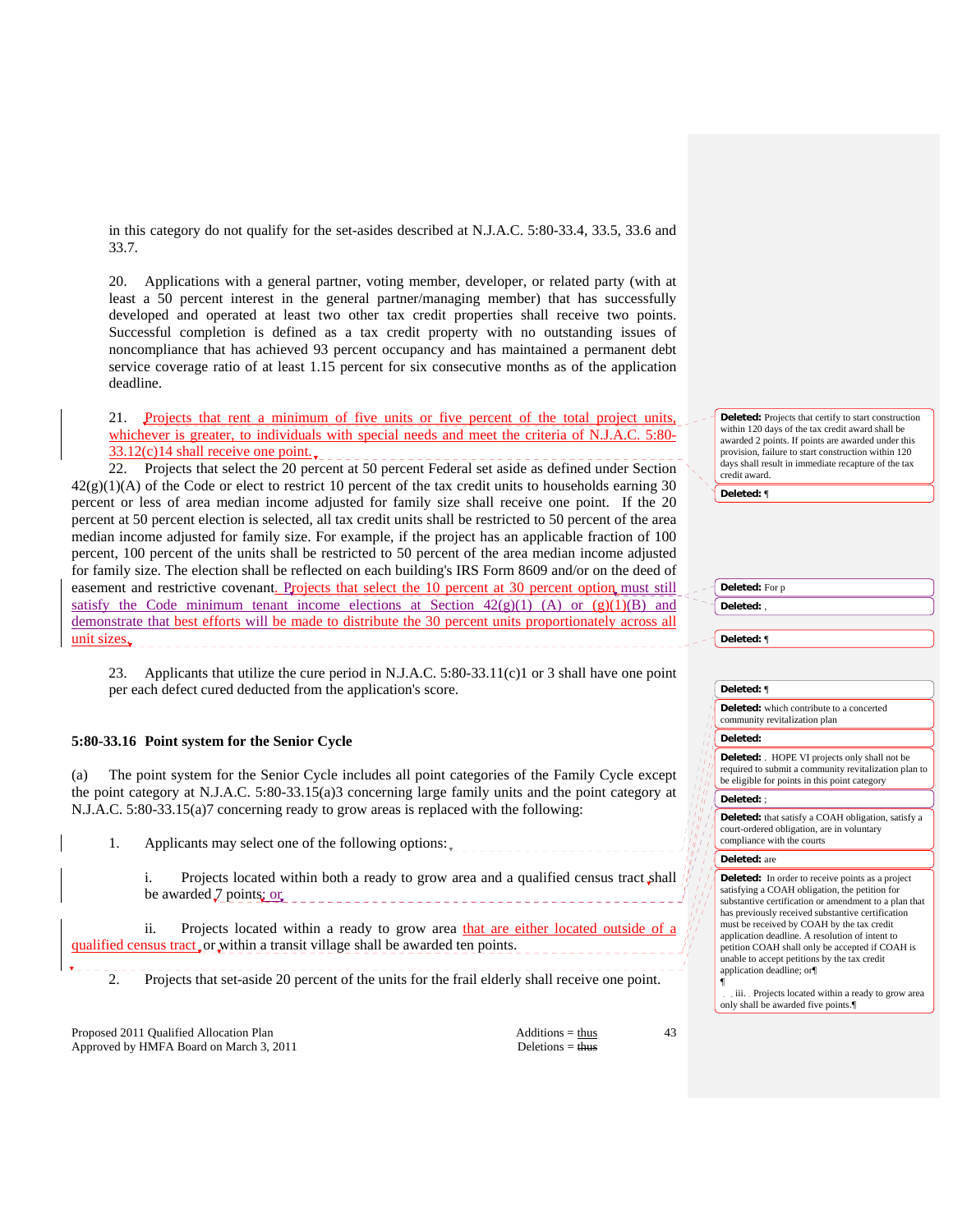in this category do not qualify for the set-asides described at N.J.A.C. 5:80-33.4, 33.5, 33.6 and 33.7.

 20. Applications with a general partner, voting member, developer, or related party (with at least a 50 percent interest in the general partner/managing member) that has successfully developed and operated at least two other tax credit properties shall receive two points. Successful completion is defined as a tax credit property with no outstanding issues of noncompliance that has achieved 93 percent occupancy and has maintained a permanent debt service coverage ratio of at least 1.15 percent for six consecutive months as of the application deadline.

 21. Projects that rent a minimum of five units or five percent of the total project units, whichever is greater, to individuals with special needs and meet the criteria of N.J.A.C. 5:80- $33.12(c)14$  shall receive one point.

 22. Projects that select the 20 percent at 50 percent Federal set aside as defined under Section  $42(g)(1)(A)$  of the Code or elect to restrict 10 percent of the tax credit units to households earning 30 percent or less of area median income adjusted for family size shall receive one point. If the 20 percent at 50 percent election is selected, all tax credit units shall be restricted to 50 percent of the area median income adjusted for family size. For example, if the project has an applicable fraction of 100 percent, 100 percent of the units shall be restricted to 50 percent of the area median income adjusted for family size. The election shall be reflected on each building's IRS Form 8609 and/or on the deed of easement and restrictive covenant. Projects that select the 10 percent at 30 percent option must still satisfy the Code minimum tenant income elections at Section  $42(g)(1)$  (A) or  $(g)(1)(B)$  and demonstrate that best efforts will be made to distribute the 30 percent units proportionately across all unit sizes.

 23. Applicants that utilize the cure period in N.J.A.C. 5:80-33.11(c)1 or 3 shall have one point per each defect cured deducted from the application's score.

# **5:80-33.16 Point system for the Senior Cycle**

The point system for the Senior Cycle includes all point categories of the Family Cycle except the point category at N.J.A.C. 5:80-33.15(a)3 concerning large family units and the point category at N.J.A.C. 5:80-33.15(a)7 concerning ready to grow areas is replaced with the following:

1. Applicants may select one of the following options:  $\frac{1}{2}$ 

 i. Projects located within both a ready to grow area and a qualified census tract shall be awarded  $7$  points; or

 ii. Projects located within a ready to grow area that are either located outside of a qualified census tract or within a transit village shall be awarded ten points.

2. Projects that set-aside 20 percent of the units for the frail elderly shall receive one point.

Proposed 2011 Qualified Allocation Plan Additions = thus Additions = thus Approved by HMFA Board on March 3, 2011 Deletions = thus Deletions = thus

43

**Deleted:** Projects that certify to start construction within 120 days of the tax credit award shall be awarded 2 points. If points are awarded under this provision, failure to start construction within 120 days shall result in immediate recapture of the tax credit award.

**Deleted:** ¶

# **Deleted:** For p **Deleted:** ,

**Deleted:** ¶

#### **Deleted:** ¶

**Deleted:** which contribute to a concerted community revitalization plan

**Deleted:** 

**Deleted:** . HOPE VI projects only shall not be required to submit a community revitalization plan to be eligible for points in this point category

## **Deleted:** ;

**Deleted:** that satisfy a COAH obligation, satisfy a court-ordered obligation, are in voluntary compliance with the courts

#### **Deleted:** are

**Deleted:** In order to receive points as a project satisfying a COAH obligation, the petition for substantive certification or amendment to a plan that has previously received substantive certification must be received by COAH by the tax credit application deadline. A resolution of intent to petition COAH shall only be accepted if COAH is unable to accept petitions by the tax credit application deadline; or¶

¶ iii. Projects located within a ready to grow area only shall be awarded five points.¶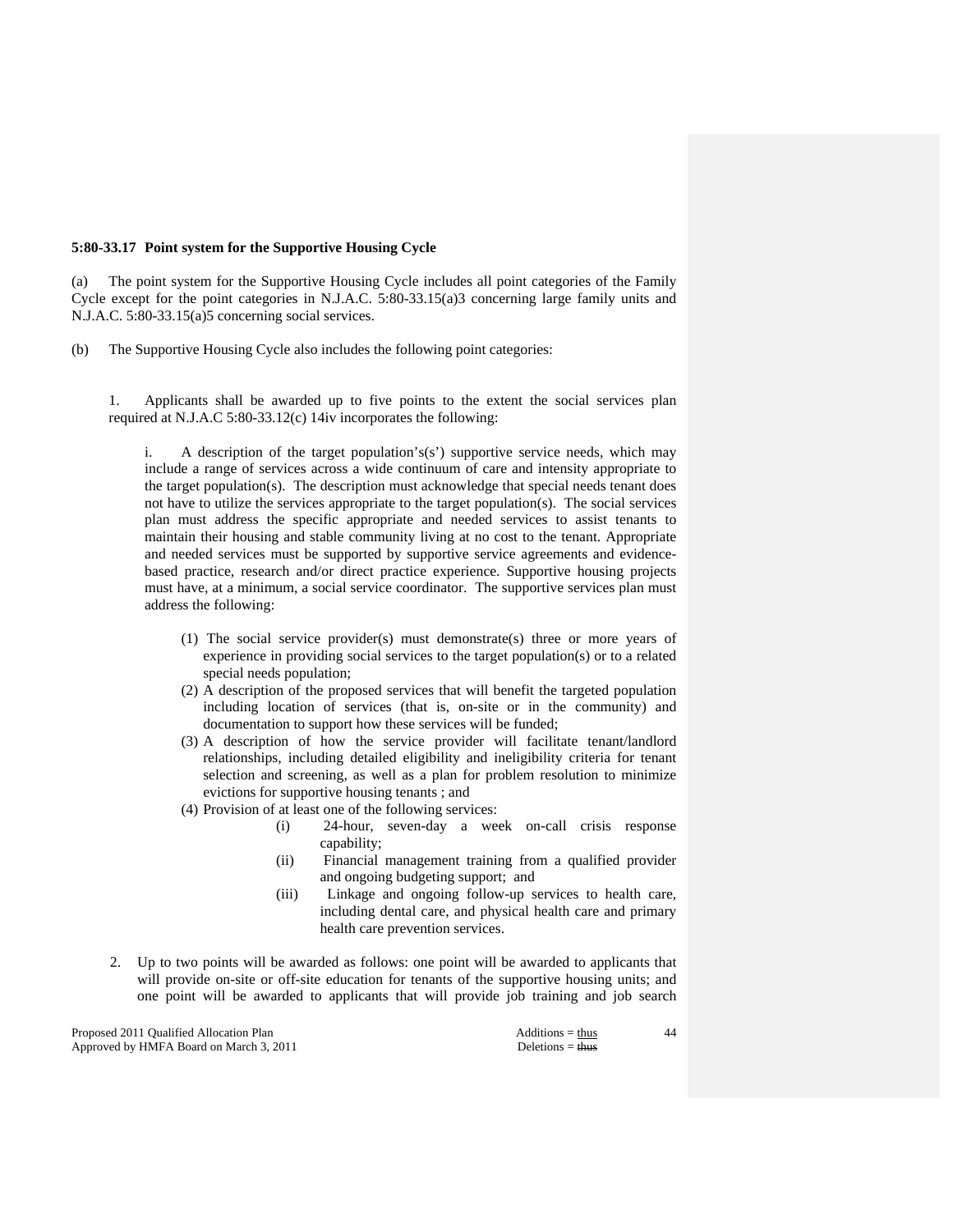# **5:80-33.17 Point system for the Supportive Housing Cycle**

(a) The point system for the Supportive Housing Cycle includes all point categories of the Family Cycle except for the point categories in N.J.A.C. 5:80-33.15(a)3 concerning large family units and N.J.A.C. 5:80-33.15(a)5 concerning social services.

(b) The Supportive Housing Cycle also includes the following point categories:

 1. Applicants shall be awarded up to five points to the extent the social services plan required at N.J.A.C 5:80-33.12(c) 14iv incorporates the following:

A description of the target population's(s') supportive service needs, which may include a range of services across a wide continuum of care and intensity appropriate to the target population(s). The description must acknowledge that special needs tenant does not have to utilize the services appropriate to the target population(s). The social services plan must address the specific appropriate and needed services to assist tenants to maintain their housing and stable community living at no cost to the tenant. Appropriate and needed services must be supported by supportive service agreements and evidencebased practice, research and/or direct practice experience. Supportive housing projects must have, at a minimum, a social service coordinator. The supportive services plan must address the following:

- (1) The social service provider(s) must demonstrate(s) three or more years of experience in providing social services to the target population(s) or to a related special needs population;
- (2) A description of the proposed services that will benefit the targeted population including location of services (that is, on-site or in the community) and documentation to support how these services will be funded;
- (3) A description of how the service provider will facilitate tenant/landlord relationships, including detailed eligibility and ineligibility criteria for tenant selection and screening, as well as a plan for problem resolution to minimize evictions for supportive housing tenants ; and
- (4) Provision of at least one of the following services:
	- (i) 24-hour, seven-day a week on-call crisis response capability;
	- (ii) Financial management training from a qualified provider and ongoing budgeting support; and
	- (iii) Linkage and ongoing follow-up services to health care, including dental care, and physical health care and primary health care prevention services.
- 2. Up to two points will be awarded as follows: one point will be awarded to applicants that will provide on-site or off-site education for tenants of the supportive housing units; and one point will be awarded to applicants that will provide job training and job search

Proposed 2011 Qualified Allocation Plan Additions = thus Additions = thus Additions = thus Additions = thus Additions = thus Additions = thus Additions = thus Additions = thus Additions = thus Additions = thus Additions = Approved by HMFA Board on March 3, 2011 Deletions = thus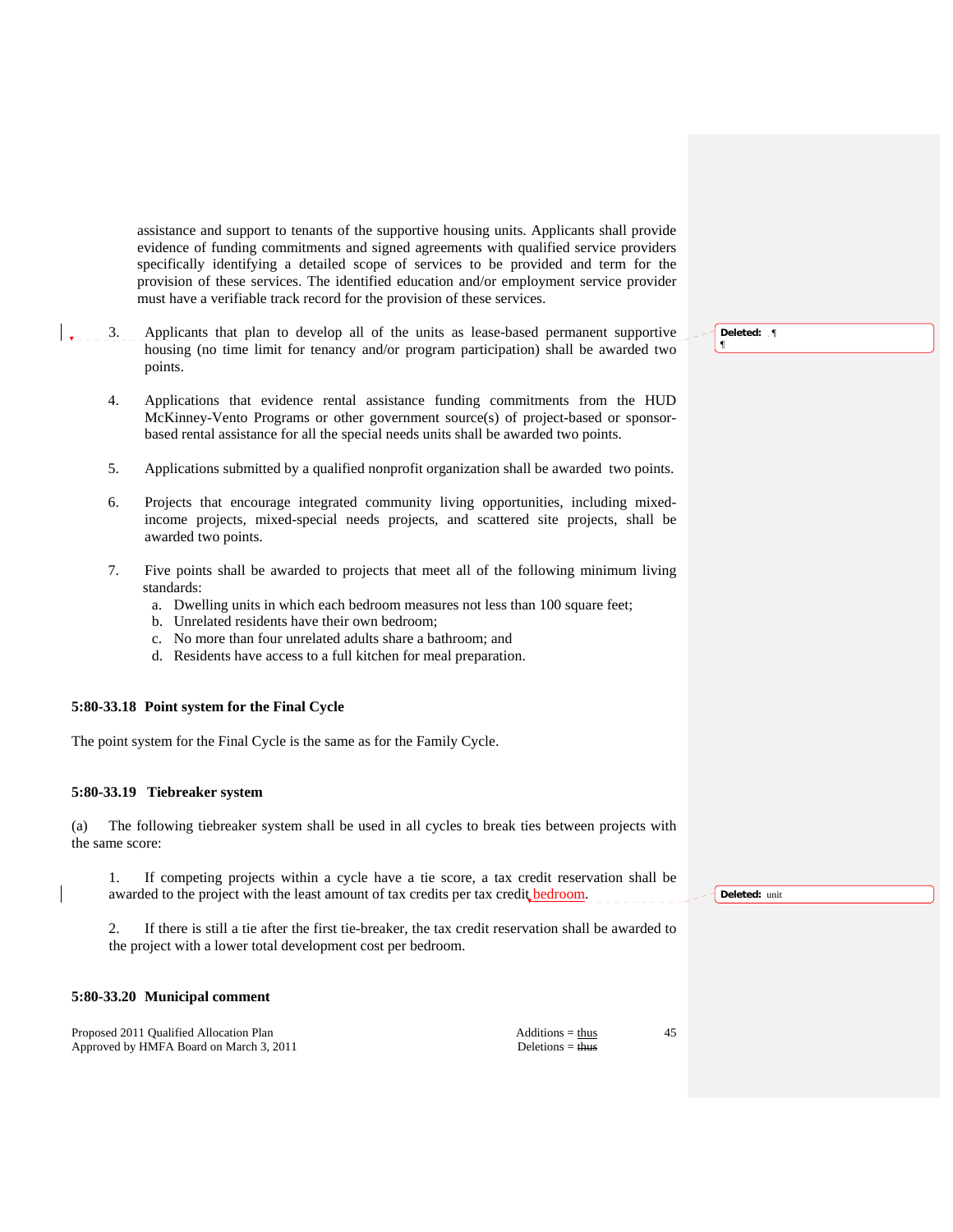assistance and support to tenants of the supportive housing units. Applicants shall provide evidence of funding commitments and signed agreements with qualified service providers specifically identifying a detailed scope of services to be provided and term for the provision of these services. The identified education and/or employment service provider must have a verifiable track record for the provision of these services.

- 3. Applicants that plan to develop all of the units as lease-based permanent supportive housing (no time limit for tenancy and/or program participation) shall be awarded two points.
	- 4. Applications that evidence rental assistance funding commitments from the HUD McKinney-Vento Programs or other government source(s) of project-based or sponsorbased rental assistance for all the special needs units shall be awarded two points.
	- 5. Applications submitted by a qualified nonprofit organization shall be awarded two points.
	- 6. Projects that encourage integrated community living opportunities, including mixedincome projects, mixed-special needs projects, and scattered site projects, shall be awarded two points.
	- 7. Five points shall be awarded to projects that meet all of the following minimum living standards:
		- a. Dwelling units in which each bedroom measures not less than 100 square feet;
		- b. Unrelated residents have their own bedroom;
		- c. No more than four unrelated adults share a bathroom; and
		- d. Residents have access to a full kitchen for meal preparation.

# **5:80-33.18 Point system for the Final Cycle**

The point system for the Final Cycle is the same as for the Family Cycle.

# **5:80-33.19 Tiebreaker system**

(a) The following tiebreaker system shall be used in all cycles to break ties between projects with the same score:

 1. If competing projects within a cycle have a tie score, a tax credit reservation shall be awarded to the project with the least amount of tax credits per tax credit bedroom.

 2. If there is still a tie after the first tie-breaker, the tax credit reservation shall be awarded to the project with a lower total development cost per bedroom.

## **5:80-33.20 Municipal comment**

Proposed 2011 Qualified Allocation Plan Additions = thus Additions = thus Approved by HMFA Board on March 3, 2011 Deletions = thus

45

**Deleted:** unit

**Deleted:** ¶ ¶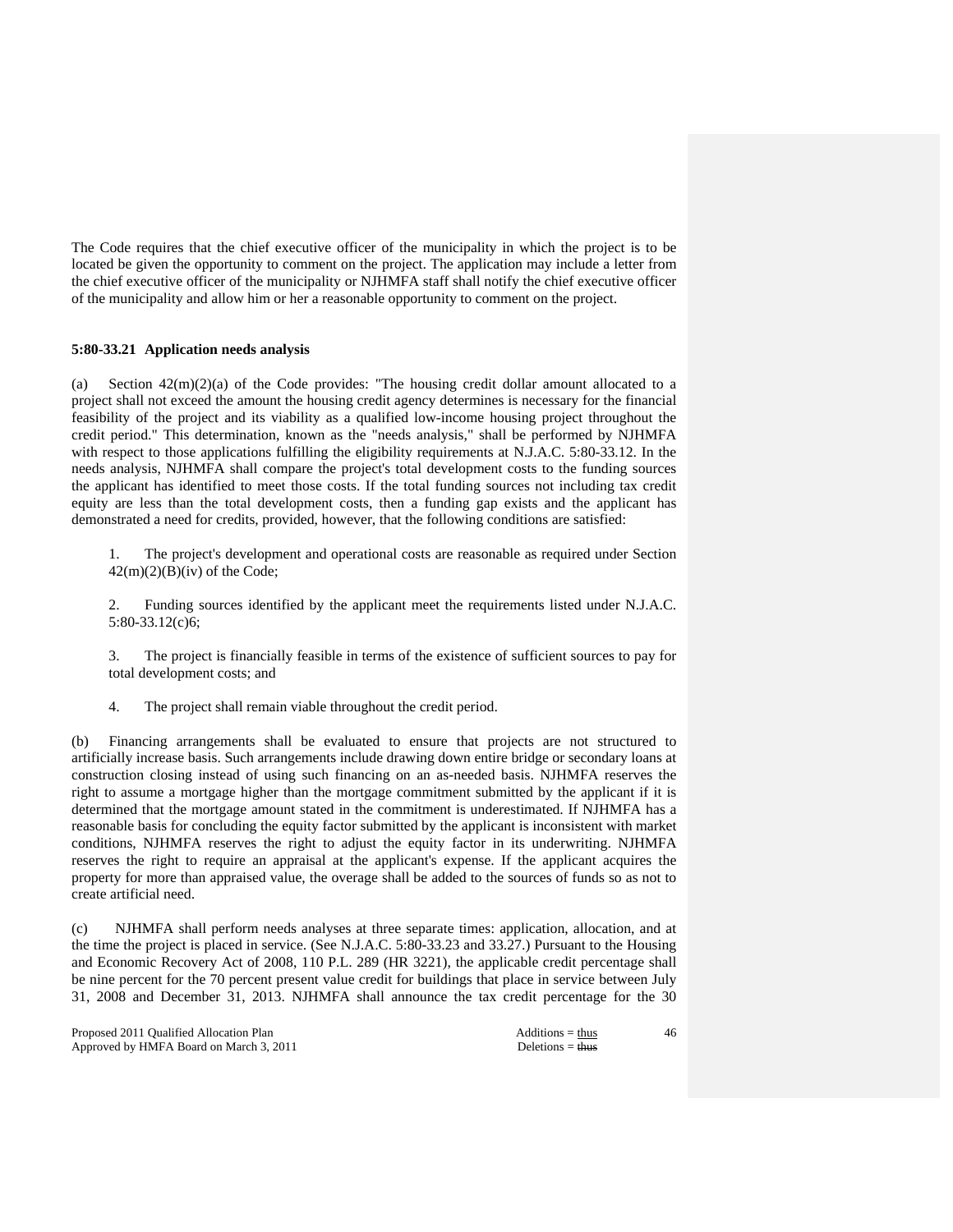The Code requires that the chief executive officer of the municipality in which the project is to be located be given the opportunity to comment on the project. The application may include a letter from the chief executive officer of the municipality or NJHMFA staff shall notify the chief executive officer of the municipality and allow him or her a reasonable opportunity to comment on the project.

# **5:80-33.21 Application needs analysis**

(a) Section  $42(m)(2)(a)$  of the Code provides: "The housing credit dollar amount allocated to a project shall not exceed the amount the housing credit agency determines is necessary for the financial feasibility of the project and its viability as a qualified low-income housing project throughout the credit period." This determination, known as the "needs analysis," shall be performed by NJHMFA with respect to those applications fulfilling the eligibility requirements at N.J.A.C. 5:80-33.12. In the needs analysis, NJHMFA shall compare the project's total development costs to the funding sources the applicant has identified to meet those costs. If the total funding sources not including tax credit equity are less than the total development costs, then a funding gap exists and the applicant has demonstrated a need for credits, provided, however, that the following conditions are satisfied:

 1. The project's development and operational costs are reasonable as required under Section  $42(m)(2)(B)(iv)$  of the Code;

 2. Funding sources identified by the applicant meet the requirements listed under N.J.A.C. 5:80-33.12(c)6;

 3. The project is financially feasible in terms of the existence of sufficient sources to pay for total development costs; and

4. The project shall remain viable throughout the credit period.

(b) Financing arrangements shall be evaluated to ensure that projects are not structured to artificially increase basis. Such arrangements include drawing down entire bridge or secondary loans at construction closing instead of using such financing on an as-needed basis. NJHMFA reserves the right to assume a mortgage higher than the mortgage commitment submitted by the applicant if it is determined that the mortgage amount stated in the commitment is underestimated. If NJHMFA has a reasonable basis for concluding the equity factor submitted by the applicant is inconsistent with market conditions, NJHMFA reserves the right to adjust the equity factor in its underwriting. NJHMFA reserves the right to require an appraisal at the applicant's expense. If the applicant acquires the property for more than appraised value, the overage shall be added to the sources of funds so as not to create artificial need.

(c) NJHMFA shall perform needs analyses at three separate times: application, allocation, and at the time the project is placed in service. (See N.J.A.C. 5:80-33.23 and 33.27.) Pursuant to the Housing and Economic Recovery Act of 2008, 110 P.L. 289 (HR 3221), the applicable credit percentage shall be nine percent for the 70 percent present value credit for buildings that place in service between July 31, 2008 and December 31, 2013. NJHMFA shall announce the tax credit percentage for the 30

Proposed 2011 Qualified Allocation Plan Additions = thus Additions = thus Approved by HMFA Board on March 3, 2011 Deletions = thus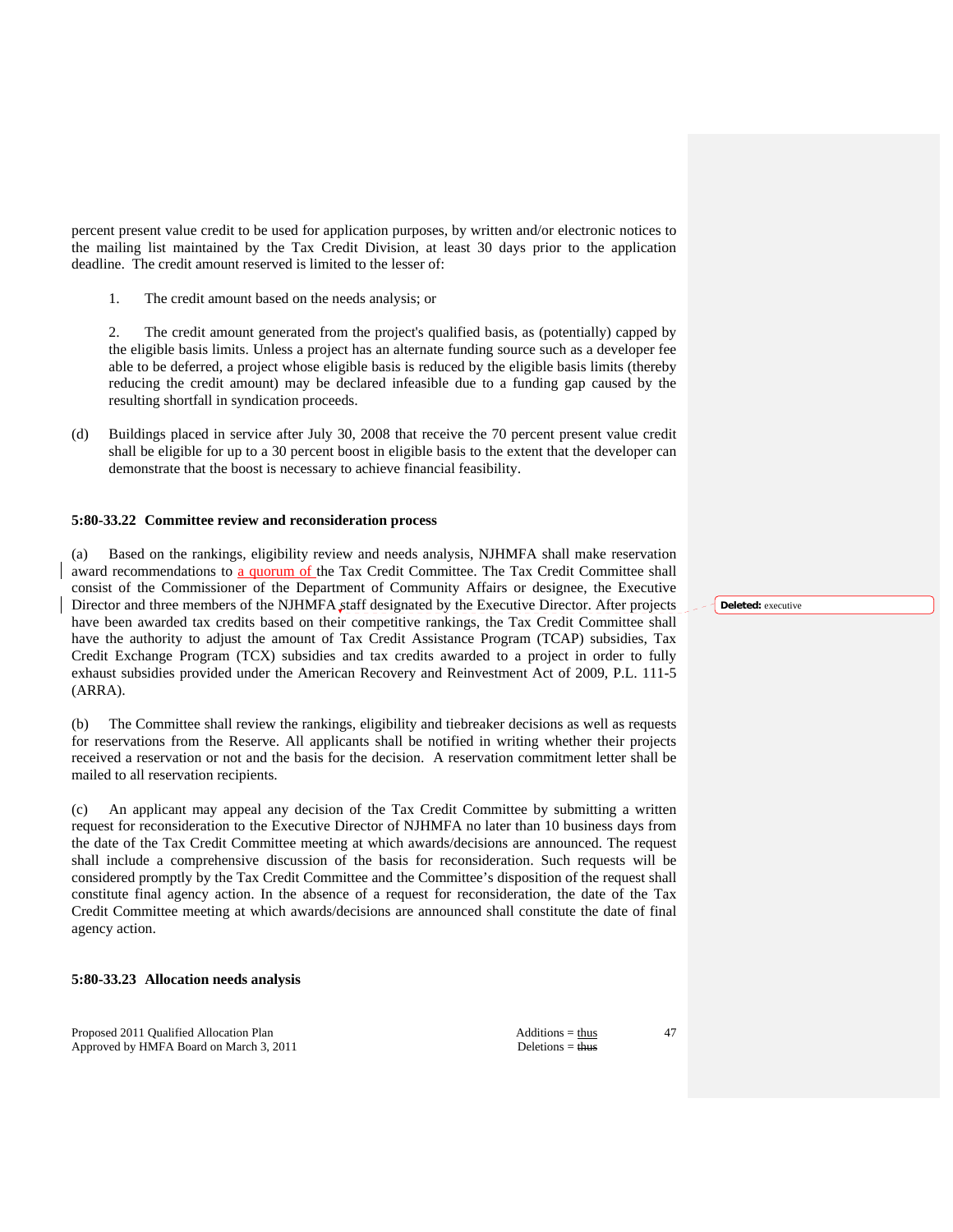percent present value credit to be used for application purposes, by written and/or electronic notices to the mailing list maintained by the Tax Credit Division, at least 30 days prior to the application deadline. The credit amount reserved is limited to the lesser of:

1. The credit amount based on the needs analysis; or

 2. The credit amount generated from the project's qualified basis, as (potentially) capped by the eligible basis limits. Unless a project has an alternate funding source such as a developer fee able to be deferred, a project whose eligible basis is reduced by the eligible basis limits (thereby reducing the credit amount) may be declared infeasible due to a funding gap caused by the resulting shortfall in syndication proceeds.

(d) Buildings placed in service after July 30, 2008 that receive the 70 percent present value credit shall be eligible for up to a 30 percent boost in eligible basis to the extent that the developer can demonstrate that the boost is necessary to achieve financial feasibility.

# **5:80-33.22 Committee review and reconsideration process**

Based on the rankings, eligibility review and needs analysis, NJHMFA shall make reservation award recommendations to a quorum of the Tax Credit Committee. The Tax Credit Committee shall consist of the Commissioner of the Department of Community Affairs or designee, the Executive Director and three members of the NJHMFA staff designated by the Executive Director. After projects have been awarded tax credits based on their competitive rankings, the Tax Credit Committee shall have the authority to adjust the amount of Tax Credit Assistance Program (TCAP) subsidies, Tax Credit Exchange Program (TCX) subsidies and tax credits awarded to a project in order to fully exhaust subsidies provided under the American Recovery and Reinvestment Act of 2009, P.L. 111-5 (ARRA).

(b) The Committee shall review the rankings, eligibility and tiebreaker decisions as well as requests for reservations from the Reserve. All applicants shall be notified in writing whether their projects received a reservation or not and the basis for the decision. A reservation commitment letter shall be mailed to all reservation recipients.

(c) An applicant may appeal any decision of the Tax Credit Committee by submitting a written request for reconsideration to the Executive Director of NJHMFA no later than 10 business days from the date of the Tax Credit Committee meeting at which awards/decisions are announced. The request shall include a comprehensive discussion of the basis for reconsideration. Such requests will be considered promptly by the Tax Credit Committee and the Committee's disposition of the request shall constitute final agency action. In the absence of a request for reconsideration, the date of the Tax Credit Committee meeting at which awards/decisions are announced shall constitute the date of final agency action.

# **5:80-33.23 Allocation needs analysis**

Proposed 2011 Qualified Allocation Plan Additions = thus Additions = thus Approved by HMFA Board on March 3, 2011 Deletions = thus

47

**Deleted:** executive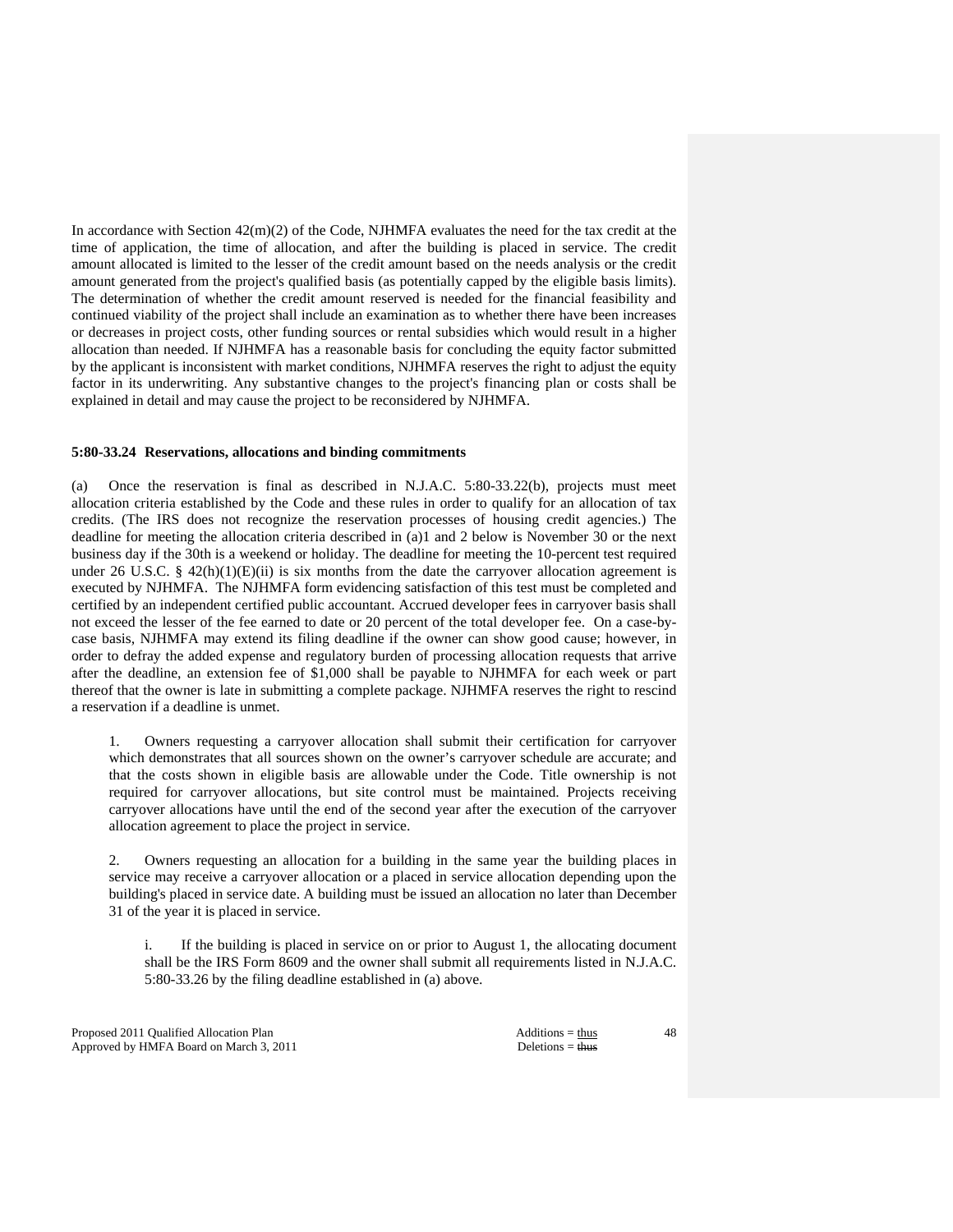In accordance with Section 42(m)(2) of the Code, NJHMFA evaluates the need for the tax credit at the time of application, the time of allocation, and after the building is placed in service. The credit amount allocated is limited to the lesser of the credit amount based on the needs analysis or the credit amount generated from the project's qualified basis (as potentially capped by the eligible basis limits). The determination of whether the credit amount reserved is needed for the financial feasibility and continued viability of the project shall include an examination as to whether there have been increases or decreases in project costs, other funding sources or rental subsidies which would result in a higher allocation than needed. If NJHMFA has a reasonable basis for concluding the equity factor submitted by the applicant is inconsistent with market conditions, NJHMFA reserves the right to adjust the equity factor in its underwriting. Any substantive changes to the project's financing plan or costs shall be explained in detail and may cause the project to be reconsidered by NJHMFA.

## **5:80-33.24 Reservations, allocations and binding commitments**

(a) Once the reservation is final as described in N.J.A.C. 5:80-33.22(b), projects must meet allocation criteria established by the Code and these rules in order to qualify for an allocation of tax credits. (The IRS does not recognize the reservation processes of housing credit agencies.) The deadline for meeting the allocation criteria described in (a)1 and 2 below is November 30 or the next business day if the 30th is a weekend or holiday. The deadline for meeting the 10-percent test required under 26 U.S.C. §  $42(h)(1)(E)(ii)$  is six months from the date the carryover allocation agreement is executed by NJHMFA. The NJHMFA form evidencing satisfaction of this test must be completed and certified by an independent certified public accountant. Accrued developer fees in carryover basis shall not exceed the lesser of the fee earned to date or 20 percent of the total developer fee. On a case-bycase basis, NJHMFA may extend its filing deadline if the owner can show good cause; however, in order to defray the added expense and regulatory burden of processing allocation requests that arrive after the deadline, an extension fee of \$1,000 shall be payable to NJHMFA for each week or part thereof that the owner is late in submitting a complete package. NJHMFA reserves the right to rescind a reservation if a deadline is unmet.

 1. Owners requesting a carryover allocation shall submit their certification for carryover which demonstrates that all sources shown on the owner's carryover schedule are accurate; and that the costs shown in eligible basis are allowable under the Code. Title ownership is not required for carryover allocations, but site control must be maintained. Projects receiving carryover allocations have until the end of the second year after the execution of the carryover allocation agreement to place the project in service.

 2. Owners requesting an allocation for a building in the same year the building places in service may receive a carryover allocation or a placed in service allocation depending upon the building's placed in service date. A building must be issued an allocation no later than December 31 of the year it is placed in service.

 i. If the building is placed in service on or prior to August 1, the allocating document shall be the IRS Form 8609 and the owner shall submit all requirements listed in N.J.A.C. 5:80-33.26 by the filing deadline established in (a) above.

Proposed 2011 Qualified Allocation Plan Additions = thus Additions = thus Approved by HMFA Board on March 3, 2011 Deletions = thus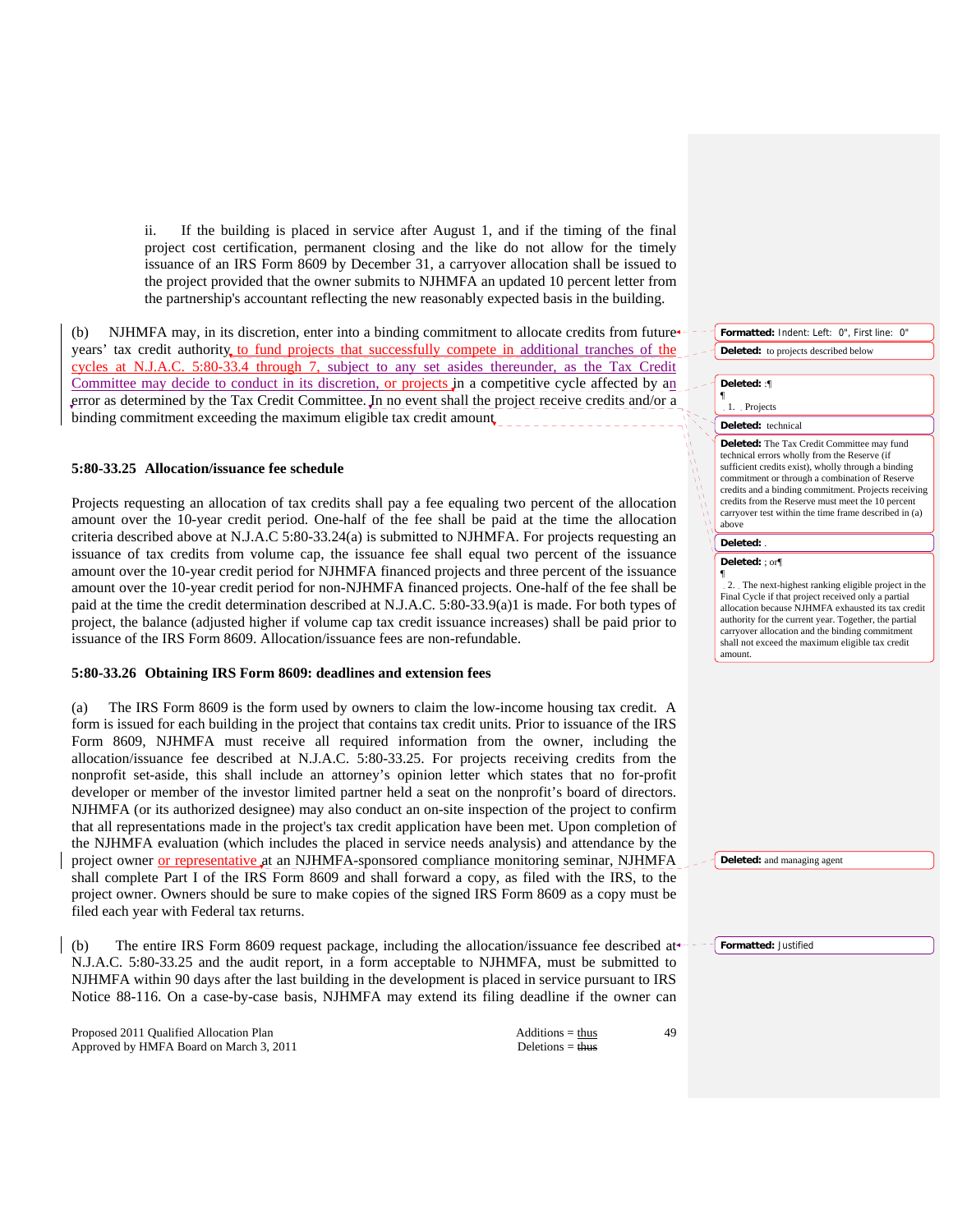ii. If the building is placed in service after August 1, and if the timing of the final project cost certification, permanent closing and the like do not allow for the timely issuance of an IRS Form 8609 by December 31, a carryover allocation shall be issued to the project provided that the owner submits to NJHMFA an updated 10 percent letter from the partnership's accountant reflecting the new reasonably expected basis in the building.

(b) NJHMFA may, in its discretion, enter into a binding commitment to allocate credits from future years' tax credit authority to fund projects that successfully compete in additional tranches of the cycles at N.J.A.C. 5:80-33.4 through 7, subject to any set asides thereunder, as the Tax Credit Committee may decide to conduct in its discretion, or projects in a competitive cycle affected by an error as determined by the Tax Credit Committee. In no event shall the project receive credits and/or a binding commitment exceeding the maximum eligible tax credit amount

## **5:80-33.25 Allocation/issuance fee schedule**

Projects requesting an allocation of tax credits shall pay a fee equaling two percent of the allocation amount over the 10-year credit period. One-half of the fee shall be paid at the time the allocation criteria described above at N.J.A.C 5:80-33.24(a) is submitted to NJHMFA. For projects requesting an issuance of tax credits from volume cap, the issuance fee shall equal two percent of the issuance amount over the 10-year credit period for NJHMFA financed projects and three percent of the issuance amount over the 10-year credit period for non-NJHMFA financed projects. One-half of the fee shall be paid at the time the credit determination described at N.J.A.C. 5:80-33.9(a)1 is made. For both types of project, the balance (adjusted higher if volume cap tax credit issuance increases) shall be paid prior to issuance of the IRS Form 8609. Allocation/issuance fees are non-refundable.

#### **5:80-33.26 Obtaining IRS Form 8609: deadlines and extension fees**

(a) The IRS Form 8609 is the form used by owners to claim the low-income housing tax credit. A form is issued for each building in the project that contains tax credit units. Prior to issuance of the IRS Form 8609, NJHMFA must receive all required information from the owner, including the allocation/issuance fee described at N.J.A.C. 5:80-33.25. For projects receiving credits from the nonprofit set-aside, this shall include an attorney's opinion letter which states that no for-profit developer or member of the investor limited partner held a seat on the nonprofit's board of directors. NJHMFA (or its authorized designee) may also conduct an on-site inspection of the project to confirm that all representations made in the project's tax credit application have been met. Upon completion of the NJHMFA evaluation (which includes the placed in service needs analysis) and attendance by the project owner or representative at an NJHMFA-sponsored compliance monitoring seminar, NJHMFA shall complete Part I of the IRS Form 8609 and shall forward a copy, as filed with the IRS, to the project owner. Owners should be sure to make copies of the signed IRS Form 8609 as a copy must be filed each year with Federal tax returns.

(b) The entire IRS Form 8609 request package, including the allocation/issuance fee described at-N.J.A.C. 5:80-33.25 and the audit report, in a form acceptable to NJHMFA, must be submitted to NJHMFA within 90 days after the last building in the development is placed in service pursuant to IRS Notice 88-116. On a case-by-case basis, NJHMFA may extend its filing deadline if the owner can

Proposed 2011 Qualified Allocation Plan Additions = thus Additions = thus Approved by HMFA Board on March 3, 2011 Deletions = thus Deletions = thus

**Formatted:** Indent: Left: 0", First line: 0" **Deleted:** to projects described below

**Deleted:** :¶

¶

# 1. Projects

#### **Deleted:** technical

**Deleted:** The Tax Credit Committee may fund technical errors wholly from the Reserve (if sufficient credits exist), wholly through a binding commitment or through a combination of Reserve credits and a binding commitment. Projects receiving credits from the Reserve must meet the 10 percent carryover test within the time frame described in (a) above

## **Deleted:** .

#### **Deleted:** ; or¶ ¶

2. The next-highest ranking eligible project in the Final Cycle if that project received only a partial allocation because NJHMFA exhausted its tax credit authority for the current year. Together, the partial carryover allocation and the binding commitment shall not exceed the maximum eligible tax credit amount.

**Deleted:** and managing agent

**Formatted:** Justified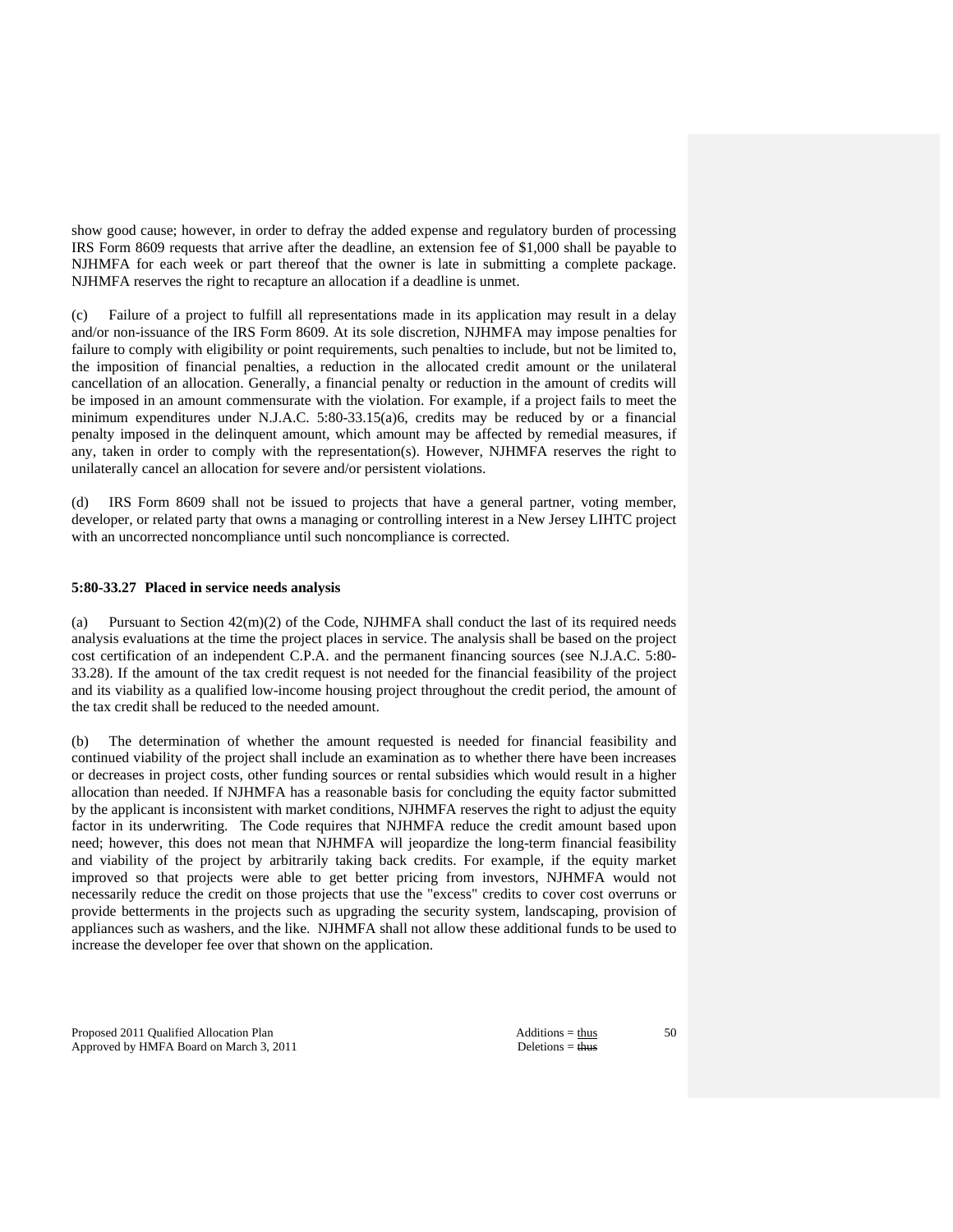show good cause; however, in order to defray the added expense and regulatory burden of processing IRS Form 8609 requests that arrive after the deadline, an extension fee of \$1,000 shall be payable to NJHMFA for each week or part thereof that the owner is late in submitting a complete package. NJHMFA reserves the right to recapture an allocation if a deadline is unmet.

(c) Failure of a project to fulfill all representations made in its application may result in a delay and/or non-issuance of the IRS Form 8609. At its sole discretion, NJHMFA may impose penalties for failure to comply with eligibility or point requirements, such penalties to include, but not be limited to, the imposition of financial penalties, a reduction in the allocated credit amount or the unilateral cancellation of an allocation. Generally, a financial penalty or reduction in the amount of credits will be imposed in an amount commensurate with the violation. For example, if a project fails to meet the minimum expenditures under N.J.A.C. 5:80-33.15(a)6, credits may be reduced by or a financial penalty imposed in the delinquent amount, which amount may be affected by remedial measures, if any, taken in order to comply with the representation(s). However, NJHMFA reserves the right to unilaterally cancel an allocation for severe and/or persistent violations.

(d) IRS Form 8609 shall not be issued to projects that have a general partner, voting member, developer, or related party that owns a managing or controlling interest in a New Jersey LIHTC project with an uncorrected noncompliance until such noncompliance is corrected.

# **5:80-33.27 Placed in service needs analysis**

(a) Pursuant to Section  $42(m)(2)$  of the Code, NJHMFA shall conduct the last of its required needs analysis evaluations at the time the project places in service. The analysis shall be based on the project cost certification of an independent C.P.A. and the permanent financing sources (see N.J.A.C. 5:80- 33.28). If the amount of the tax credit request is not needed for the financial feasibility of the project and its viability as a qualified low-income housing project throughout the credit period, the amount of the tax credit shall be reduced to the needed amount.

(b) The determination of whether the amount requested is needed for financial feasibility and continued viability of the project shall include an examination as to whether there have been increases or decreases in project costs, other funding sources or rental subsidies which would result in a higher allocation than needed. If NJHMFA has a reasonable basis for concluding the equity factor submitted by the applicant is inconsistent with market conditions, NJHMFA reserves the right to adjust the equity factor in its underwriting. The Code requires that NJHMFA reduce the credit amount based upon need; however, this does not mean that NJHMFA will jeopardize the long-term financial feasibility and viability of the project by arbitrarily taking back credits. For example, if the equity market improved so that projects were able to get better pricing from investors, NJHMFA would not necessarily reduce the credit on those projects that use the "excess" credits to cover cost overruns or provide betterments in the projects such as upgrading the security system, landscaping, provision of appliances such as washers, and the like. NJHMFA shall not allow these additional funds to be used to increase the developer fee over that shown on the application.

Proposed 2011 Qualified Allocation Plan Additions = thus Additions = thus Approved by HMFA Board on March 3, 2011 Deletions = thus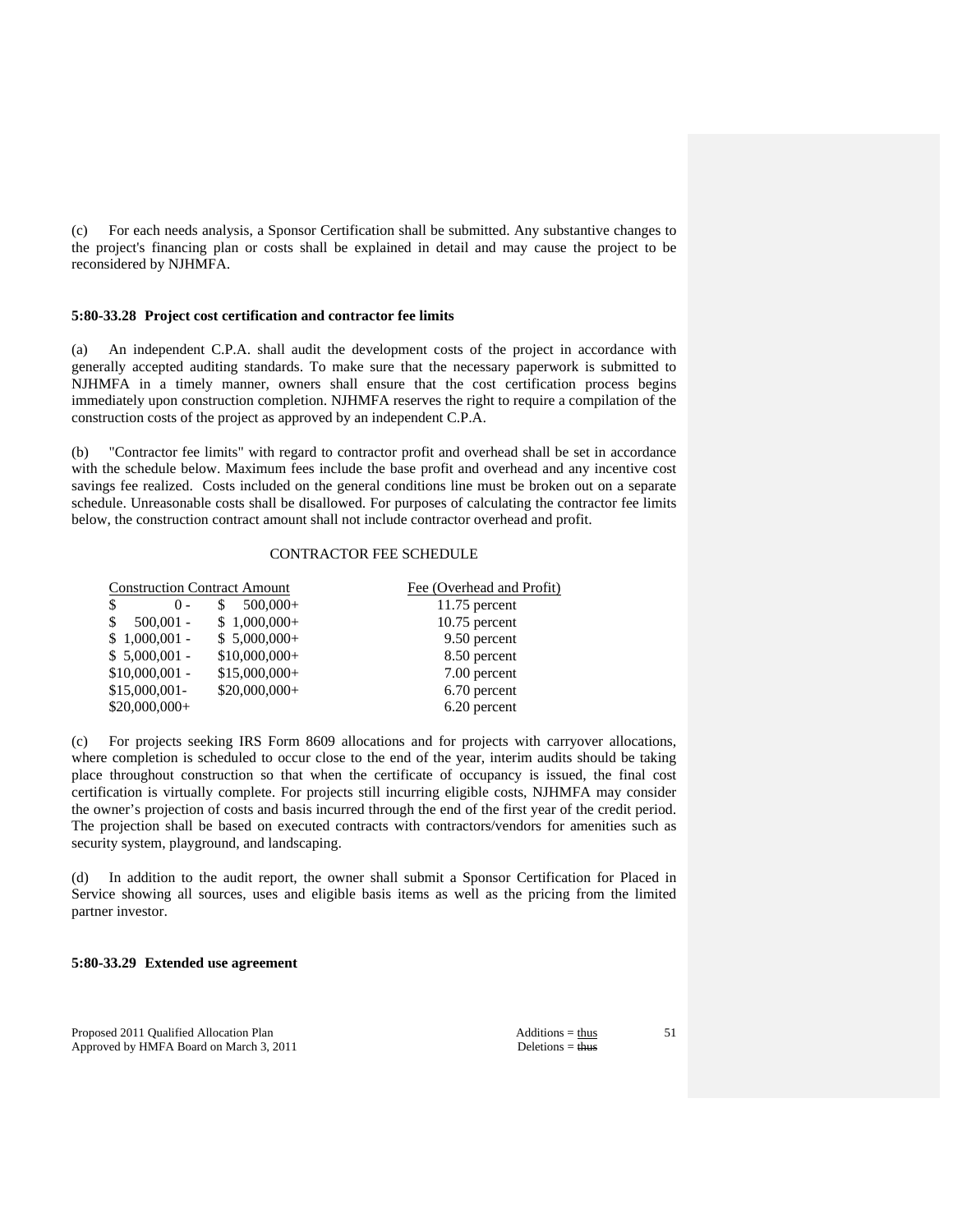(c) For each needs analysis, a Sponsor Certification shall be submitted. Any substantive changes to the project's financing plan or costs shall be explained in detail and may cause the project to be reconsidered by NJHMFA.

## **5:80-33.28 Project cost certification and contractor fee limits**

(a) An independent C.P.A. shall audit the development costs of the project in accordance with generally accepted auditing standards. To make sure that the necessary paperwork is submitted to NJHMFA in a timely manner, owners shall ensure that the cost certification process begins immediately upon construction completion. NJHMFA reserves the right to require a compilation of the construction costs of the project as approved by an independent C.P.A.

(b) "Contractor fee limits" with regard to contractor profit and overhead shall be set in accordance with the schedule below. Maximum fees include the base profit and overhead and any incentive cost savings fee realized. Costs included on the general conditions line must be broken out on a separate schedule. Unreasonable costs shall be disallowed. For purposes of calculating the contractor fee limits below, the construction contract amount shall not include contractor overhead and profit.

# CONTRACTOR FEE SCHEDULE

| <b>Construction Contract Amount</b> |                | Fee (Overhead and Profit) |
|-------------------------------------|----------------|---------------------------|
| \$<br>$() -$                        | $500,000+$     | $11.75$ percent           |
| $500,001 -$<br>S                    | $$1,000,000+$  | $10.75$ percent           |
| $$1,000,001$ -                      | $$5,000,000+$  | 9.50 percent              |
| $$5,000,001$ -                      | $$10,000,000+$ | 8.50 percent              |
| $$10,000,001$ -                     | $$15,000,000+$ | 7.00 percent              |
| $$15,000,001-$                      | $$20,000,000+$ | 6.70 percent              |
| $$20,000,000+$                      |                | 6.20 percent              |

(c) For projects seeking IRS Form 8609 allocations and for projects with carryover allocations, where completion is scheduled to occur close to the end of the year, interim audits should be taking place throughout construction so that when the certificate of occupancy is issued, the final cost certification is virtually complete. For projects still incurring eligible costs, NJHMFA may consider the owner's projection of costs and basis incurred through the end of the first year of the credit period. The projection shall be based on executed contracts with contractors/vendors for amenities such as security system, playground, and landscaping.

(d) In addition to the audit report, the owner shall submit a Sponsor Certification for Placed in Service showing all sources, uses and eligible basis items as well as the pricing from the limited partner investor.

## **5:80-33.29 Extended use agreement**

Proposed 2011 Qualified Allocation Plan Additions = thus Additions = thus Approved by HMFA Board on March 3, 2011 Deletions = thus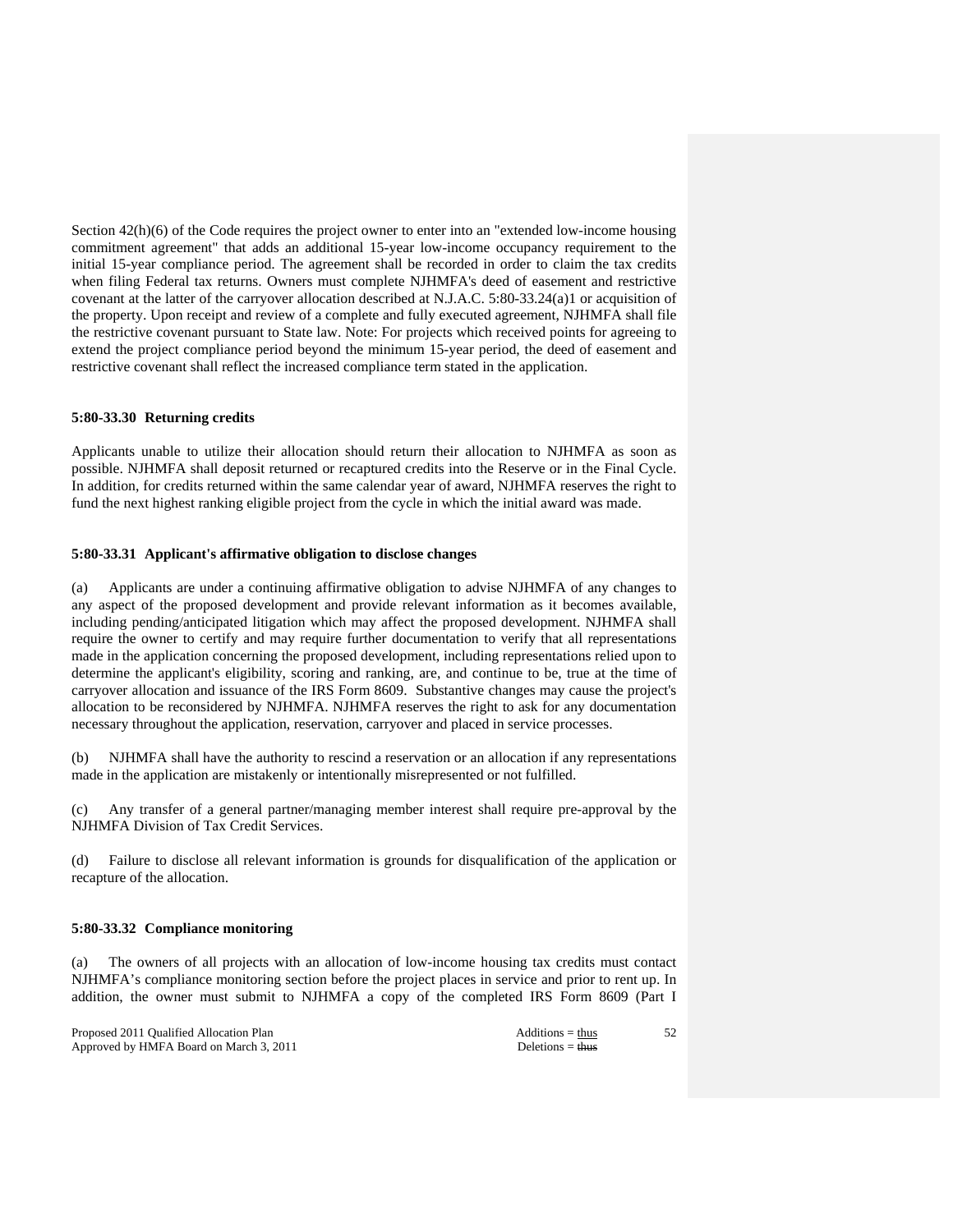Section 42(h)(6) of the Code requires the project owner to enter into an "extended low-income housing commitment agreement" that adds an additional 15-year low-income occupancy requirement to the initial 15-year compliance period. The agreement shall be recorded in order to claim the tax credits when filing Federal tax returns. Owners must complete NJHMFA's deed of easement and restrictive covenant at the latter of the carryover allocation described at N.J.A.C. 5:80-33.24(a)1 or acquisition of the property. Upon receipt and review of a complete and fully executed agreement, NJHMFA shall file the restrictive covenant pursuant to State law. Note: For projects which received points for agreeing to extend the project compliance period beyond the minimum 15-year period, the deed of easement and restrictive covenant shall reflect the increased compliance term stated in the application.

# **5:80-33.30 Returning credits**

Applicants unable to utilize their allocation should return their allocation to NJHMFA as soon as possible. NJHMFA shall deposit returned or recaptured credits into the Reserve or in the Final Cycle. In addition, for credits returned within the same calendar year of award, NJHMFA reserves the right to fund the next highest ranking eligible project from the cycle in which the initial award was made.

# **5:80-33.31 Applicant's affirmative obligation to disclose changes**

(a) Applicants are under a continuing affirmative obligation to advise NJHMFA of any changes to any aspect of the proposed development and provide relevant information as it becomes available, including pending/anticipated litigation which may affect the proposed development. NJHMFA shall require the owner to certify and may require further documentation to verify that all representations made in the application concerning the proposed development, including representations relied upon to determine the applicant's eligibility, scoring and ranking, are, and continue to be, true at the time of carryover allocation and issuance of the IRS Form 8609. Substantive changes may cause the project's allocation to be reconsidered by NJHMFA. NJHMFA reserves the right to ask for any documentation necessary throughout the application, reservation, carryover and placed in service processes.

(b) NJHMFA shall have the authority to rescind a reservation or an allocation if any representations made in the application are mistakenly or intentionally misrepresented or not fulfilled.

(c) Any transfer of a general partner/managing member interest shall require pre-approval by the NJHMFA Division of Tax Credit Services.

(d) Failure to disclose all relevant information is grounds for disqualification of the application or recapture of the allocation.

# **5:80-33.32 Compliance monitoring**

(a) The owners of all projects with an allocation of low-income housing tax credits must contact NJHMFA's compliance monitoring section before the project places in service and prior to rent up. In addition, the owner must submit to NJHMFA a copy of the completed IRS Form 8609 (Part I

Proposed 2011 Qualified Allocation Plan Additions = thus Additions = thus Approved by HMFA Board on March 3, 2011 Deletions = thus Deletions = thus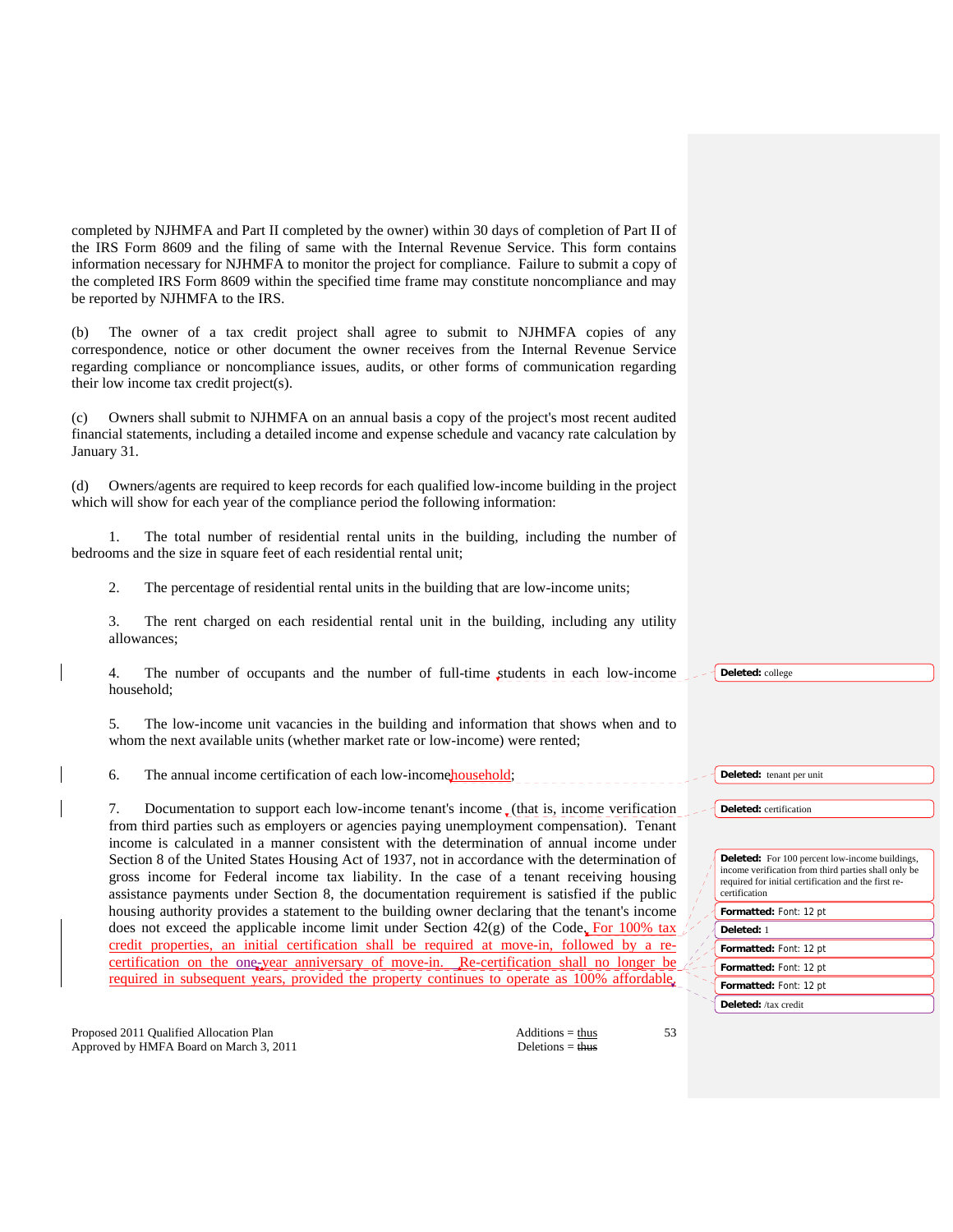completed by NJHMFA and Part II completed by the owner) within 30 days of completion of Part II of the IRS Form 8609 and the filing of same with the Internal Revenue Service. This form contains information necessary for NJHMFA to monitor the project for compliance. Failure to submit a copy of the completed IRS Form 8609 within the specified time frame may constitute noncompliance and may be reported by NJHMFA to the IRS.

(b) The owner of a tax credit project shall agree to submit to NJHMFA copies of any correspondence, notice or other document the owner receives from the Internal Revenue Service regarding compliance or noncompliance issues, audits, or other forms of communication regarding their low income tax credit project(s).

(c) Owners shall submit to NJHMFA on an annual basis a copy of the project's most recent audited financial statements, including a detailed income and expense schedule and vacancy rate calculation by January 31.

(d) Owners/agents are required to keep records for each qualified low-income building in the project which will show for each year of the compliance period the following information:

 1. The total number of residential rental units in the building, including the number of bedrooms and the size in square feet of each residential rental unit;

2. The percentage of residential rental units in the building that are low-income units;

 3. The rent charged on each residential rental unit in the building, including any utility allowances;

 4. The number of occupants and the number of full-time students in each low-income household;

 5. The low-income unit vacancies in the building and information that shows when and to whom the next available units (whether market rate or low-income) were rented;

6. The annual income certification of each low-income household;

7. Documentation to support each low-income tenant's income  $\mathcal{L}$  (that is, income verification from third parties such as employers or agencies paying unemployment compensation). Tenant income is calculated in a manner consistent with the determination of annual income under Section 8 of the United States Housing Act of 1937, not in accordance with the determination of gross income for Federal income tax liability. In the case of a tenant receiving housing assistance payments under Section 8, the documentation requirement is satisfied if the public housing authority provides a statement to the building owner declaring that the tenant's income does not exceed the applicable income limit under Section  $42(g)$  of the Code. For 100% tax credit properties, an initial certification shall be required at move-in, followed by a recertification on the one-year anniversary of move-in. Re-certification shall no longer be required in subsequent years, provided the property continues to operate as 100% affordable.

Proposed 2011 Qualified Allocation Plan Additions = thus Additions = thus Approved by HMFA Board on March 3, 2011 Deletions = thus

53

**Deleted:** college

**Deleted:** tenant per unit

**Deleted:** certification

**Deleted:** For 100 percent low-income buildings, income verification from third parties shall only be required for initial certification and the first recertification

**Formatted:** Font: 12 pt

- **Deleted:** 1
- **Formatted:** Font: 12 pt

**Formatted:** Font: 12 pt

**Formatted:** Font: 12 pt **Deleted:** /tax credit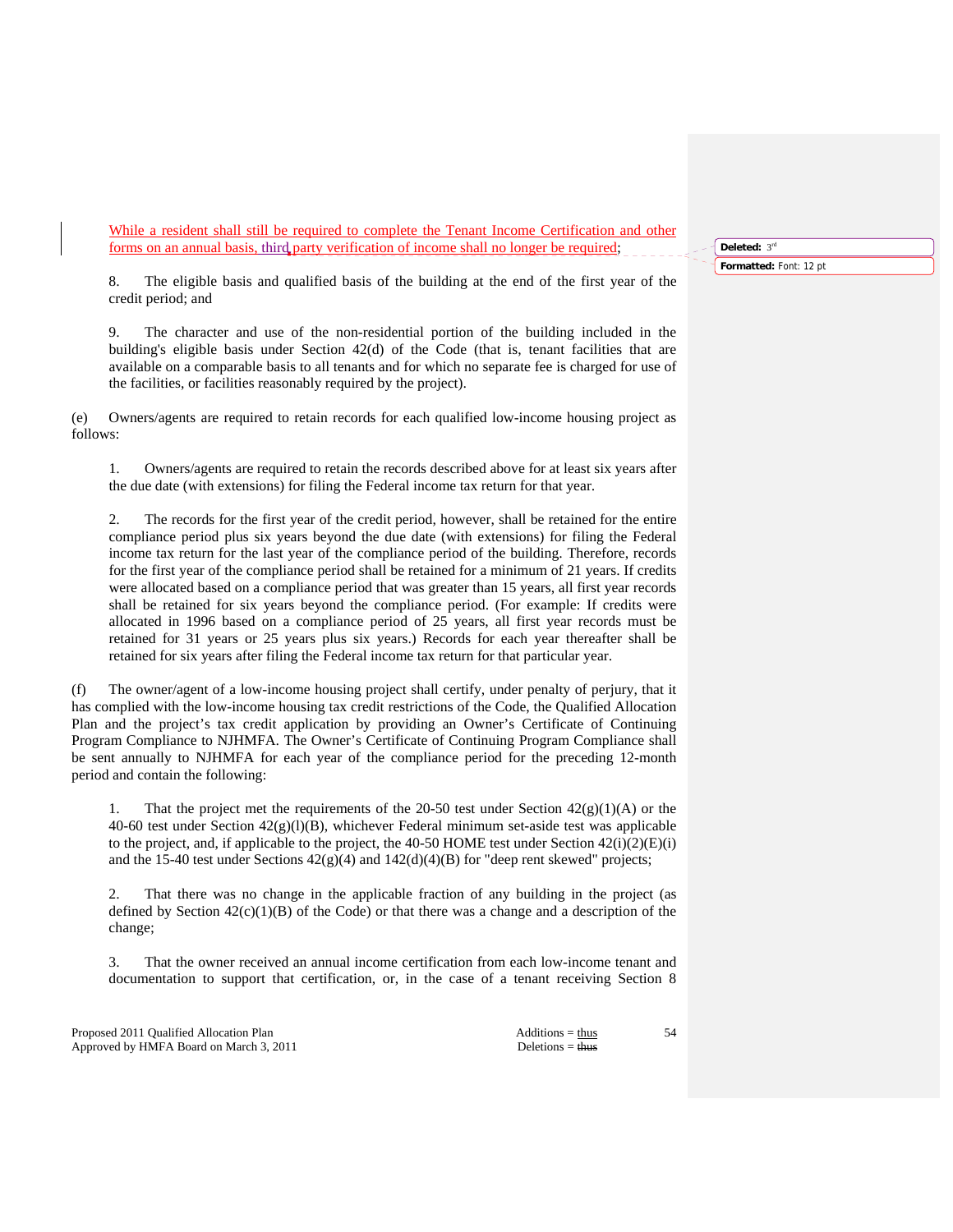While a resident shall still be required to complete the Tenant Income Certification and other forms on an annual basis, third party verification of income shall no longer be required;

 8. The eligible basis and qualified basis of the building at the end of the first year of the credit period; and

 9. The character and use of the non-residential portion of the building included in the building's eligible basis under Section 42(d) of the Code (that is, tenant facilities that are available on a comparable basis to all tenants and for which no separate fee is charged for use of the facilities, or facilities reasonably required by the project).

(e) Owners/agents are required to retain records for each qualified low-income housing project as follows:

 1. Owners/agents are required to retain the records described above for at least six years after the due date (with extensions) for filing the Federal income tax return for that year.

 2. The records for the first year of the credit period, however, shall be retained for the entire compliance period plus six years beyond the due date (with extensions) for filing the Federal income tax return for the last year of the compliance period of the building. Therefore, records for the first year of the compliance period shall be retained for a minimum of 21 years. If credits were allocated based on a compliance period that was greater than 15 years, all first year records shall be retained for six years beyond the compliance period. (For example: If credits were allocated in 1996 based on a compliance period of 25 years, all first year records must be retained for 31 years or 25 years plus six years.) Records for each year thereafter shall be retained for six years after filing the Federal income tax return for that particular year.

(f) The owner/agent of a low-income housing project shall certify, under penalty of perjury, that it has complied with the low-income housing tax credit restrictions of the Code, the Qualified Allocation Plan and the project's tax credit application by providing an Owner's Certificate of Continuing Program Compliance to NJHMFA. The Owner's Certificate of Continuing Program Compliance shall be sent annually to NJHMFA for each year of the compliance period for the preceding 12-month period and contain the following:

That the project met the requirements of the 20-50 test under Section  $42(g)(1)(A)$  or the 40-60 test under Section  $42(g)(1)(B)$ , whichever Federal minimum set-aside test was applicable to the project, and, if applicable to the project, the 40-50 HOME test under Section  $42(i)(2)(E)(i)$ and the 15-40 test under Sections  $42(g)(4)$  and  $142(d)(4)(B)$  for "deep rent skewed" projects;

 2. That there was no change in the applicable fraction of any building in the project (as defined by Section  $42(c)(1)(B)$  of the Code) or that there was a change and a description of the change;

 3. That the owner received an annual income certification from each low-income tenant and documentation to support that certification, or, in the case of a tenant receiving Section 8

Proposed 2011 Qualified Allocation Plan Additions = thus Additions = thus Additions = thus Additions = thus Additions = thus Additions = thus Additions = thus Additions = thus Additions = thus Additions = thus Additions = Approved by HMFA Board on March 3, 2011 Deletions = thus

54

**Deleted:** 3rd **Formatted:** Font: 12 pt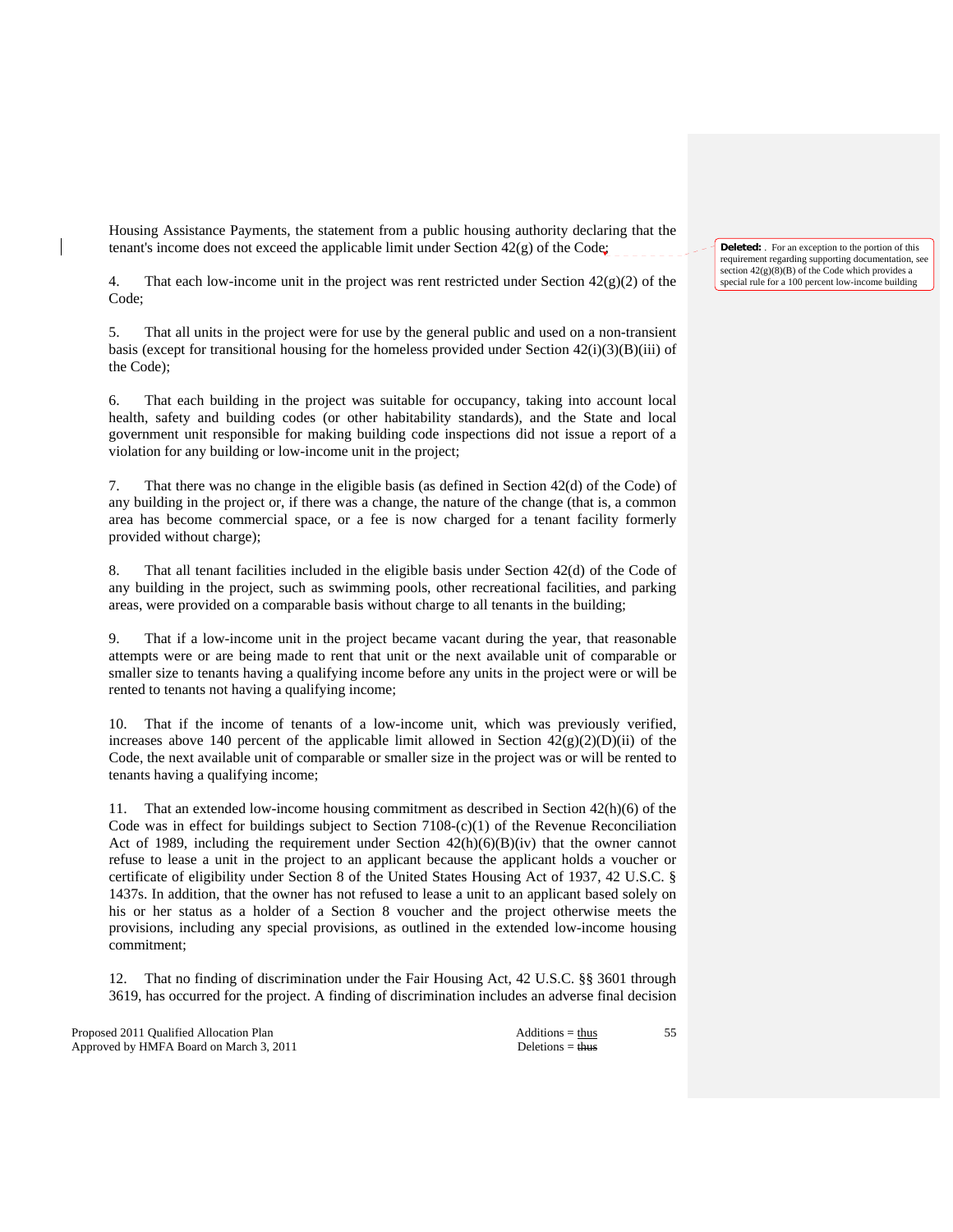Housing Assistance Payments, the statement from a public housing authority declaring that the tenant's income does not exceed the applicable limit under Section 42(g) of the Code;

4. That each low-income unit in the project was rent restricted under Section  $42(g)(2)$  of the Code;

 5. That all units in the project were for use by the general public and used on a non-transient basis (except for transitional housing for the homeless provided under Section  $42(i)(3)(B)(iii)$  of the Code);

 6. That each building in the project was suitable for occupancy, taking into account local health, safety and building codes (or other habitability standards), and the State and local government unit responsible for making building code inspections did not issue a report of a violation for any building or low-income unit in the project;

 7. That there was no change in the eligible basis (as defined in Section 42(d) of the Code) of any building in the project or, if there was a change, the nature of the change (that is, a common area has become commercial space, or a fee is now charged for a tenant facility formerly provided without charge);

 8. That all tenant facilities included in the eligible basis under Section 42(d) of the Code of any building in the project, such as swimming pools, other recreational facilities, and parking areas, were provided on a comparable basis without charge to all tenants in the building;

 9. That if a low-income unit in the project became vacant during the year, that reasonable attempts were or are being made to rent that unit or the next available unit of comparable or smaller size to tenants having a qualifying income before any units in the project were or will be rented to tenants not having a qualifying income;

 10. That if the income of tenants of a low-income unit, which was previously verified, increases above 140 percent of the applicable limit allowed in Section  $42(g)(2)(D)(ii)$  of the Code, the next available unit of comparable or smaller size in the project was or will be rented to tenants having a qualifying income;

 11. That an extended low-income housing commitment as described in Section 42(h)(6) of the Code was in effect for buildings subject to Section  $7108-(c)(1)$  of the Revenue Reconciliation Act of 1989, including the requirement under Section  $42(h)(6)(B)(iv)$  that the owner cannot refuse to lease a unit in the project to an applicant because the applicant holds a voucher or certificate of eligibility under Section 8 of the United States Housing Act of 1937, 42 U.S.C. § 1437s. In addition, that the owner has not refused to lease a unit to an applicant based solely on his or her status as a holder of a Section 8 voucher and the project otherwise meets the provisions, including any special provisions, as outlined in the extended low-income housing commitment;

 12. That no finding of discrimination under the Fair Housing Act, 42 U.S.C. §§ 3601 through 3619, has occurred for the project. A finding of discrimination includes an adverse final decision

Proposed 2011 Qualified Allocation Plan Additions = thus Additions = thus Approved by HMFA Board on March 3, 2011 Deletions = thus

55

**Deleted:** . For an exception to the portion of this requirement regarding supporting documentation, see section  $42(g)(8)(B)$  of the Code which provides a special rule for a 100 percent low-income building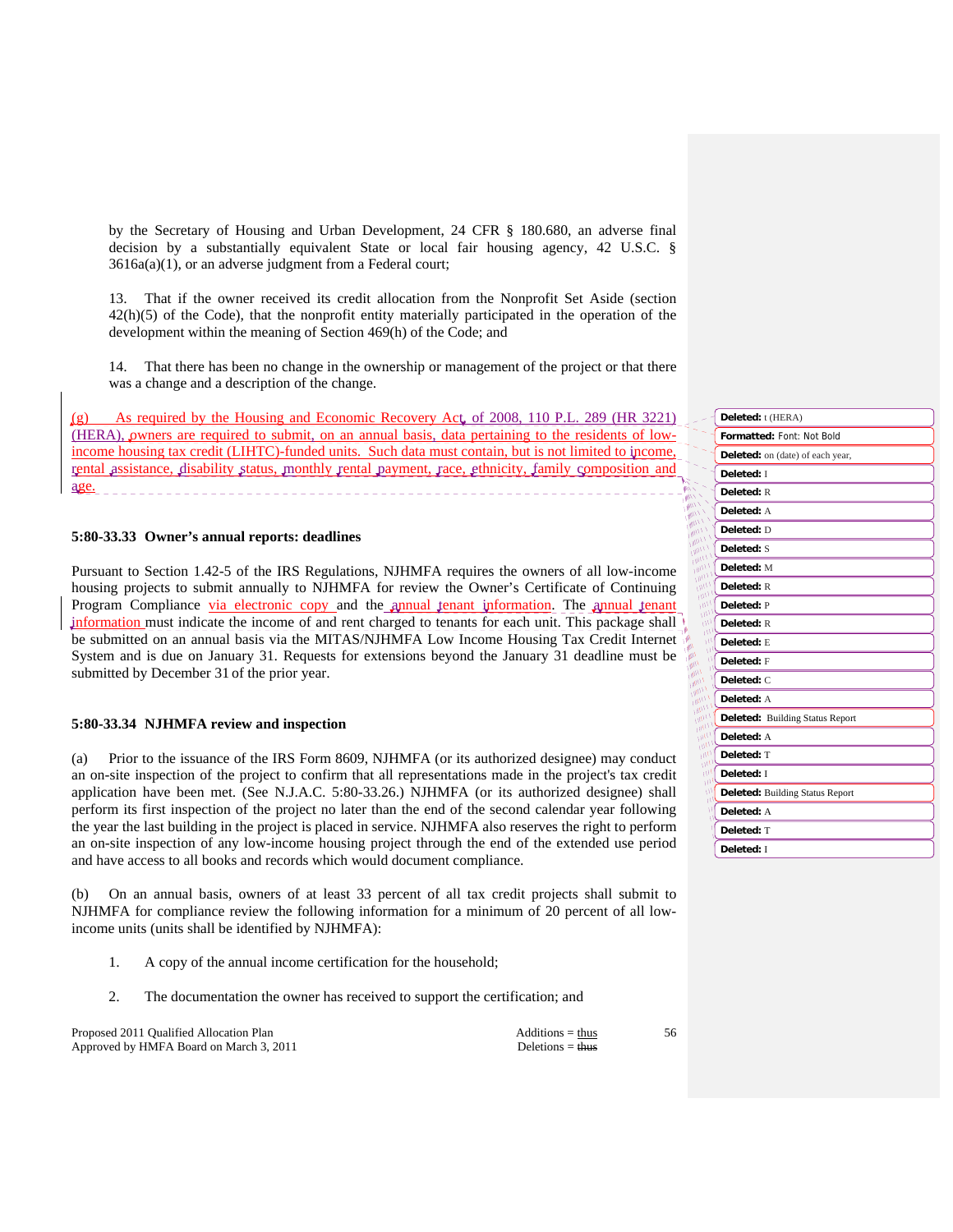by the Secretary of Housing and Urban Development, 24 CFR § 180.680, an adverse final decision by a substantially equivalent State or local fair housing agency, 42 U.S.C. § 3616a(a)(1), or an adverse judgment from a Federal court;

 13. That if the owner received its credit allocation from the Nonprofit Set Aside (section  $42(h)(5)$  of the Code), that the nonprofit entity materially participated in the operation of the development within the meaning of Section 469(h) of the Code; and

 14. That there has been no change in the ownership or management of the project or that there was a change and a description of the change.

As required by the Housing and Economic Recovery Act, of 2008, 110 P.L. 289 (HR 3221) (HERA), owners are required to submit, on an annual basis, data pertaining to the residents of lowincome housing tax credit (LIHTC)-funded units. Such data must contain, but is not limited to income, rental assistance, disability status, monthly rental payment, race, ethnicity, family composition and age.

# **5:80-33.33 Owner's annual reports: deadlines**

Pursuant to Section 1.42-5 of the IRS Regulations, NJHMFA requires the owners of all low-income housing projects to submit annually to NJHMFA for review the Owner's Certificate of Continuing Program Compliance via electronic copy and the annual tenant information. The annual tenant information must indicate the income of and rent charged to tenants for each unit. This package shall be submitted on an annual basis via the MITAS/NJHMFA Low Income Housing Tax Credit Internet System and is due on January 31. Requests for extensions beyond the January 31 deadline must be submitted by December 31 of the prior year.

# **5:80-33.34 NJHMFA review and inspection**

(a) Prior to the issuance of the IRS Form 8609, NJHMFA (or its authorized designee) may conduct an on-site inspection of the project to confirm that all representations made in the project's tax credit application have been met. (See N.J.A.C. 5:80-33.26.) NJHMFA (or its authorized designee) shall perform its first inspection of the project no later than the end of the second calendar year following the year the last building in the project is placed in service. NJHMFA also reserves the right to perform an on-site inspection of any low-income housing project through the end of the extended use period and have access to all books and records which would document compliance.

(b) On an annual basis, owners of at least 33 percent of all tax credit projects shall submit to NJHMFA for compliance review the following information for a minimum of 20 percent of all lowincome units (units shall be identified by NJHMFA):

- 1. A copy of the annual income certification for the household;
- 2. The documentation the owner has received to support the certification; and

Proposed 2011 Qualified Allocation Plan Additions = thus Additions = thus Approved by HMFA Board on March 3, 2011 Deletions = thus

|                                           | Deleted: t (HERA)                      |
|-------------------------------------------|----------------------------------------|
|                                           | Formatted: Font: Not Bold              |
|                                           | Deleted: on (date) of each year,       |
|                                           | Deleted: I                             |
| いく<br><b>ALL</b>                          | Deleted: R                             |
| <b>ANY</b><br><b>MILLY</b>                | Deleted: A                             |
| <b>MILL</b><br><b>MILL</b>                | Deleted: D                             |
| <b>UNITY</b><br><b>COND</b>               | Deleted: S                             |
| 110011<br><b>Ully</b>                     | Deleted: M                             |
| <b>Ultr</b><br>um                         | Deleted: R                             |
| $m_1$<br><b>MIT</b>                       | Deleted: P                             |
| <b>IIII</b><br>١<br>IIII<br>۶             | Deleted: R                             |
| ш<br>۹<br>ш<br>$\mathbb{P}$               | Deleted: E                             |
| $\bar{M}$<br><b>MI</b><br>w<br>IMIL<br>١Ì | Deleted: F                             |
| 1/11/1<br>١<br><b>Lillin</b>              | Deleted: C                             |
| $n_{\text{Mup}}$<br><b>UMIT</b>           | Deleted: A                             |
| <b>Ultip</b><br>$m_l$<br>$m_1$            | <b>Deleted:</b> Building Status Report |
| $m_l$<br>um                               | Deleted: A                             |
| un,<br>un                                 | Deleted: T                             |
| ш<br>ш                                    | Deleted: I                             |
| ш<br>W                                    | <b>Deleted:</b> Building Status Report |
| W<br>T)                                   | Deleted: A                             |
|                                           | Deleted: T                             |
|                                           | Deleted: I                             |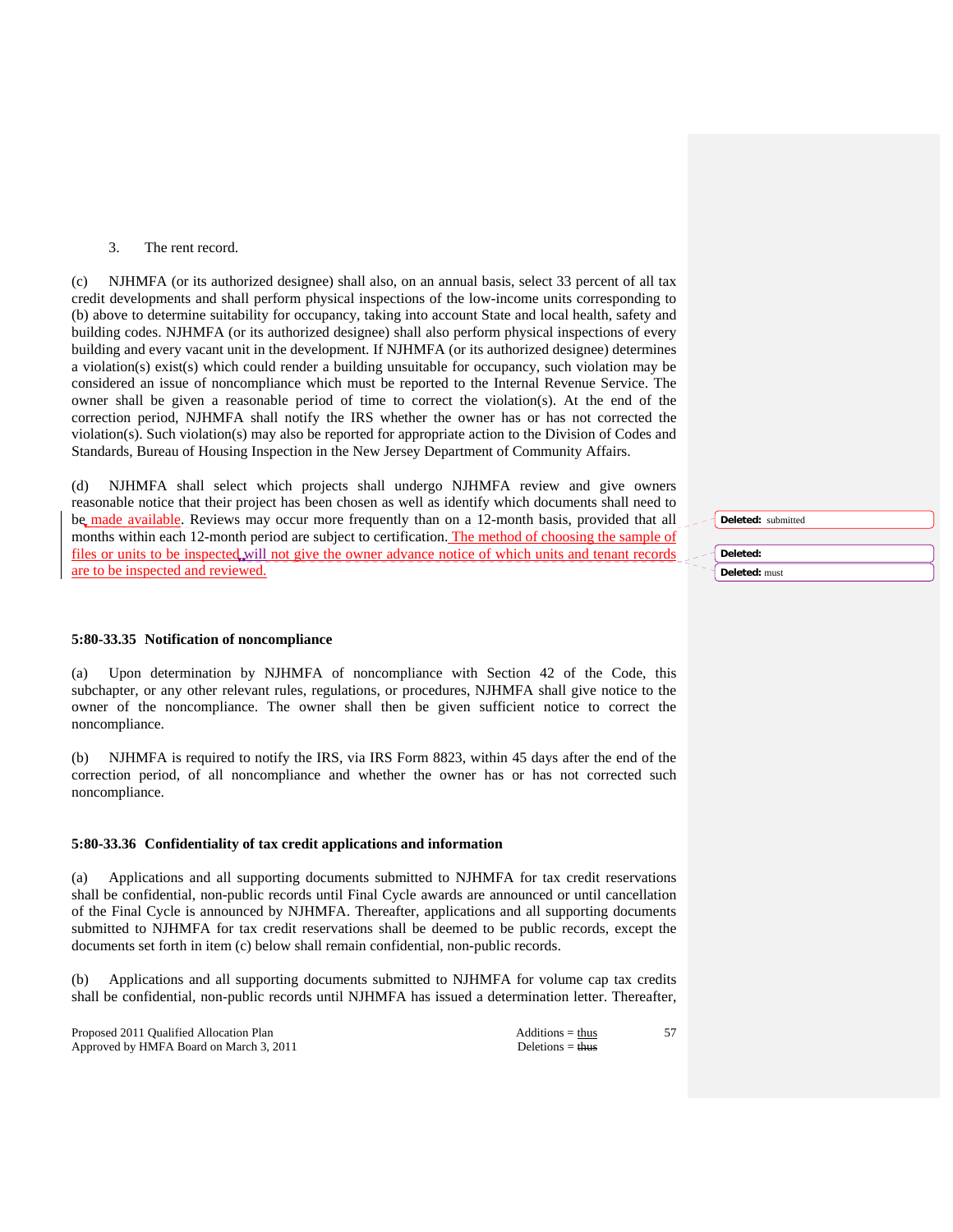# 3. The rent record.

(c) NJHMFA (or its authorized designee) shall also, on an annual basis, select 33 percent of all tax credit developments and shall perform physical inspections of the low-income units corresponding to (b) above to determine suitability for occupancy, taking into account State and local health, safety and building codes. NJHMFA (or its authorized designee) shall also perform physical inspections of every building and every vacant unit in the development. If NJHMFA (or its authorized designee) determines a violation(s) exist(s) which could render a building unsuitable for occupancy, such violation may be considered an issue of noncompliance which must be reported to the Internal Revenue Service. The owner shall be given a reasonable period of time to correct the violation(s). At the end of the correction period, NJHMFA shall notify the IRS whether the owner has or has not corrected the violation(s). Such violation(s) may also be reported for appropriate action to the Division of Codes and Standards, Bureau of Housing Inspection in the New Jersey Department of Community Affairs.

(d) NJHMFA shall select which projects shall undergo NJHMFA review and give owners reasonable notice that their project has been chosen as well as identify which documents shall need to be made available. Reviews may occur more frequently than on a 12-month basis, provided that all months within each 12-month period are subject to certification. The method of choosing the sample of files or units to be inspected will not give the owner advance notice of which units and tenant records are to be inspected and reviewed.

# **5:80-33.35 Notification of noncompliance**

(a) Upon determination by NJHMFA of noncompliance with Section 42 of the Code, this subchapter, or any other relevant rules, regulations, or procedures, NJHMFA shall give notice to the owner of the noncompliance. The owner shall then be given sufficient notice to correct the noncompliance.

(b) NJHMFA is required to notify the IRS, via IRS Form 8823, within 45 days after the end of the correction period, of all noncompliance and whether the owner has or has not corrected such noncompliance.

# **5:80-33.36 Confidentiality of tax credit applications and information**

(a) Applications and all supporting documents submitted to NJHMFA for tax credit reservations shall be confidential, non-public records until Final Cycle awards are announced or until cancellation of the Final Cycle is announced by NJHMFA. Thereafter, applications and all supporting documents submitted to NJHMFA for tax credit reservations shall be deemed to be public records, except the documents set forth in item (c) below shall remain confidential, non-public records.

(b) Applications and all supporting documents submitted to NJHMFA for volume cap tax credits shall be confidential, non-public records until NJHMFA has issued a determination letter. Thereafter,

Proposed 2011 Qualified Allocation Plan Additions = thus Additions = thus Approved by HMFA Board on March 3, 2011 Deletions = thus Deletions = thus

57

**Deleted: Deleted:** must

**Deleted:** submitted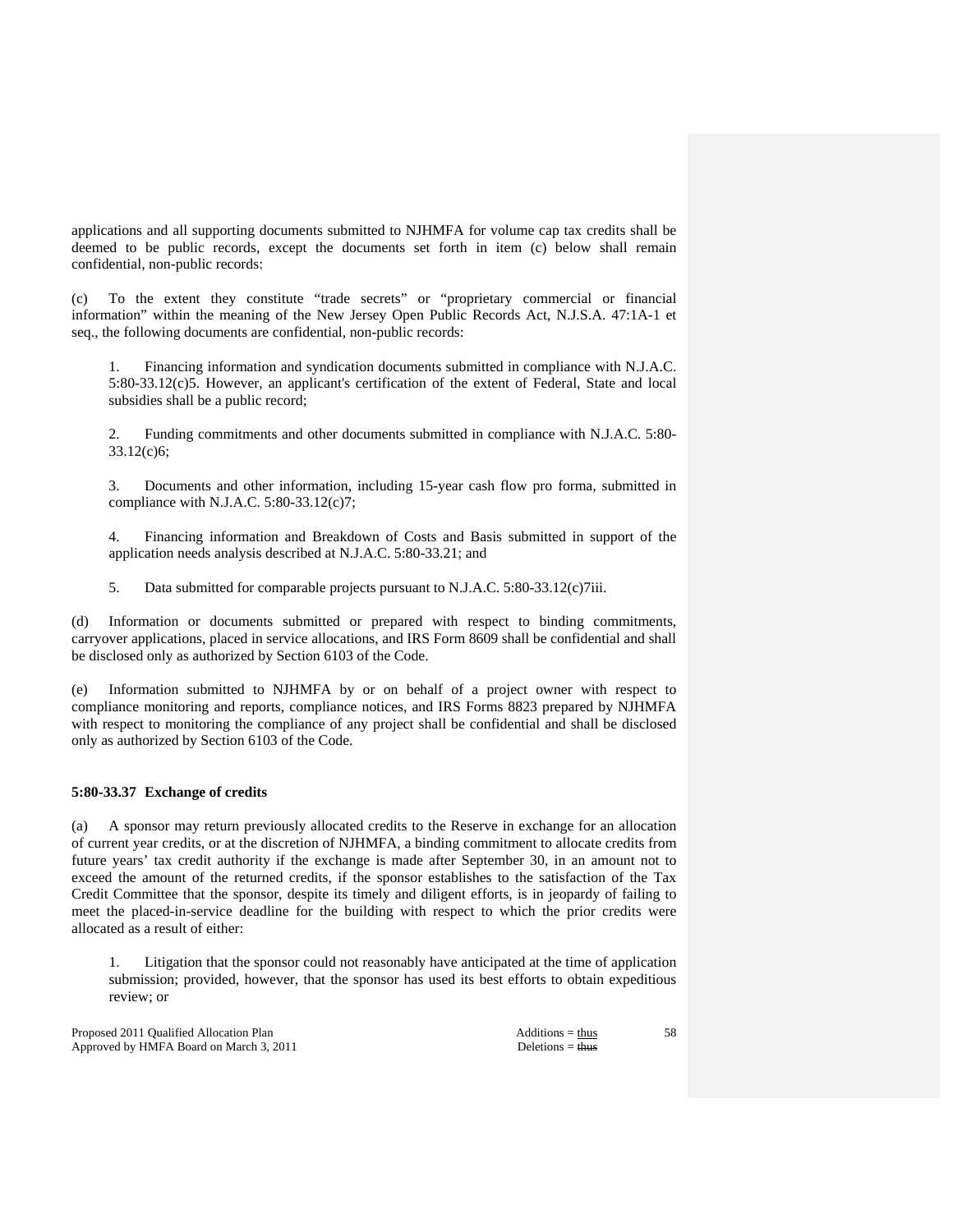applications and all supporting documents submitted to NJHMFA for volume cap tax credits shall be deemed to be public records, except the documents set forth in item (c) below shall remain confidential, non-public records:

(c) To the extent they constitute "trade secrets" or "proprietary commercial or financial information" within the meaning of the New Jersey Open Public Records Act, N.J.S.A. 47:1A-1 et seq., the following documents are confidential, non-public records:

 1. Financing information and syndication documents submitted in compliance with N.J.A.C. 5:80-33.12(c)5. However, an applicant's certification of the extent of Federal, State and local subsidies shall be a public record;

 2. Funding commitments and other documents submitted in compliance with N.J.A.C. 5:80- 33.12(c)6;

 3. Documents and other information, including 15-year cash flow pro forma, submitted in compliance with N.J.A.C. 5:80-33.12(c)7;

 4. Financing information and Breakdown of Costs and Basis submitted in support of the application needs analysis described at N.J.A.C. 5:80-33.21; and

5. Data submitted for comparable projects pursuant to N.J.A.C. 5:80-33.12(c)7iii.

(d) Information or documents submitted or prepared with respect to binding commitments, carryover applications, placed in service allocations, and IRS Form 8609 shall be confidential and shall be disclosed only as authorized by Section 6103 of the Code.

Information submitted to NJHMFA by or on behalf of a project owner with respect to compliance monitoring and reports, compliance notices, and IRS Forms 8823 prepared by NJHMFA with respect to monitoring the compliance of any project shall be confidential and shall be disclosed only as authorized by Section 6103 of the Code.

# **5:80-33.37 Exchange of credits**

(a) A sponsor may return previously allocated credits to the Reserve in exchange for an allocation of current year credits, or at the discretion of NJHMFA, a binding commitment to allocate credits from future years' tax credit authority if the exchange is made after September 30, in an amount not to exceed the amount of the returned credits, if the sponsor establishes to the satisfaction of the Tax Credit Committee that the sponsor, despite its timely and diligent efforts, is in jeopardy of failing to meet the placed-in-service deadline for the building with respect to which the prior credits were allocated as a result of either:

 1. Litigation that the sponsor could not reasonably have anticipated at the time of application submission; provided, however, that the sponsor has used its best efforts to obtain expeditious review; or

Proposed 2011 Qualified Allocation Plan Additions = thus Additions = thus Additions = thus Additions = thus Additions = thus Additions = thus Additions = thus Additions = thus Additions = thus Additions = thus Additions = Approved by HMFA Board on March 3, 2011 Deletions = thus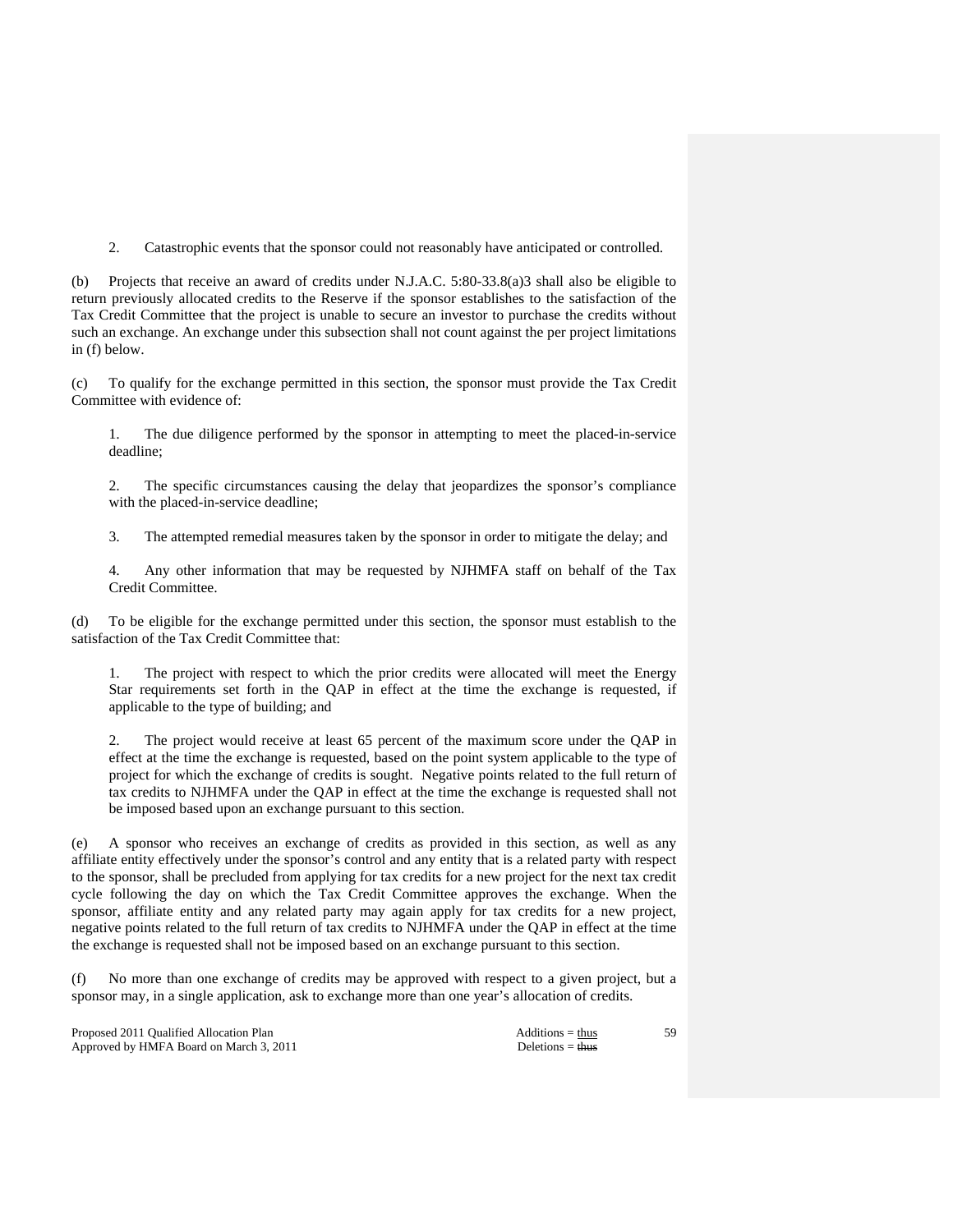2. Catastrophic events that the sponsor could not reasonably have anticipated or controlled.

(b) Projects that receive an award of credits under N.J.A.C. 5:80-33.8(a)3 shall also be eligible to return previously allocated credits to the Reserve if the sponsor establishes to the satisfaction of the Tax Credit Committee that the project is unable to secure an investor to purchase the credits without such an exchange. An exchange under this subsection shall not count against the per project limitations in (f) below.

(c) To qualify for the exchange permitted in this section, the sponsor must provide the Tax Credit Committee with evidence of:

 1. The due diligence performed by the sponsor in attempting to meet the placed-in-service deadline;

 2. The specific circumstances causing the delay that jeopardizes the sponsor's compliance with the placed-in-service deadline;

3. The attempted remedial measures taken by the sponsor in order to mitigate the delay; and

 4. Any other information that may be requested by NJHMFA staff on behalf of the Tax Credit Committee.

(d) To be eligible for the exchange permitted under this section, the sponsor must establish to the satisfaction of the Tax Credit Committee that:

 1. The project with respect to which the prior credits were allocated will meet the Energy Star requirements set forth in the QAP in effect at the time the exchange is requested, if applicable to the type of building; and

 2. The project would receive at least 65 percent of the maximum score under the QAP in effect at the time the exchange is requested, based on the point system applicable to the type of project for which the exchange of credits is sought. Negative points related to the full return of tax credits to NJHMFA under the QAP in effect at the time the exchange is requested shall not be imposed based upon an exchange pursuant to this section.

(e) A sponsor who receives an exchange of credits as provided in this section, as well as any affiliate entity effectively under the sponsor's control and any entity that is a related party with respect to the sponsor, shall be precluded from applying for tax credits for a new project for the next tax credit cycle following the day on which the Tax Credit Committee approves the exchange. When the sponsor, affiliate entity and any related party may again apply for tax credits for a new project, negative points related to the full return of tax credits to NJHMFA under the QAP in effect at the time the exchange is requested shall not be imposed based on an exchange pursuant to this section.

(f) No more than one exchange of credits may be approved with respect to a given project, but a sponsor may, in a single application, ask to exchange more than one year's allocation of credits.

Proposed 2011 Qualified Allocation Plan Additions = thus Additions = thus Additions = thus Additions = thus Additions = thus Additions = thus Additions = thus Additions = thus Additions = thus Additions = thus Additions = Approved by HMFA Board on March 3, 2011 Deletions = thus Deletions = thus